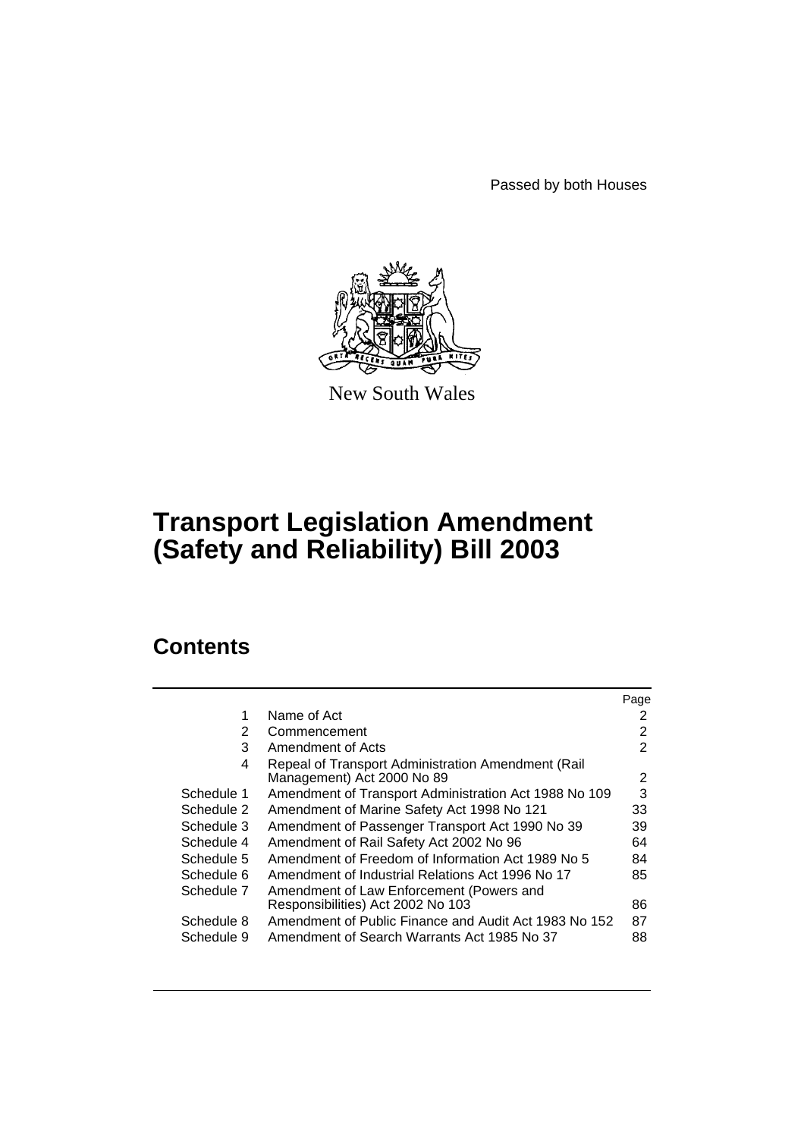Passed by both Houses



New South Wales

# **Transport Legislation Amendment (Safety and Reliability) Bill 2003**

# **Contents**

|            |                                                                                   | Page |
|------------|-----------------------------------------------------------------------------------|------|
| 1          | Name of Act                                                                       | 2    |
| 2          | Commencement                                                                      | 2    |
| 3          | Amendment of Acts                                                                 | 2    |
| 4          | Repeal of Transport Administration Amendment (Rail)<br>Management) Act 2000 No 89 | 2    |
| Schedule 1 | Amendment of Transport Administration Act 1988 No 109                             | 3    |
| Schedule 2 | Amendment of Marine Safety Act 1998 No 121                                        | 33   |
| Schedule 3 | Amendment of Passenger Transport Act 1990 No 39                                   | 39   |
| Schedule 4 | Amendment of Rail Safety Act 2002 No 96                                           | 64   |
| Schedule 5 | Amendment of Freedom of Information Act 1989 No 5                                 | 84   |
| Schedule 6 | Amendment of Industrial Relations Act 1996 No 17                                  | 85   |
| Schedule 7 | Amendment of Law Enforcement (Powers and                                          |      |
|            | Responsibilities) Act 2002 No 103                                                 | 86   |
| Schedule 8 | Amendment of Public Finance and Audit Act 1983 No 152                             | 87   |
| Schedule 9 | Amendment of Search Warrants Act 1985 No 37                                       | 88   |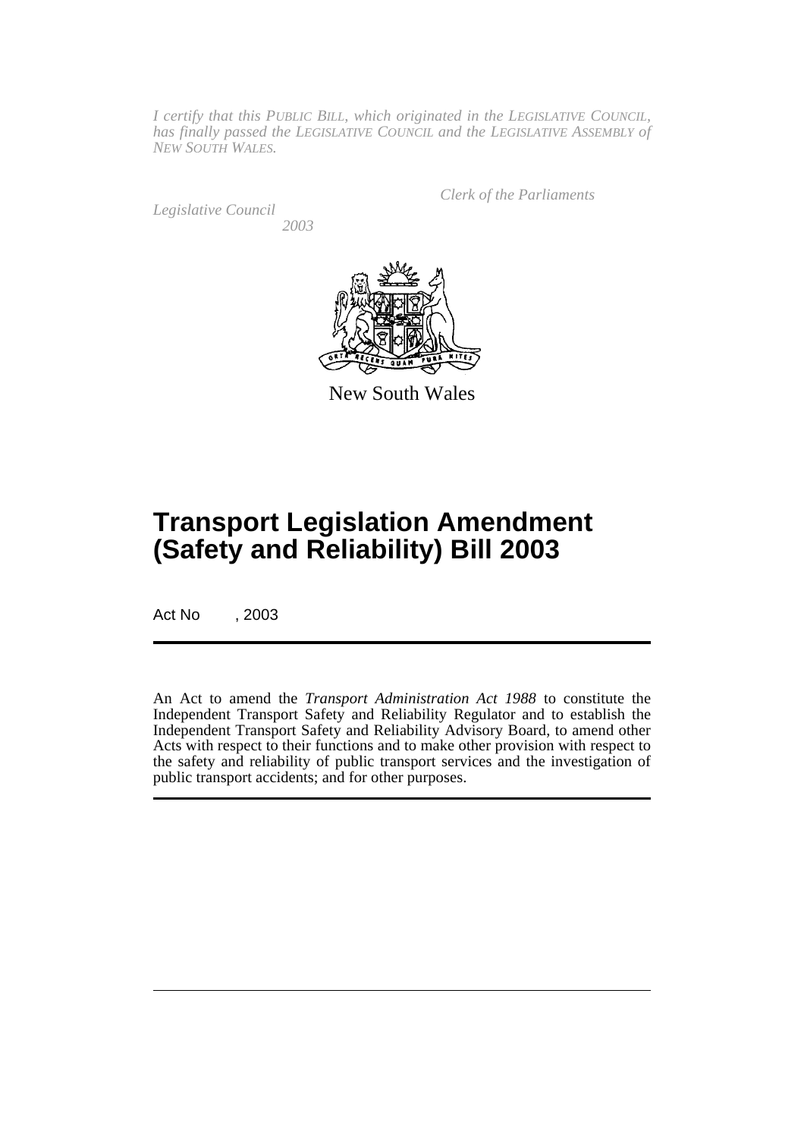*I certify that this PUBLIC BILL, which originated in the LEGISLATIVE COUNCIL, has finally passed the LEGISLATIVE COUNCIL and the LEGISLATIVE ASSEMBLY of NEW SOUTH WALES.*

*Legislative Council 2003* *Clerk of the Parliaments*



New South Wales

# **Transport Legislation Amendment (Safety and Reliability) Bill 2003**

Act No , 2003

An Act to amend the *Transport Administration Act 1988* to constitute the Independent Transport Safety and Reliability Regulator and to establish the Independent Transport Safety and Reliability Advisory Board, to amend other Acts with respect to their functions and to make other provision with respect to the safety and reliability of public transport services and the investigation of public transport accidents; and for other purposes.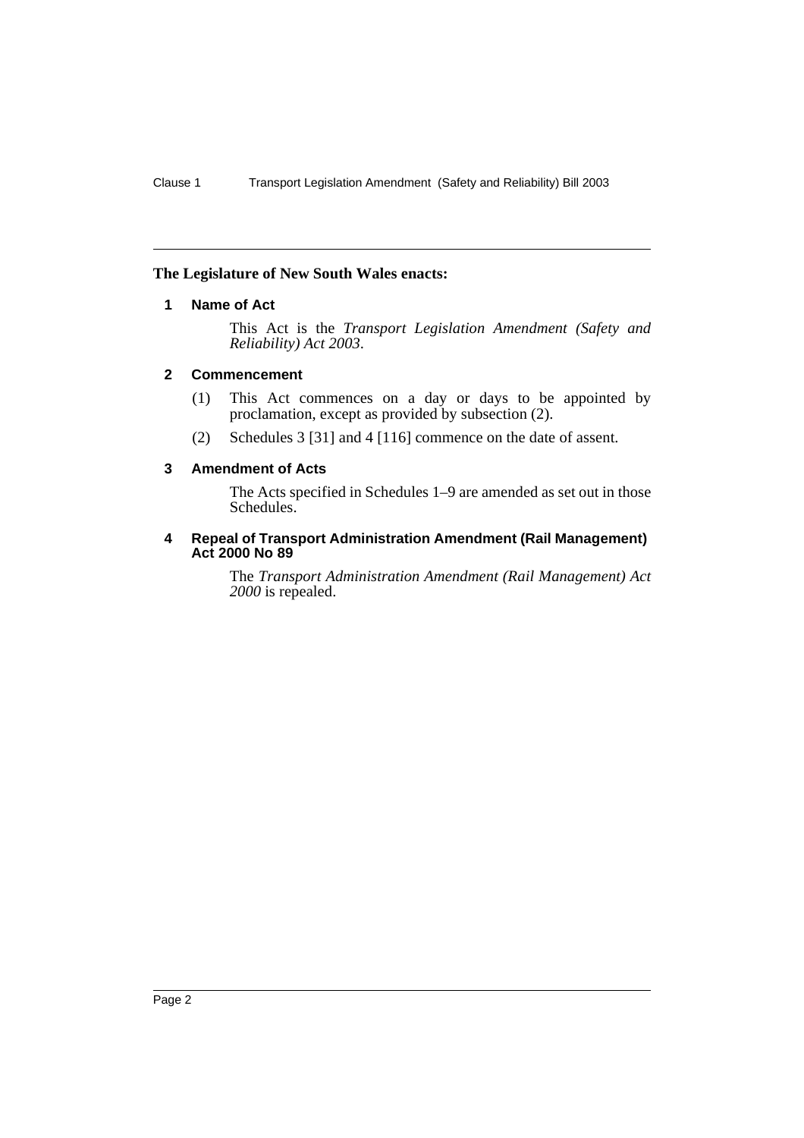#### **The Legislature of New South Wales enacts:**

# **1 Name of Act**

This Act is the *Transport Legislation Amendment (Safety and Reliability) Act 2003*.

# **2 Commencement**

- (1) This Act commences on a day or days to be appointed by proclamation, except as provided by subsection (2).
- (2) Schedules 3 [31] and 4 [116] commence on the date of assent.

# **3 Amendment of Acts**

The Acts specified in Schedules 1–9 are amended as set out in those Schedules.

#### **4 Repeal of Transport Administration Amendment (Rail Management) Act 2000 No 89**

The *Transport Administration Amendment (Rail Management) Act 2000* is repealed.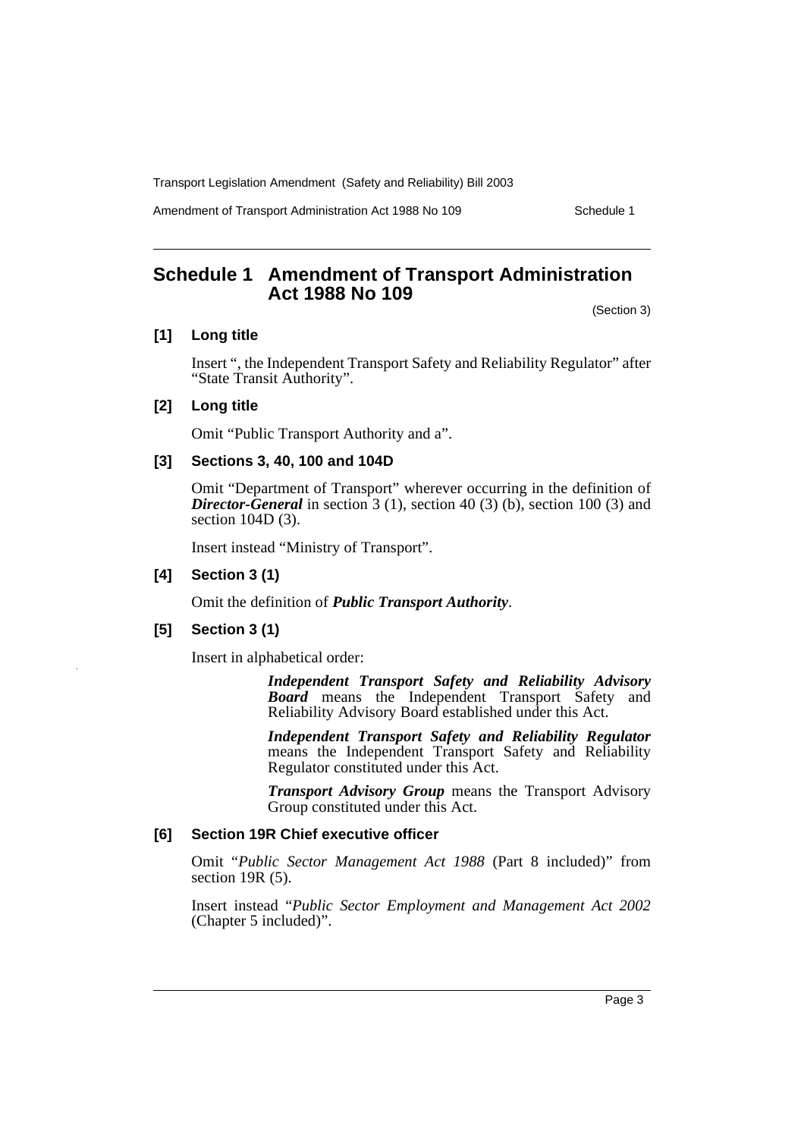Amendment of Transport Administration Act 1988 No 109 Schedule 1

# **Schedule 1 Amendment of Transport Administration Act 1988 No 109**

(Section 3)

# **[1] Long title**

Insert ", the Independent Transport Safety and Reliability Regulator" after "State Transit Authority".

## **[2] Long title**

Omit "Public Transport Authority and a".

## **[3] Sections 3, 40, 100 and 104D**

Omit "Department of Transport" wherever occurring in the definition of *Director-General* in section 3 (1), section 40 (3) (b), section 100 (3) and section 104D (3).

Insert instead "Ministry of Transport".

# **[4] Section 3 (1)**

Omit the definition of *Public Transport Authority*.

#### **[5] Section 3 (1)**

Insert in alphabetical order:

*Independent Transport Safety and Reliability Advisory Board* means the Independent Transport Safety and Reliability Advisory Board established under this Act.

*Independent Transport Safety and Reliability Regulator* means the Independent Transport Safety and Reliability Regulator constituted under this Act.

*Transport Advisory Group* means the Transport Advisory Group constituted under this Act.

#### **[6] Section 19R Chief executive officer**

Omit "*Public Sector Management Act 1988* (Part 8 included)" from section 19R (5).

Insert instead "*Public Sector Employment and Management Act 2002* (Chapter 5 included)".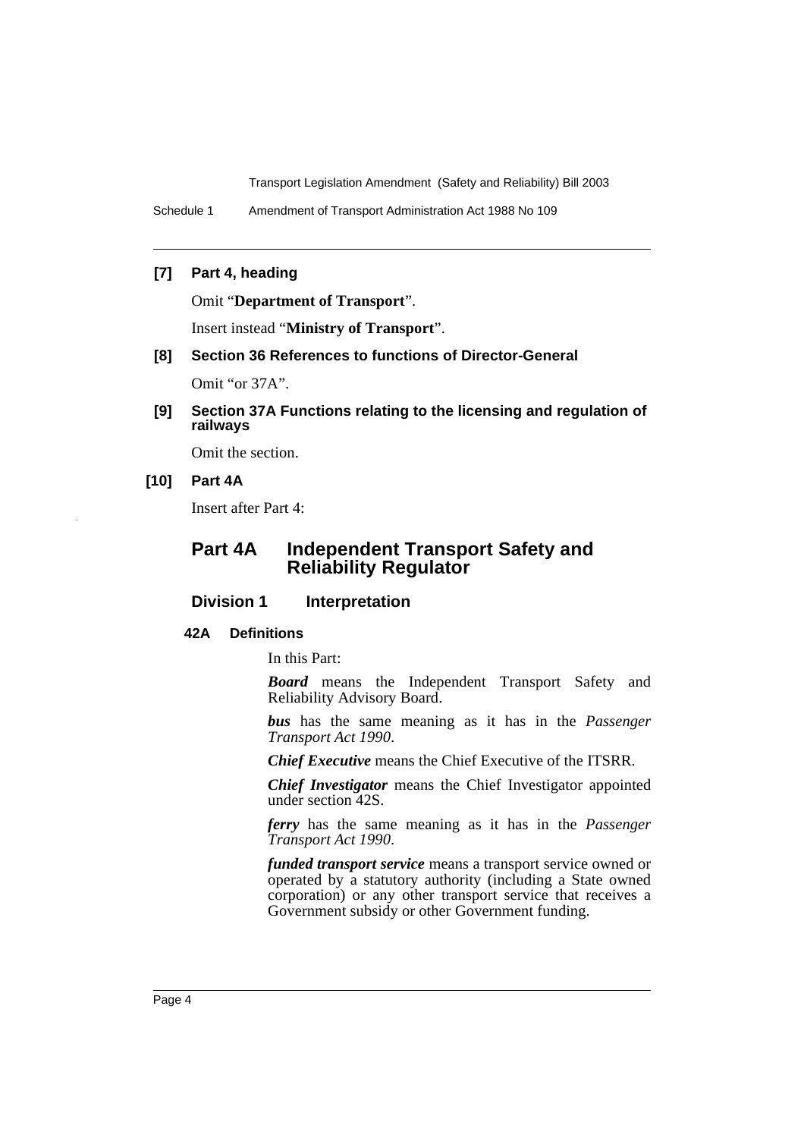Schedule 1 Amendment of Transport Administration Act 1988 No 109

# **[7] Part 4, heading**

Omit "**Department of Transport**".

Insert instead "**Ministry of Transport**".

**[8] Section 36 References to functions of Director-General**

Omit "or 37A".

**[9] Section 37A Functions relating to the licensing and regulation of railways** 

Omit the section.

# **[10] Part 4A**

Insert after Part 4:

# **Part 4A Independent Transport Safety and Reliability Regulator**

# **Division 1** Interpretation

#### **42A Definitions**

In this Part:

*Board* means the Independent Transport Safety and Reliability Advisory Board.

*bus* has the same meaning as it has in the *Passenger Transport Act 1990*.

*Chief Executive* means the Chief Executive of the ITSRR.

*Chief Investigator* means the Chief Investigator appointed under section 42S.

*ferry* has the same meaning as it has in the *Passenger Transport Act 1990*.

*funded transport service* means a transport service owned or operated by a statutory authority (including a State owned corporation) or any other transport service that receives a Government subsidy or other Government funding.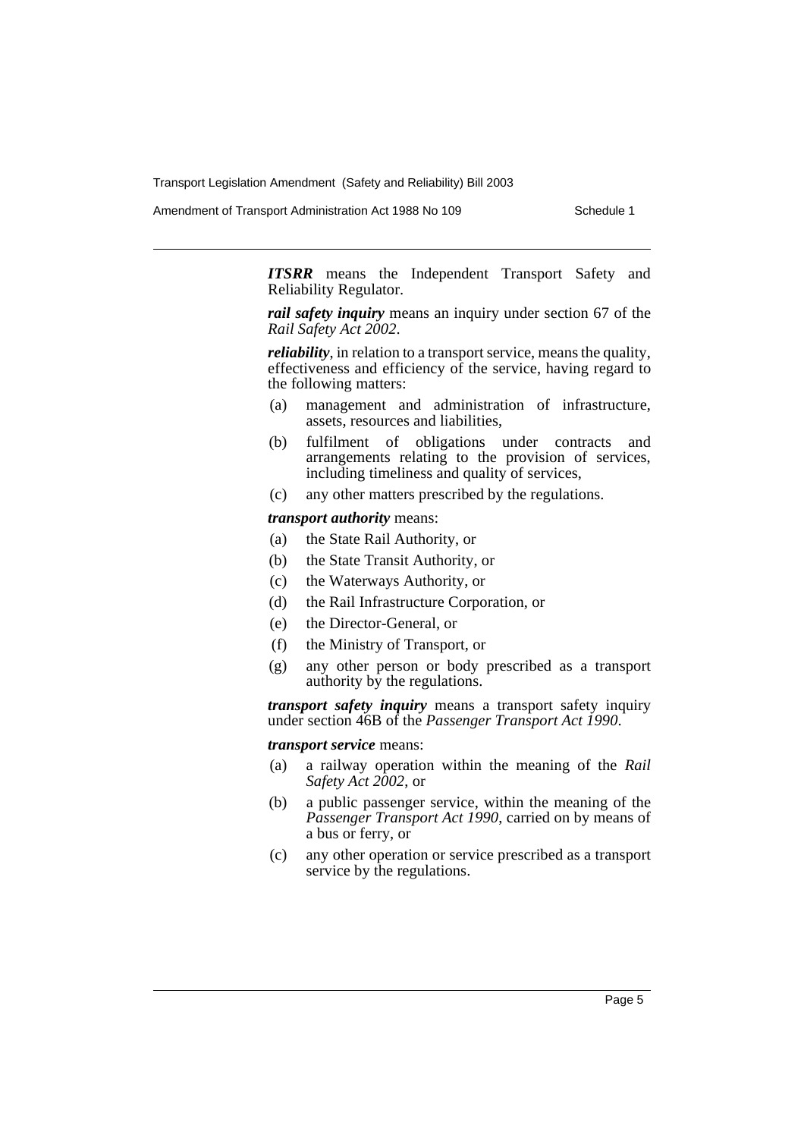Amendment of Transport Administration Act 1988 No 109 Schedule 1

*ITSRR* means the Independent Transport Safety and Reliability Regulator.

*rail safety inquiry* means an inquiry under section 67 of the *Rail Safety Act 2002*.

*reliability*, in relation to a transport service, means the quality, effectiveness and efficiency of the service, having regard to the following matters:

- (a) management and administration of infrastructure, assets, resources and liabilities,
- (b) fulfilment of obligations under contracts and arrangements relating to the provision of services, including timeliness and quality of services,
- (c) any other matters prescribed by the regulations.

#### *transport authority* means:

- (a) the State Rail Authority, or
- (b) the State Transit Authority, or
- (c) the Waterways Authority, or
- (d) the Rail Infrastructure Corporation, or
- (e) the Director-General, or
- (f) the Ministry of Transport, or
- (g) any other person or body prescribed as a transport authority by the regulations.

*transport safety inquiry* means a transport safety inquiry under section 46B of the *Passenger Transport Act 1990*.

#### *transport service* means:

- (a) a railway operation within the meaning of the *Rail Safety Act 2002*, or
- (b) a public passenger service, within the meaning of the *Passenger Transport Act 1990*, carried on by means of a bus or ferry, or
- (c) any other operation or service prescribed as a transport service by the regulations.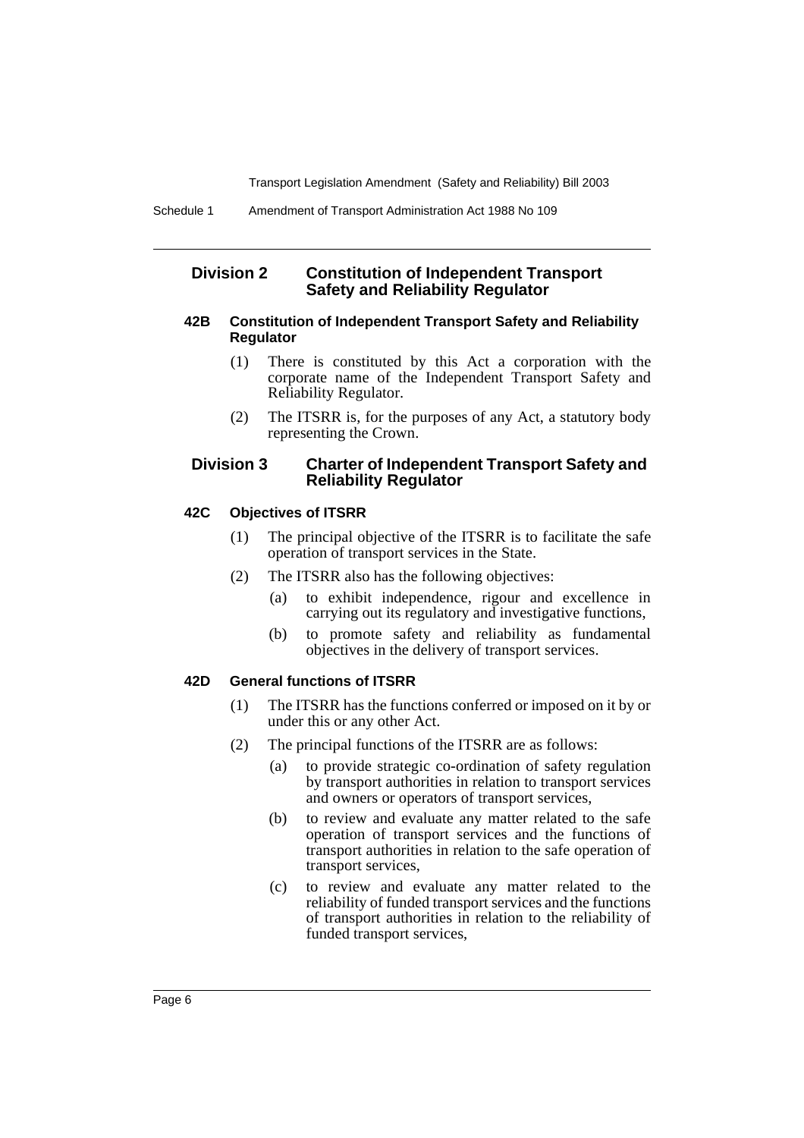# **Division 2 Constitution of Independent Transport Safety and Reliability Regulator**

# **42B Constitution of Independent Transport Safety and Reliability Regulator**

- (1) There is constituted by this Act a corporation with the corporate name of the Independent Transport Safety and Reliability Regulator.
- (2) The ITSRR is, for the purposes of any Act, a statutory body representing the Crown.

# **Division 3 Charter of Independent Transport Safety and Reliability Regulator**

#### **42C Objectives of ITSRR**

- (1) The principal objective of the ITSRR is to facilitate the safe operation of transport services in the State.
- (2) The ITSRR also has the following objectives:
	- (a) to exhibit independence, rigour and excellence in carrying out its regulatory and investigative functions,
	- (b) to promote safety and reliability as fundamental objectives in the delivery of transport services.

# **42D General functions of ITSRR**

- (1) The ITSRR has the functions conferred or imposed on it by or under this or any other Act.
- (2) The principal functions of the ITSRR are as follows:
	- (a) to provide strategic co-ordination of safety regulation by transport authorities in relation to transport services and owners or operators of transport services,
	- (b) to review and evaluate any matter related to the safe operation of transport services and the functions of transport authorities in relation to the safe operation of transport services,
	- (c) to review and evaluate any matter related to the reliability of funded transport services and the functions of transport authorities in relation to the reliability of funded transport services,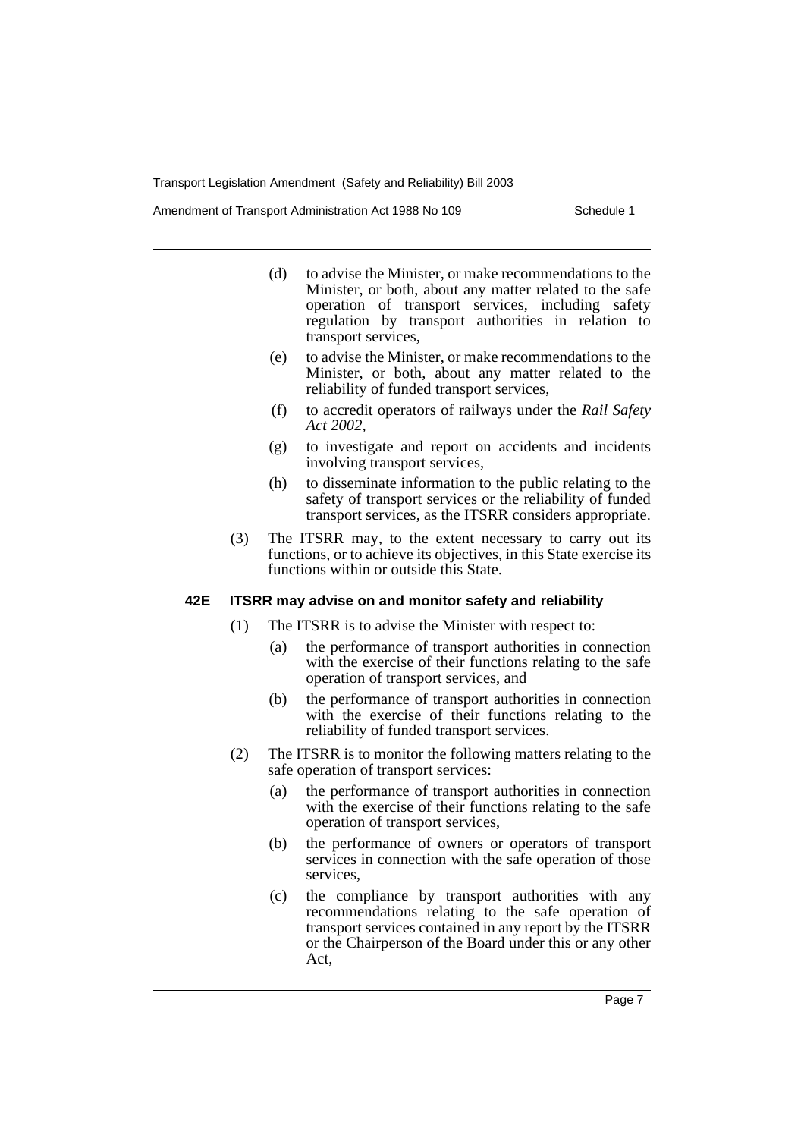Amendment of Transport Administration Act 1988 No 109 Schedule 1

- (d) to advise the Minister, or make recommendations to the Minister, or both, about any matter related to the safe operation of transport services, including safety regulation by transport authorities in relation to transport services,
- (e) to advise the Minister, or make recommendations to the Minister, or both, about any matter related to the reliability of funded transport services,
- (f) to accredit operators of railways under the *Rail Safety Act 2002,*
- (g) to investigate and report on accidents and incidents involving transport services,
- (h) to disseminate information to the public relating to the safety of transport services or the reliability of funded transport services, as the ITSRR considers appropriate.
- (3) The ITSRR may, to the extent necessary to carry out its functions, or to achieve its objectives, in this State exercise its functions within or outside this State.

# **42E ITSRR may advise on and monitor safety and reliability**

- (1) The ITSRR is to advise the Minister with respect to:
	- (a) the performance of transport authorities in connection with the exercise of their functions relating to the safe operation of transport services, and
	- (b) the performance of transport authorities in connection with the exercise of their functions relating to the reliability of funded transport services.
- (2) The ITSRR is to monitor the following matters relating to the safe operation of transport services:
	- (a) the performance of transport authorities in connection with the exercise of their functions relating to the safe operation of transport services,
	- (b) the performance of owners or operators of transport services in connection with the safe operation of those services,
	- (c) the compliance by transport authorities with any recommendations relating to the safe operation of transport services contained in any report by the ITSRR or the Chairperson of the Board under this or any other Act,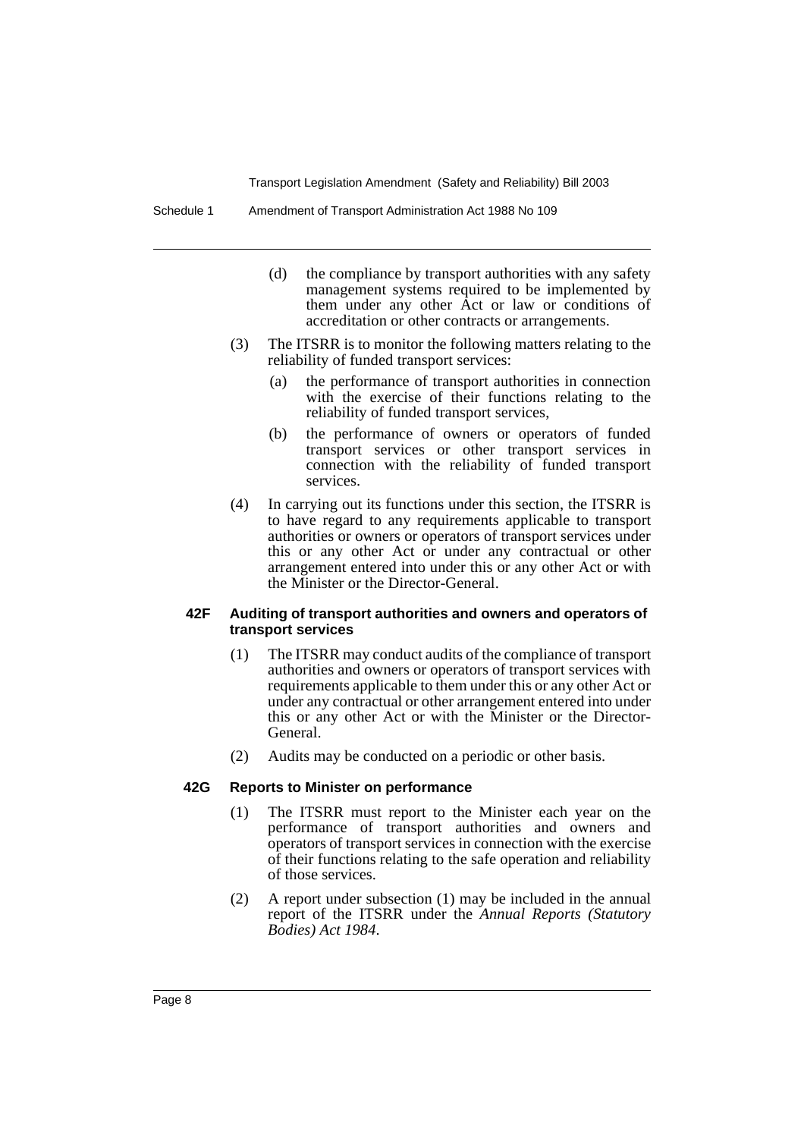Schedule 1 Amendment of Transport Administration Act 1988 No 109

- (d) the compliance by transport authorities with any safety management systems required to be implemented by them under any other Act or law or conditions of accreditation or other contracts or arrangements.
- (3) The ITSRR is to monitor the following matters relating to the reliability of funded transport services:
	- (a) the performance of transport authorities in connection with the exercise of their functions relating to the reliability of funded transport services,
	- (b) the performance of owners or operators of funded transport services or other transport services in connection with the reliability of funded transport services.
- (4) In carrying out its functions under this section, the ITSRR is to have regard to any requirements applicable to transport authorities or owners or operators of transport services under this or any other Act or under any contractual or other arrangement entered into under this or any other Act or with the Minister or the Director-General.

#### **42F Auditing of transport authorities and owners and operators of transport services**

- (1) The ITSRR may conduct audits of the compliance of transport authorities and owners or operators of transport services with requirements applicable to them under this or any other Act or under any contractual or other arrangement entered into under this or any other Act or with the Minister or the Director-General.
- (2) Audits may be conducted on a periodic or other basis.

#### **42G Reports to Minister on performance**

- (1) The ITSRR must report to the Minister each year on the performance of transport authorities and owners and operators of transport services in connection with the exercise of their functions relating to the safe operation and reliability of those services.
- (2) A report under subsection (1) may be included in the annual report of the ITSRR under the *Annual Reports (Statutory Bodies) Act 1984*.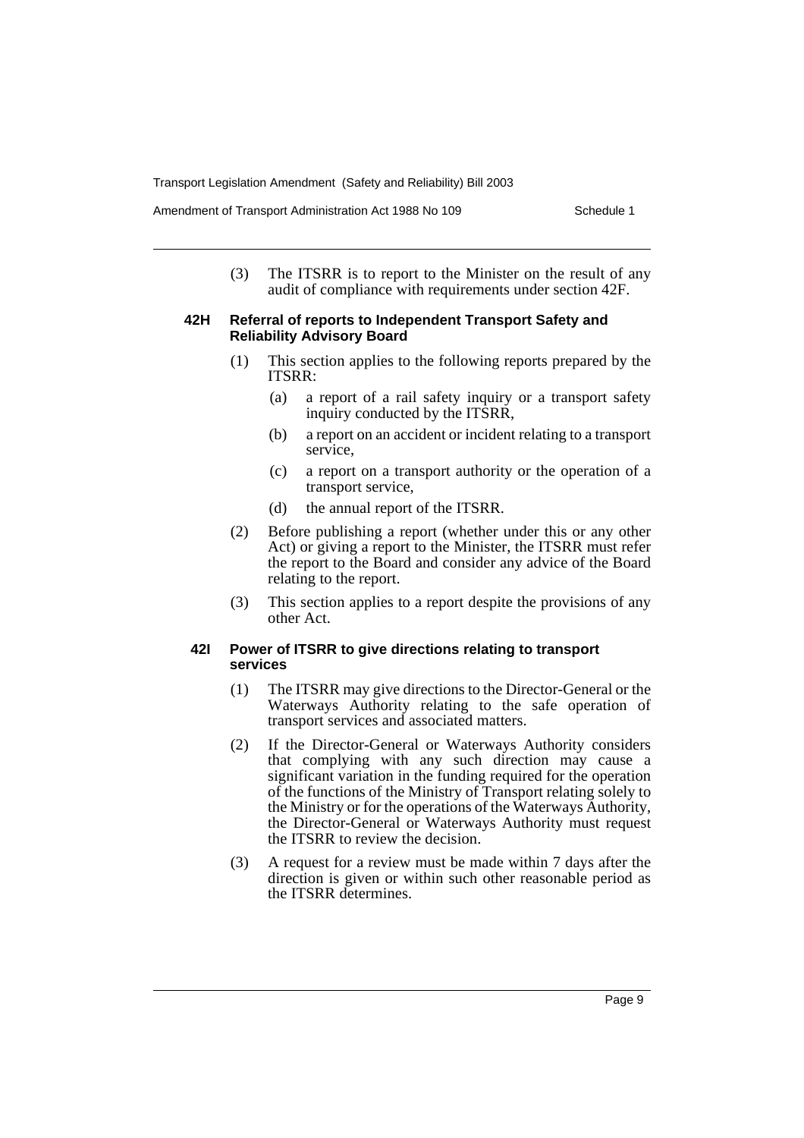(3) The ITSRR is to report to the Minister on the result of any audit of compliance with requirements under section 42F.

#### **42H Referral of reports to Independent Transport Safety and Reliability Advisory Board**

- (1) This section applies to the following reports prepared by the ITSRR:
	- (a) a report of a rail safety inquiry or a transport safety inquiry conducted by the ITSRR,
	- (b) a report on an accident or incident relating to a transport service,
	- (c) a report on a transport authority or the operation of a transport service,
	- (d) the annual report of the ITSRR.
- (2) Before publishing a report (whether under this or any other Act) or giving a report to the Minister, the ITSRR must refer the report to the Board and consider any advice of the Board relating to the report.
- (3) This section applies to a report despite the provisions of any other Act.

# **42I Power of ITSRR to give directions relating to transport services**

- (1) The ITSRR may give directions to the Director-General or the Waterways Authority relating to the safe operation of transport services and associated matters.
- (2) If the Director-General or Waterways Authority considers that complying with any such direction may cause a significant variation in the funding required for the operation of the functions of the Ministry of Transport relating solely to the Ministry or for the operations of the Waterways Authority, the Director-General or Waterways Authority must request the ITSRR to review the decision.
- (3) A request for a review must be made within 7 days after the direction is given or within such other reasonable period as the ITSRR determines.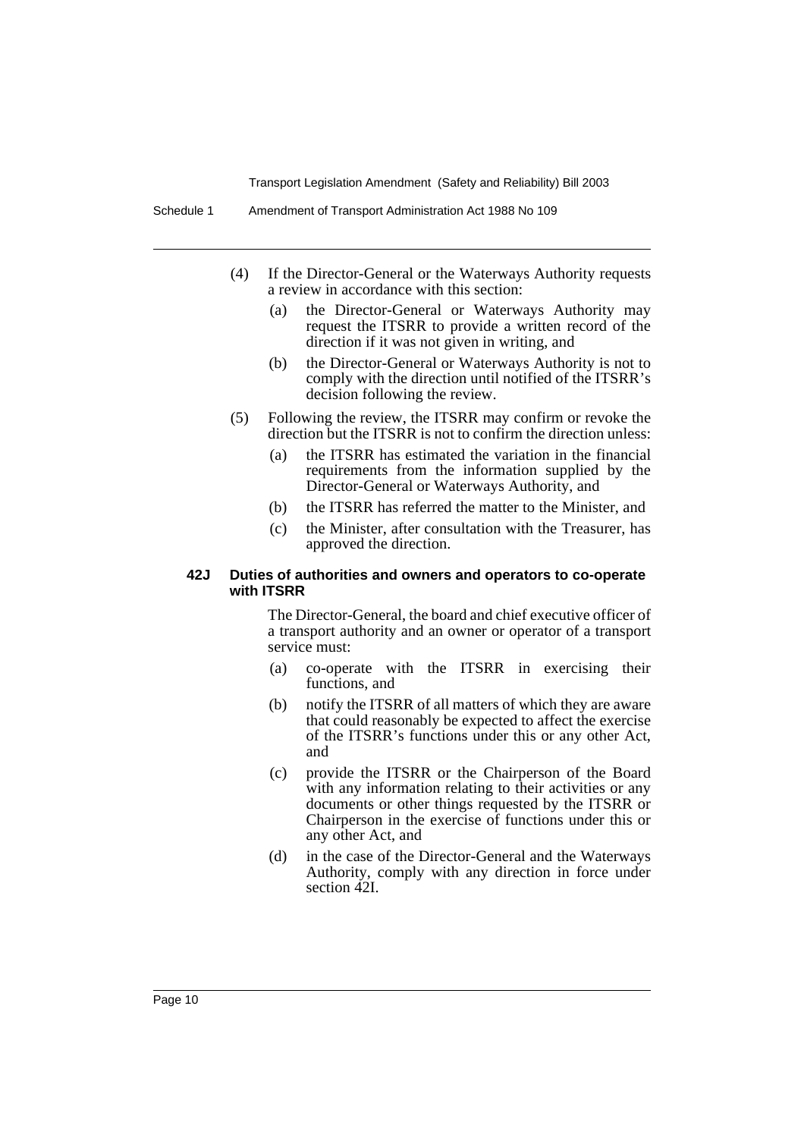- (4) If the Director-General or the Waterways Authority requests a review in accordance with this section:
	- (a) the Director-General or Waterways Authority may request the ITSRR to provide a written record of the direction if it was not given in writing, and
	- (b) the Director-General or Waterways Authority is not to comply with the direction until notified of the ITSRR's decision following the review.
- (5) Following the review, the ITSRR may confirm or revoke the direction but the ITSRR is not to confirm the direction unless:
	- (a) the ITSRR has estimated the variation in the financial requirements from the information supplied by the Director-General or Waterways Authority, and
	- (b) the ITSRR has referred the matter to the Minister, and
	- (c) the Minister, after consultation with the Treasurer, has approved the direction.

## **42J Duties of authorities and owners and operators to co-operate with ITSRR**

The Director-General, the board and chief executive officer of a transport authority and an owner or operator of a transport service must:

- (a) co-operate with the ITSRR in exercising their functions, and
- (b) notify the ITSRR of all matters of which they are aware that could reasonably be expected to affect the exercise of the ITSRR's functions under this or any other Act, and
- (c) provide the ITSRR or the Chairperson of the Board with any information relating to their activities or any documents or other things requested by the ITSRR or Chairperson in the exercise of functions under this or any other Act, and
- (d) in the case of the Director-General and the Waterways Authority, comply with any direction in force under section 42I.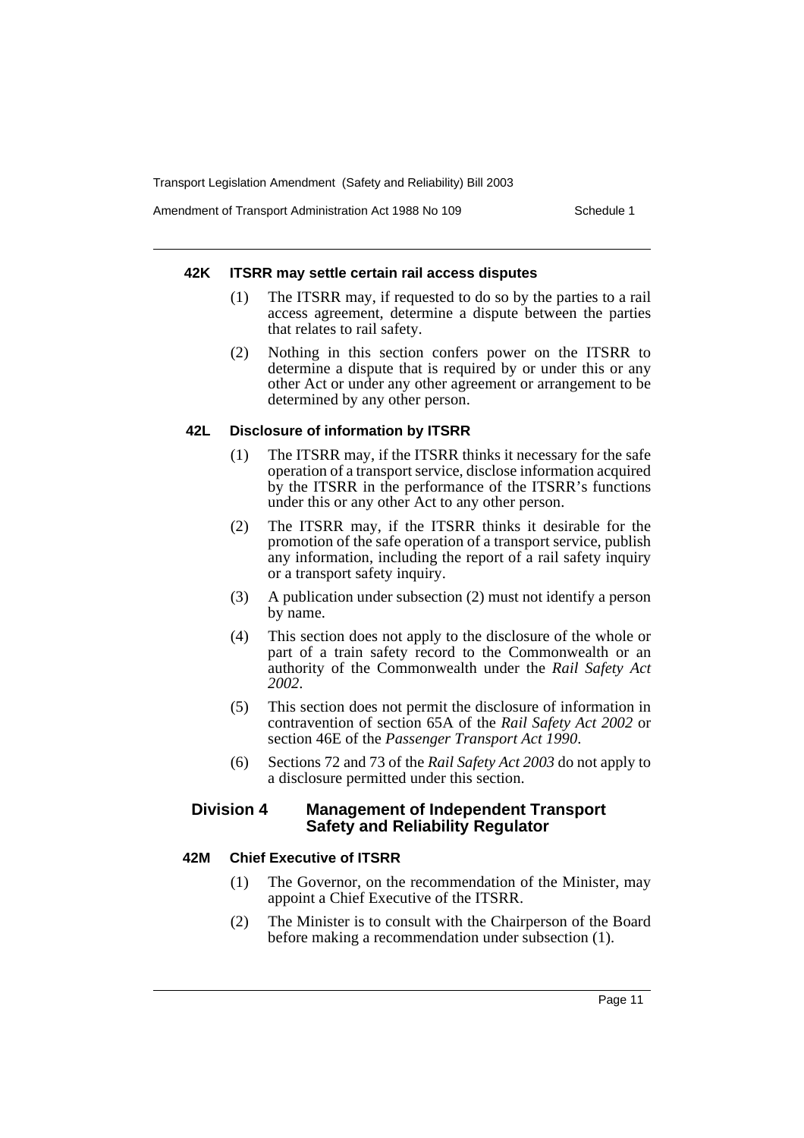Amendment of Transport Administration Act 1988 No 109 Schedule 1

#### **42K ITSRR may settle certain rail access disputes**

- (1) The ITSRR may, if requested to do so by the parties to a rail access agreement, determine a dispute between the parties that relates to rail safety.
- (2) Nothing in this section confers power on the ITSRR to determine a dispute that is required by or under this or any other Act or under any other agreement or arrangement to be determined by any other person.

# **42L Disclosure of information by ITSRR**

- (1) The ITSRR may, if the ITSRR thinks it necessary for the safe operation of a transport service, disclose information acquired by the ITSRR in the performance of the ITSRR's functions under this or any other Act to any other person.
- (2) The ITSRR may, if the ITSRR thinks it desirable for the promotion of the safe operation of a transport service, publish any information, including the report of a rail safety inquiry or a transport safety inquiry.
- (3) A publication under subsection (2) must not identify a person by name.
- (4) This section does not apply to the disclosure of the whole or part of a train safety record to the Commonwealth or an authority of the Commonwealth under the *Rail Safety Act 2002*.
- (5) This section does not permit the disclosure of information in contravention of section 65A of the *Rail Safety Act 2002* or section 46E of the *Passenger Transport Act 1990*.
- (6) Sections 72 and 73 of the *Rail Safety Act 2003* do not apply to a disclosure permitted under this section.

# **Division 4 Management of Independent Transport Safety and Reliability Regulator**

### **42M Chief Executive of ITSRR**

- (1) The Governor, on the recommendation of the Minister, may appoint a Chief Executive of the ITSRR.
- (2) The Minister is to consult with the Chairperson of the Board before making a recommendation under subsection (1).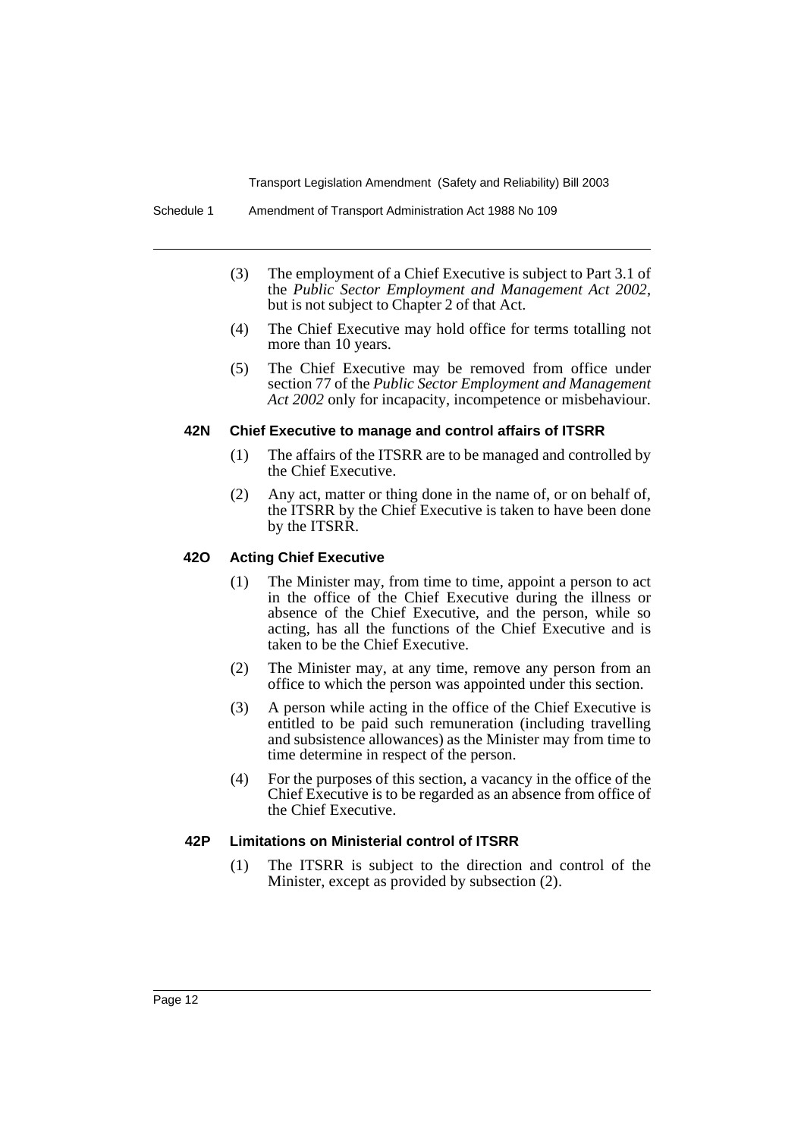- (3) The employment of a Chief Executive is subject to Part 3.1 of the *Public Sector Employment and Management Act 2002*, but is not subject to Chapter 2 of that Act.
- (4) The Chief Executive may hold office for terms totalling not more than 10 years.
- (5) The Chief Executive may be removed from office under section 77 of the *Public Sector Employment and Management Act 2002* only for incapacity, incompetence or misbehaviour.

#### **42N Chief Executive to manage and control affairs of ITSRR**

- (1) The affairs of the ITSRR are to be managed and controlled by the Chief Executive.
- (2) Any act, matter or thing done in the name of, or on behalf of, the ITSRR by the Chief Executive is taken to have been done by the ITSRR.

# **42O Acting Chief Executive**

- (1) The Minister may, from time to time, appoint a person to act in the office of the Chief Executive during the illness or absence of the Chief Executive, and the person, while so acting, has all the functions of the Chief Executive and is taken to be the Chief Executive.
- (2) The Minister may, at any time, remove any person from an office to which the person was appointed under this section.
- (3) A person while acting in the office of the Chief Executive is entitled to be paid such remuneration (including travelling and subsistence allowances) as the Minister may from time to time determine in respect of the person.
- (4) For the purposes of this section, a vacancy in the office of the Chief Executive is to be regarded as an absence from office of the Chief Executive.

# **42P Limitations on Ministerial control of ITSRR**

(1) The ITSRR is subject to the direction and control of the Minister, except as provided by subsection (2).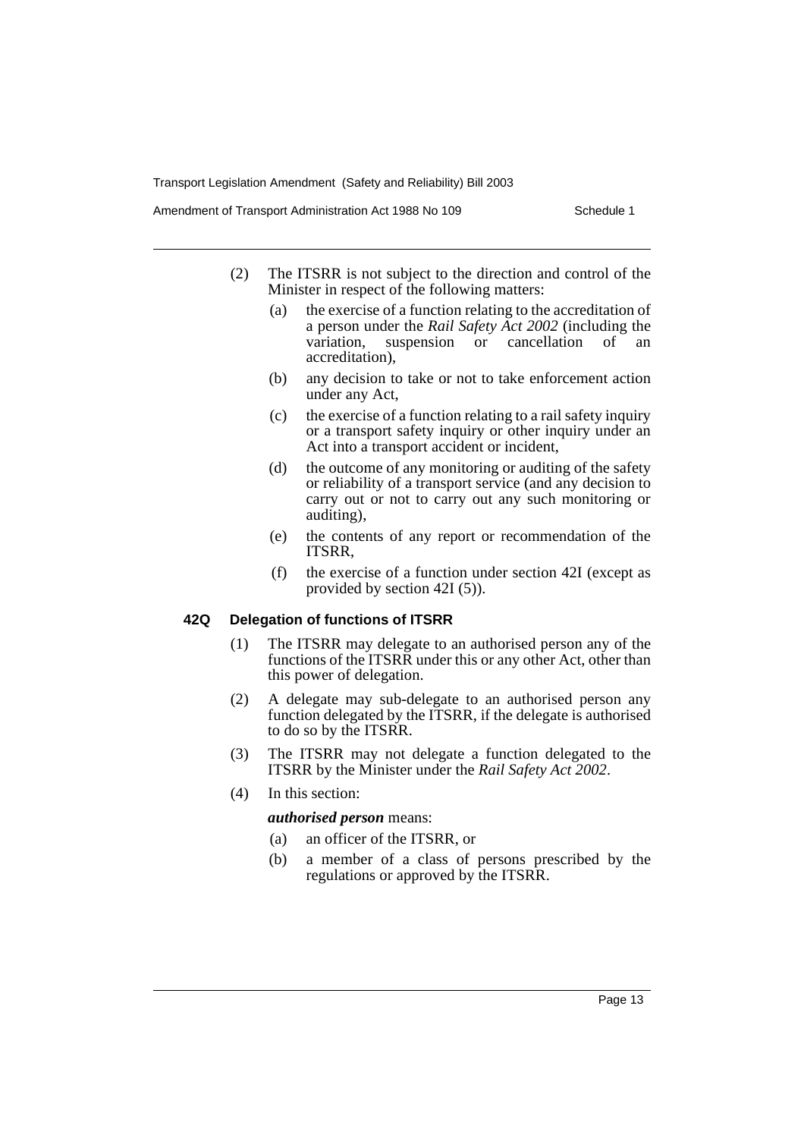Amendment of Transport Administration Act 1988 No 109 Schedule 1

- (2) The ITSRR is not subject to the direction and control of the Minister in respect of the following matters:
	- (a) the exercise of a function relating to the accreditation of a person under the *Rail Safety Act 2002* (including the suspension or cancellation accreditation),
	- (b) any decision to take or not to take enforcement action under any Act,
	- (c) the exercise of a function relating to a rail safety inquiry or a transport safety inquiry or other inquiry under an Act into a transport accident or incident,
	- (d) the outcome of any monitoring or auditing of the safety or reliability of a transport service (and any decision to carry out or not to carry out any such monitoring or auditing),
	- (e) the contents of any report or recommendation of the ITSRR,
	- (f) the exercise of a function under section 42I (except as provided by section 42I (5)).

#### **42Q Delegation of functions of ITSRR**

- (1) The ITSRR may delegate to an authorised person any of the functions of the ITSRR under this or any other Act, other than this power of delegation.
- (2) A delegate may sub-delegate to an authorised person any function delegated by the ITSRR, if the delegate is authorised to do so by the ITSRR.
- (3) The ITSRR may not delegate a function delegated to the ITSRR by the Minister under the *Rail Safety Act 2002*.
- (4) In this section:

#### *authorised person* means:

- (a) an officer of the ITSRR, or
- (b) a member of a class of persons prescribed by the regulations or approved by the ITSRR.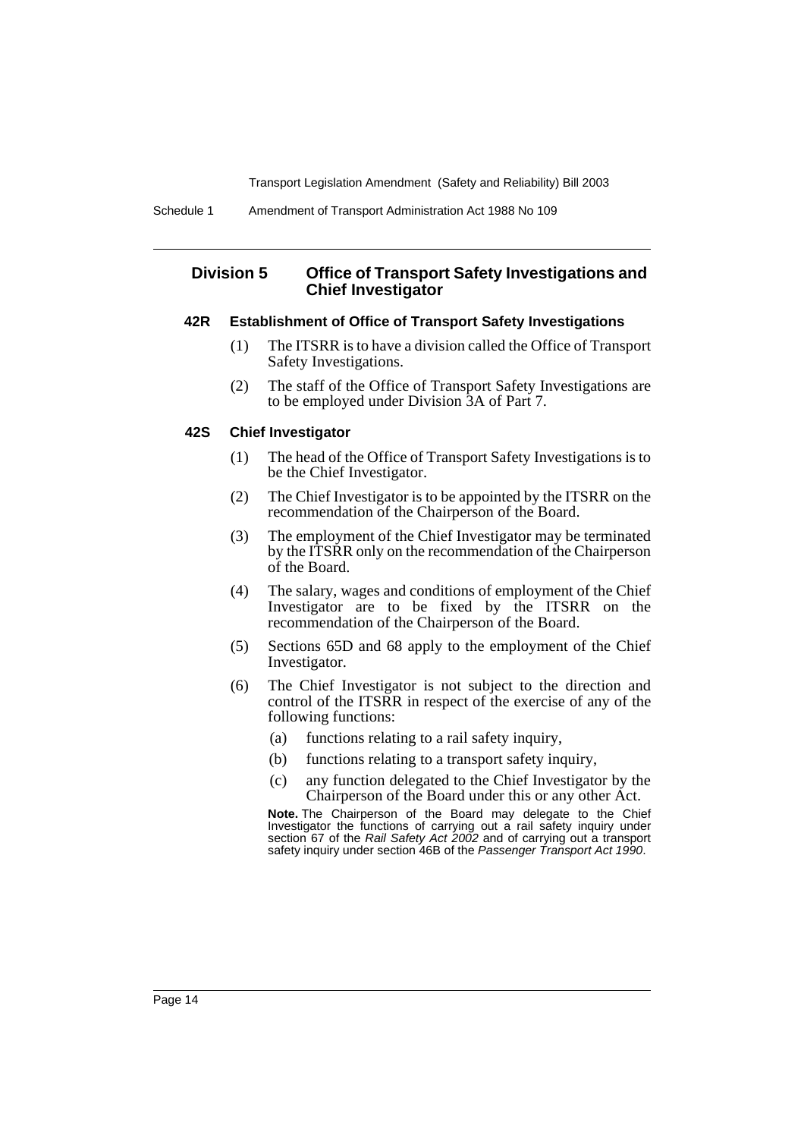# **Division 5 Office of Transport Safety Investigations and Chief Investigator**

#### **42R Establishment of Office of Transport Safety Investigations**

- (1) The ITSRR is to have a division called the Office of Transport Safety Investigations.
- (2) The staff of the Office of Transport Safety Investigations are to be employed under Division 3A of Part 7.

# **42S Chief Investigator**

- (1) The head of the Office of Transport Safety Investigations is to be the Chief Investigator.
- (2) The Chief Investigator is to be appointed by the ITSRR on the recommendation of the Chairperson of the Board.
- (3) The employment of the Chief Investigator may be terminated by the ITSRR only on the recommendation of the Chairperson of the Board.
- (4) The salary, wages and conditions of employment of the Chief Investigator are to be fixed by the ITSRR on the recommendation of the Chairperson of the Board.
- (5) Sections 65D and 68 apply to the employment of the Chief Investigator.
- (6) The Chief Investigator is not subject to the direction and control of the ITSRR in respect of the exercise of any of the following functions:
	- (a) functions relating to a rail safety inquiry,
	- (b) functions relating to a transport safety inquiry,
	- (c) any function delegated to the Chief Investigator by the Chairperson of the Board under this or any other Act.

**Note.** The Chairperson of the Board may delegate to the Chief Investigator the functions of carrying out a rail safety inquiry under section 67 of the Rail Safety Act 2002 and of carrying out a transport safety inquiry under section 46B of the Passenger Transport Act 1990.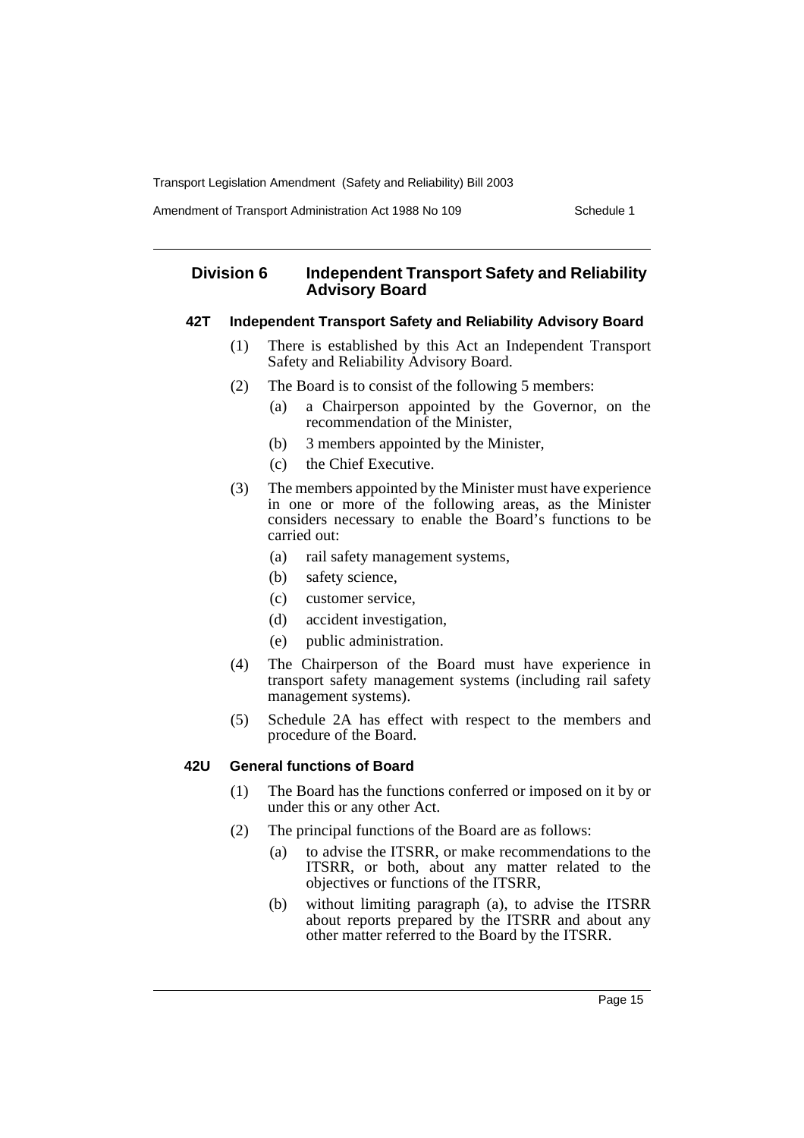Amendment of Transport Administration Act 1988 No 109 Schedule 1

# **Division 6 Independent Transport Safety and Reliability Advisory Board**

# **42T Independent Transport Safety and Reliability Advisory Board**

- (1) There is established by this Act an Independent Transport Safety and Reliability Advisory Board.
- (2) The Board is to consist of the following 5 members:
	- (a) a Chairperson appointed by the Governor, on the recommendation of the Minister,
	- (b) 3 members appointed by the Minister,
	- (c) the Chief Executive.
- (3) The members appointed by the Minister must have experience in one or more of the following areas, as the Minister considers necessary to enable the Board's functions to be carried out:
	- (a) rail safety management systems,
	- (b) safety science,
	- (c) customer service,
	- (d) accident investigation,
	- (e) public administration.
- (4) The Chairperson of the Board must have experience in transport safety management systems (including rail safety management systems).
- (5) Schedule 2A has effect with respect to the members and procedure of the Board.

# **42U General functions of Board**

- (1) The Board has the functions conferred or imposed on it by or under this or any other Act.
- (2) The principal functions of the Board are as follows:
	- (a) to advise the ITSRR, or make recommendations to the ITSRR, or both, about any matter related to the objectives or functions of the ITSRR,
	- (b) without limiting paragraph (a), to advise the ITSRR about reports prepared by the ITSRR and about any other matter referred to the Board by the ITSRR.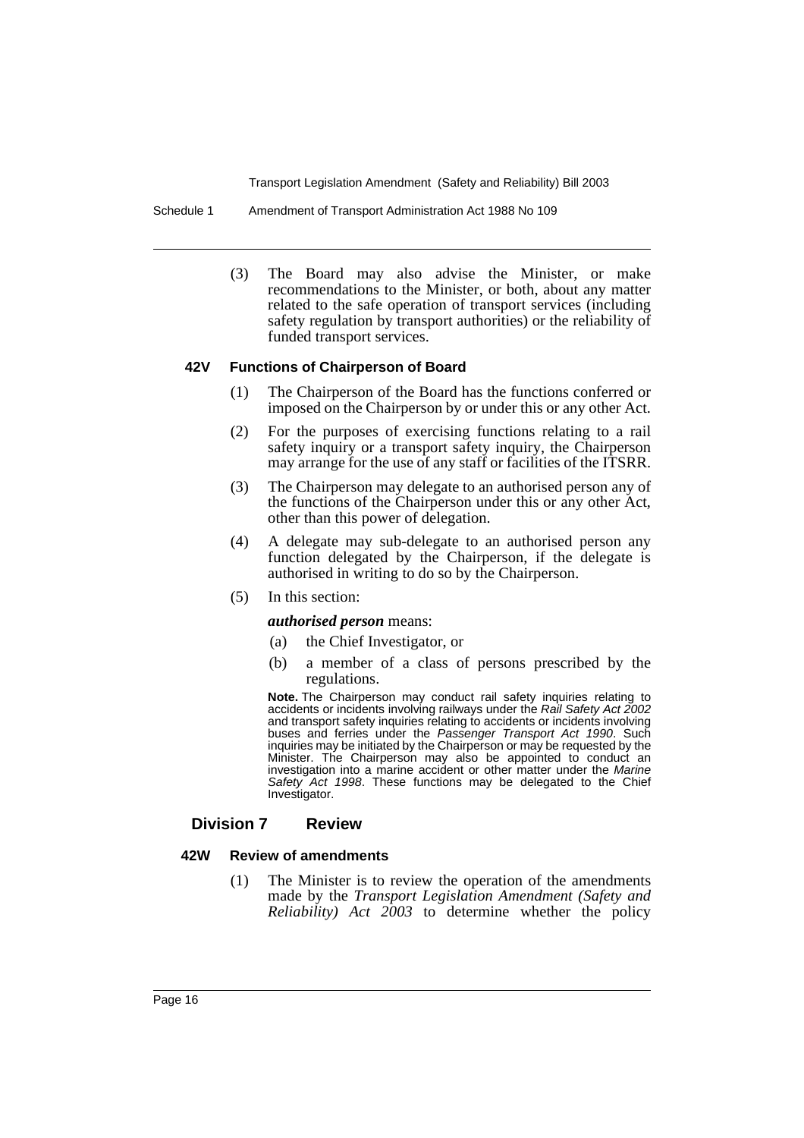Schedule 1 Amendment of Transport Administration Act 1988 No 109

(3) The Board may also advise the Minister, or make recommendations to the Minister, or both, about any matter related to the safe operation of transport services (including safety regulation by transport authorities) or the reliability of funded transport services.

# **42V Functions of Chairperson of Board**

- (1) The Chairperson of the Board has the functions conferred or imposed on the Chairperson by or under this or any other Act.
- (2) For the purposes of exercising functions relating to a rail safety inquiry or a transport safety inquiry, the Chairperson may arrange for the use of any staff or facilities of the ITSRR.
- (3) The Chairperson may delegate to an authorised person any of the functions of the Chairperson under this or any other Act, other than this power of delegation.
- (4) A delegate may sub-delegate to an authorised person any function delegated by the Chairperson, if the delegate is authorised in writing to do so by the Chairperson.
- (5) In this section:

#### *authorised person* means:

- (a) the Chief Investigator, or
- (b) a member of a class of persons prescribed by the regulations.

**Note.** The Chairperson may conduct rail safety inquiries relating to accidents or incidents involving railways under the Rail Safety Act 2002 and transport safety inquiries relating to accidents or incidents involving buses and ferries under the Passenger Transport Act 1990. Such inquiries may be initiated by the Chairperson or may be requested by the Minister. The Chairperson may also be appointed to conduct an investigation into a marine accident or other matter under the Marine investigation into a marine accident or other matter under the Marine Safety Act 1998. These functions may be delegated to the Chief Investigator.

# **Division 7 Review**

#### **42W Review of amendments**

(1) The Minister is to review the operation of the amendments made by the *Transport Legislation Amendment (Safety and Reliability) Act 2003* to determine whether the policy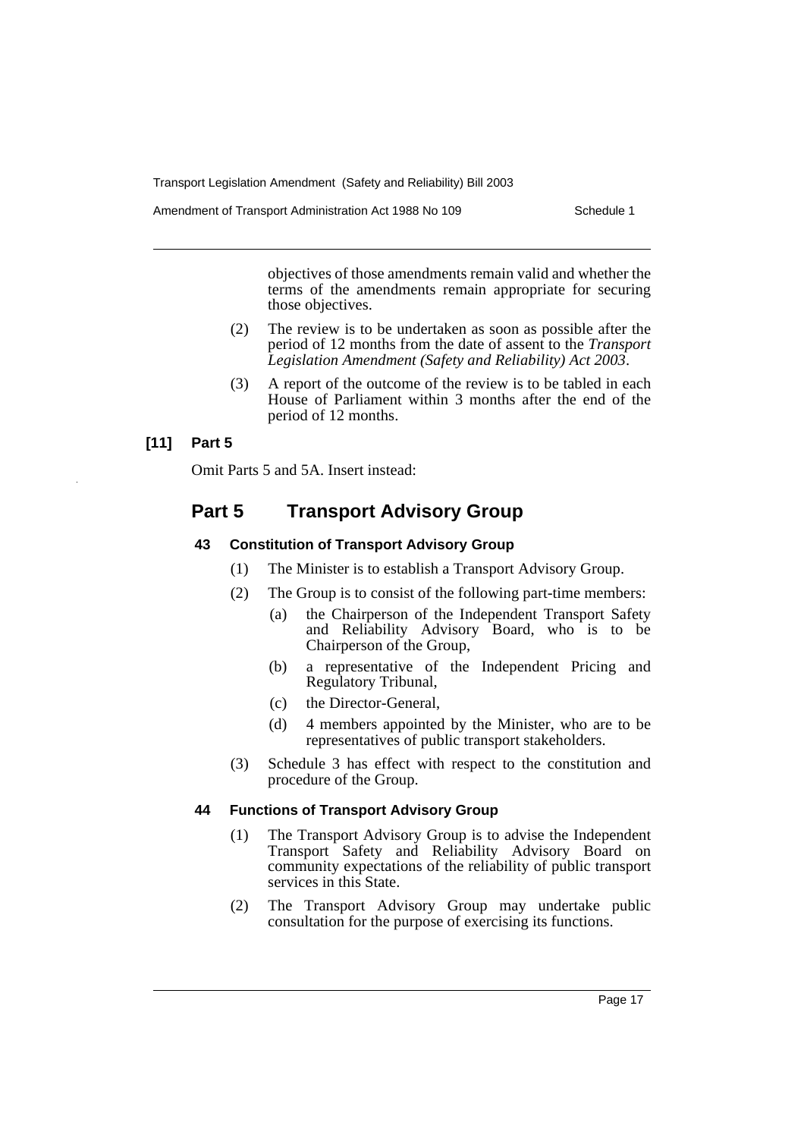Amendment of Transport Administration Act 1988 No 109 Schedule 1

objectives of those amendments remain valid and whether the terms of the amendments remain appropriate for securing those objectives.

- (2) The review is to be undertaken as soon as possible after the period of 12 months from the date of assent to the *Transport Legislation Amendment (Safety and Reliability) Act 2003*.
- (3) A report of the outcome of the review is to be tabled in each House of Parliament within 3 months after the end of the period of 12 months.

# **[11] Part 5**

Omit Parts 5 and 5A. Insert instead:

# **Part 5 Transport Advisory Group**

# **43 Constitution of Transport Advisory Group**

- (1) The Minister is to establish a Transport Advisory Group.
- (2) The Group is to consist of the following part-time members:
	- (a) the Chairperson of the Independent Transport Safety and Reliability Advisory Board, who is to be Chairperson of the Group,
	- (b) a representative of the Independent Pricing and Regulatory Tribunal,
	- (c) the Director-General,
	- (d) 4 members appointed by the Minister, who are to be representatives of public transport stakeholders.
- (3) Schedule 3 has effect with respect to the constitution and procedure of the Group.

# **44 Functions of Transport Advisory Group**

- (1) The Transport Advisory Group is to advise the Independent Transport Safety and Reliability Advisory Board on community expectations of the reliability of public transport services in this State.
- (2) The Transport Advisory Group may undertake public consultation for the purpose of exercising its functions.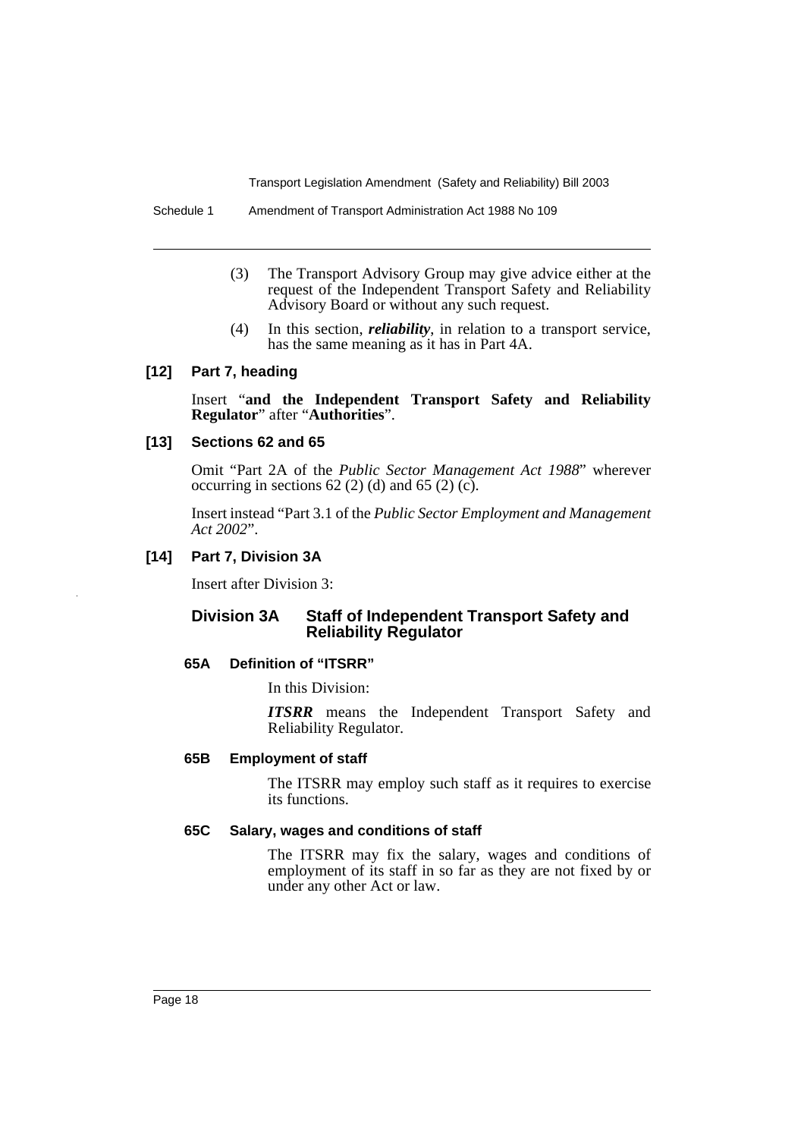Schedule 1 Amendment of Transport Administration Act 1988 No 109

- (3) The Transport Advisory Group may give advice either at the request of the Independent Transport Safety and Reliability Advisory Board or without any such request.
- (4) In this section, *reliability*, in relation to a transport service, has the same meaning as it has in Part 4A.

# **[12] Part 7, heading**

Insert "**and the Independent Transport Safety and Reliability Regulator**" after "**Authorities**".

## **[13] Sections 62 and 65**

Omit "Part 2A of the *Public Sector Management Act 1988*" wherever occurring in sections  $62$  (2) (d) and  $65$  (2) (c).

Insert instead "Part 3.1 of the *Public Sector Employment and Management Act 2002*".

# **[14] Part 7, Division 3A**

Insert after Division 3:

# **Division 3A Staff of Independent Transport Safety and Reliability Regulator**

#### **65A Definition of "ITSRR"**

In this Division:

*ITSRR* means the Independent Transport Safety and Reliability Regulator.

#### **65B Employment of staff**

The ITSRR may employ such staff as it requires to exercise its functions.

# **65C Salary, wages and conditions of staff**

The ITSRR may fix the salary, wages and conditions of employment of its staff in so far as they are not fixed by or under any other Act or law.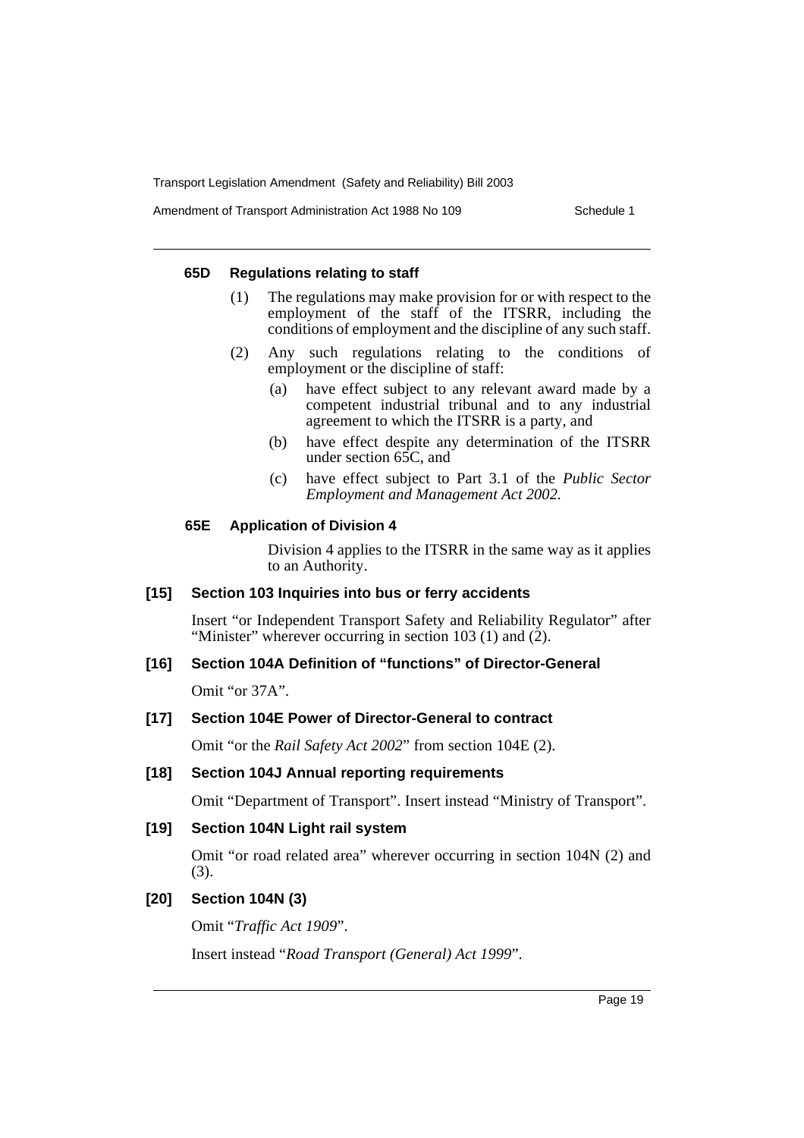Amendment of Transport Administration Act 1988 No 109 Schedule 1

## **65D Regulations relating to staff**

- (1) The regulations may make provision for or with respect to the employment of the staff of the ITSRR, including the conditions of employment and the discipline of any such staff.
- (2) Any such regulations relating to the conditions of employment or the discipline of staff:
	- (a) have effect subject to any relevant award made by a competent industrial tribunal and to any industrial agreement to which the ITSRR is a party, and
	- (b) have effect despite any determination of the ITSRR under section 65C, and
	- (c) have effect subject to Part 3.1 of the *Public Sector Employment and Management Act 2002.*

# **65E Application of Division 4**

Division 4 applies to the ITSRR in the same way as it applies to an Authority.

# **[15] Section 103 Inquiries into bus or ferry accidents**

Insert "or Independent Transport Safety and Reliability Regulator" after "Minister" wherever occurring in section 103 (1) and  $(2)$ .

# **[16] Section 104A Definition of "functions" of Director-General**

Omit "or 37A".

# **[17] Section 104E Power of Director-General to contract**

Omit "or the *Rail Safety Act 2002*" from section 104E (2).

# **[18] Section 104J Annual reporting requirements**

Omit "Department of Transport". Insert instead "Ministry of Transport".

# **[19] Section 104N Light rail system**

Omit "or road related area" wherever occurring in section 104N (2) and (3).

# **[20] Section 104N (3)**

Omit "*Traffic Act 1909*".

Insert instead "*Road Transport (General) Act 1999*".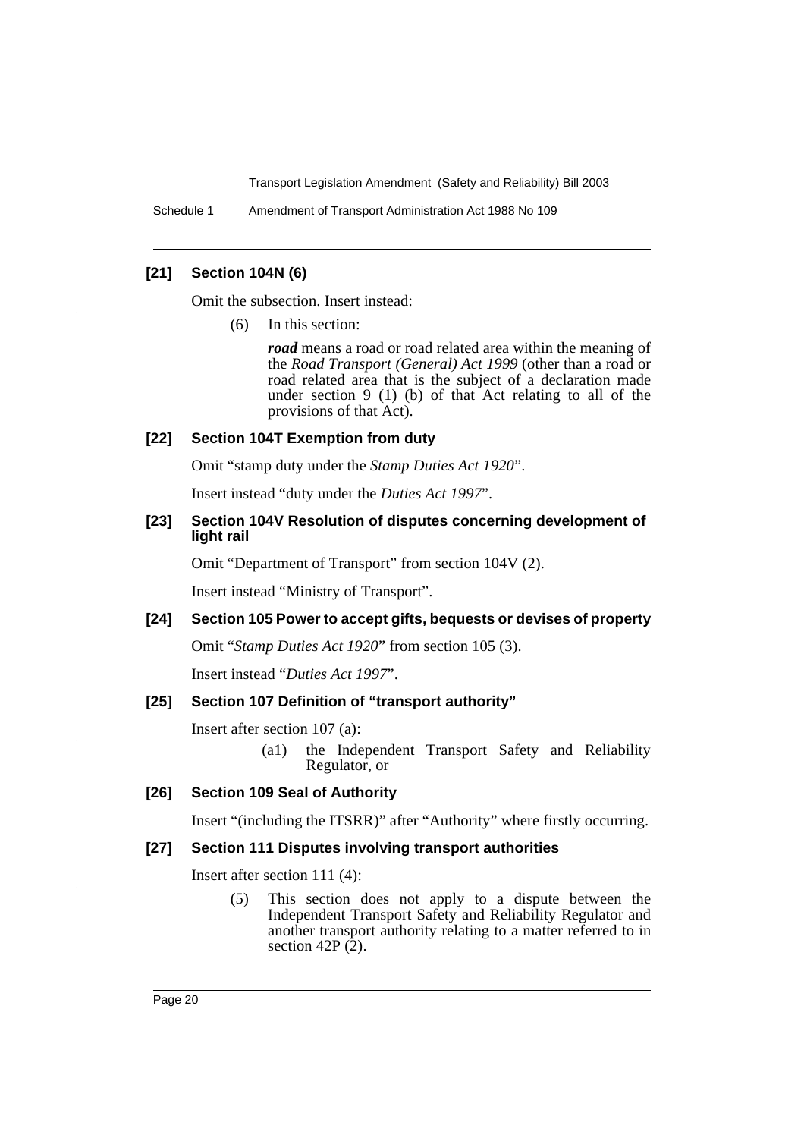Schedule 1 Amendment of Transport Administration Act 1988 No 109

# **[21] Section 104N (6)**

Omit the subsection. Insert instead:

(6) In this section:

*road* means a road or road related area within the meaning of the *Road Transport (General) Act 1999* (other than a road or road related area that is the subject of a declaration made under section 9 (1) (b) of that Act relating to all of the provisions of that Act).

# **[22] Section 104T Exemption from duty**

Omit "stamp duty under the *Stamp Duties Act 1920*".

Insert instead "duty under the *Duties Act 1997*".

# **[23] Section 104V Resolution of disputes concerning development of light rail**

Omit "Department of Transport" from section 104V (2).

Insert instead "Ministry of Transport".

#### **[24] Section 105 Power to accept gifts, bequests or devises of property**

Omit "*Stamp Duties Act 1920*" from section 105 (3).

Insert instead "*Duties Act 1997*".

## **[25] Section 107 Definition of "transport authority"**

Insert after section 107 (a):

(a1) the Independent Transport Safety and Reliability Regulator, or

#### **[26] Section 109 Seal of Authority**

Insert "(including the ITSRR)" after "Authority" where firstly occurring.

#### **[27] Section 111 Disputes involving transport authorities**

Insert after section 111 (4):

(5) This section does not apply to a dispute between the Independent Transport Safety and Reliability Regulator and another transport authority relating to a matter referred to in section 42P $(\overline{2})$ .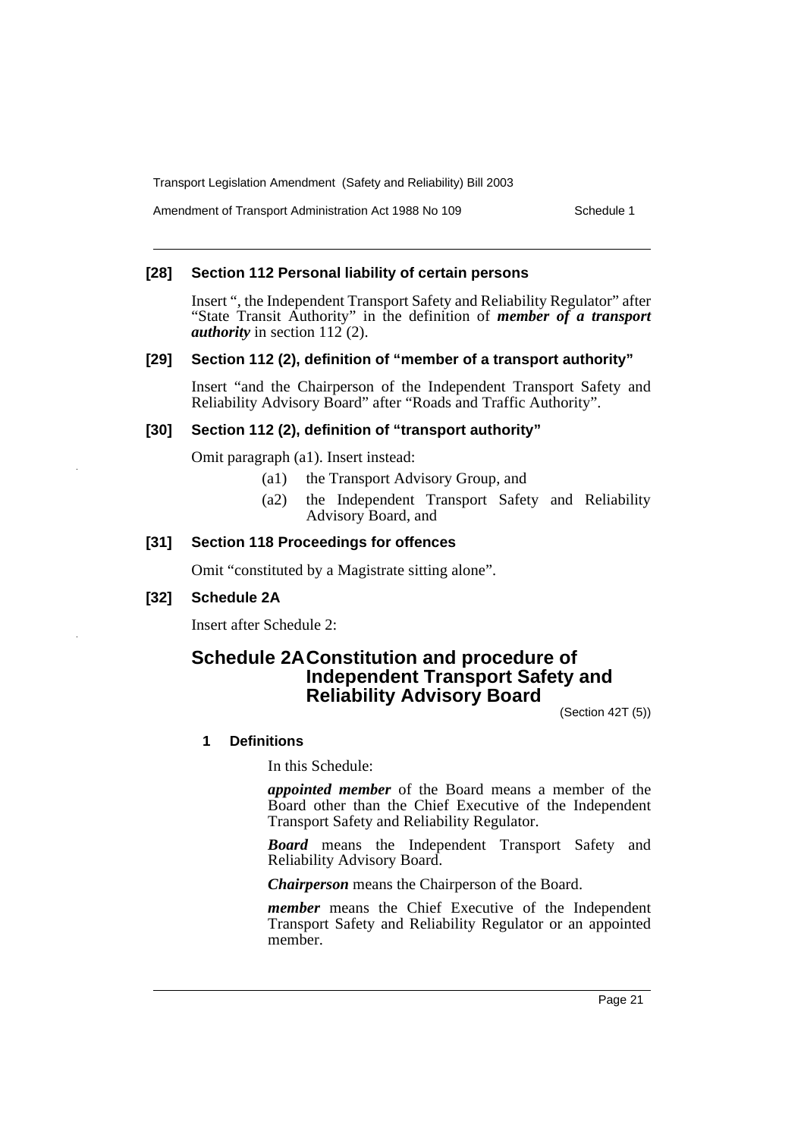Amendment of Transport Administration Act 1988 No 109 Schedule 1

# **[28] Section 112 Personal liability of certain persons**

Insert ", the Independent Transport Safety and Reliability Regulator" after "State Transit Authority" in the definition of *member of a transport authority* in section 112 (2).

# **[29] Section 112 (2), definition of "member of a transport authority"**

Insert "and the Chairperson of the Independent Transport Safety and Reliability Advisory Board" after "Roads and Traffic Authority".

#### **[30] Section 112 (2), definition of "transport authority"**

Omit paragraph (a1). Insert instead:

- (a1) the Transport Advisory Group, and
- (a2) the Independent Transport Safety and Reliability Advisory Board, and

#### **[31] Section 118 Proceedings for offences**

Omit "constituted by a Magistrate sitting alone".

# **[32] Schedule 2A**

Insert after Schedule 2:

# **Schedule 2AConstitution and procedure of Independent Transport Safety and Reliability Advisory Board**

(Section 42T (5))

#### **1 Definitions**

In this Schedule:

*appointed member* of the Board means a member of the Board other than the Chief Executive of the Independent Transport Safety and Reliability Regulator.

*Board* means the Independent Transport Safety and Reliability Advisory Board.

*Chairperson* means the Chairperson of the Board.

*member* means the Chief Executive of the Independent Transport Safety and Reliability Regulator or an appointed member.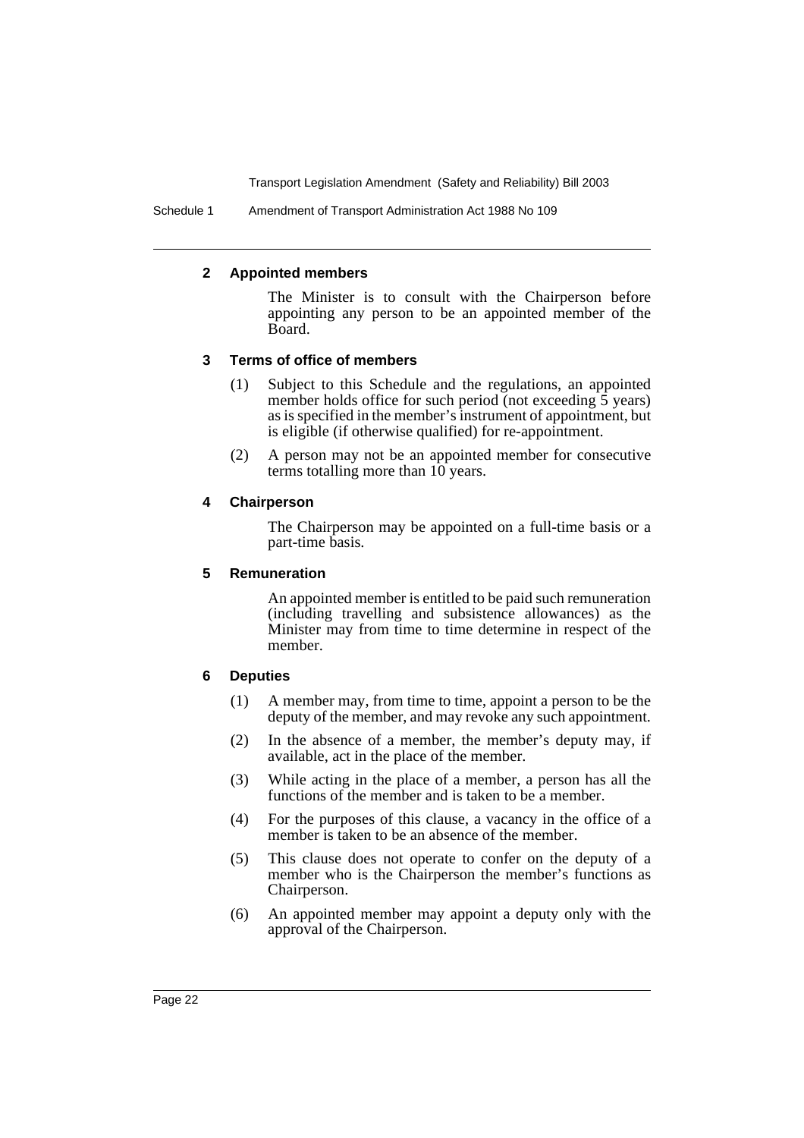Schedule 1 Amendment of Transport Administration Act 1988 No 109

#### **2 Appointed members**

The Minister is to consult with the Chairperson before appointing any person to be an appointed member of the Board.

#### **3 Terms of office of members**

- (1) Subject to this Schedule and the regulations, an appointed member holds office for such period (not exceeding 5 years) as is specified in the member's instrument of appointment, but is eligible (if otherwise qualified) for re-appointment.
- (2) A person may not be an appointed member for consecutive terms totalling more than 10 years.

#### **4 Chairperson**

The Chairperson may be appointed on a full-time basis or a part-time basis.

## **5 Remuneration**

An appointed member is entitled to be paid such remuneration (including travelling and subsistence allowances) as the Minister may from time to time determine in respect of the member.

# **6 Deputies**

- (1) A member may, from time to time, appoint a person to be the deputy of the member, and may revoke any such appointment.
- (2) In the absence of a member, the member's deputy may, if available, act in the place of the member.
- (3) While acting in the place of a member, a person has all the functions of the member and is taken to be a member.
- (4) For the purposes of this clause, a vacancy in the office of a member is taken to be an absence of the member.
- (5) This clause does not operate to confer on the deputy of a member who is the Chairperson the member's functions as Chairperson.
- (6) An appointed member may appoint a deputy only with the approval of the Chairperson.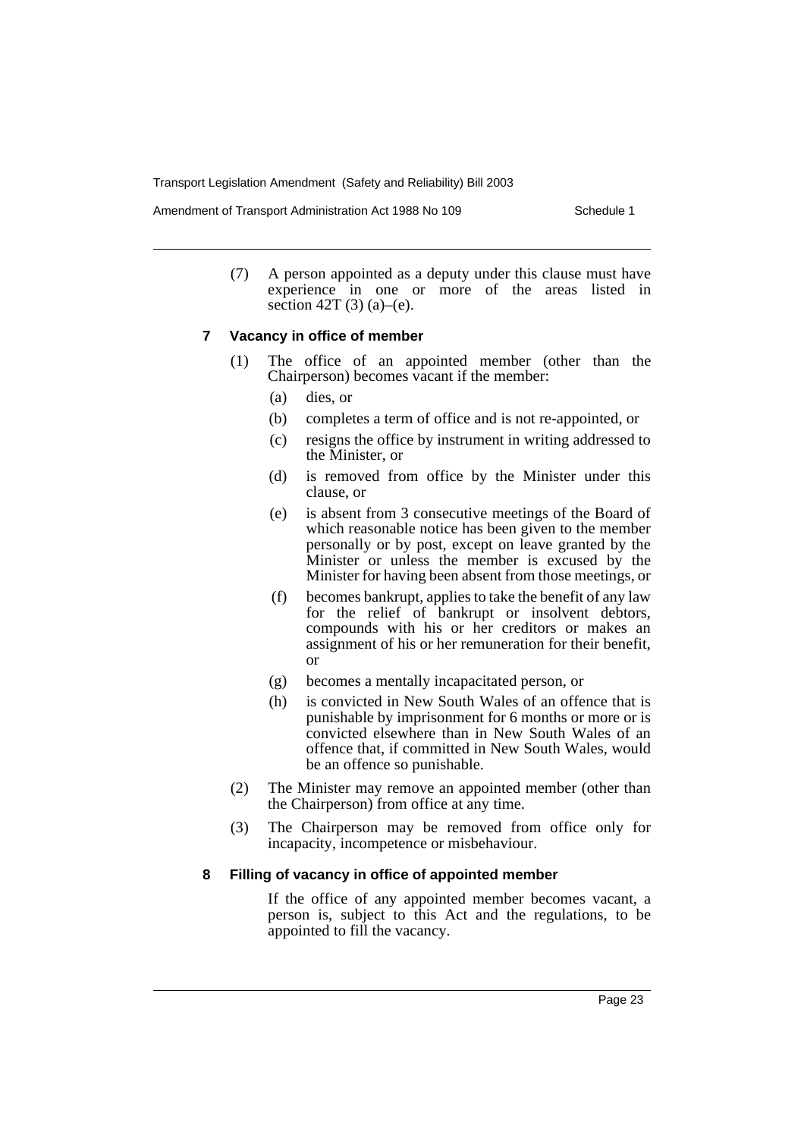Amendment of Transport Administration Act 1988 No 109 Schedule 1

(7) A person appointed as a deputy under this clause must have experience in one or more of the areas listed in section 42T (3) (a)–(e).

#### **7 Vacancy in office of member**

- (1) The office of an appointed member (other than the Chairperson) becomes vacant if the member:
	- (a) dies, or
	- (b) completes a term of office and is not re-appointed, or
	- (c) resigns the office by instrument in writing addressed to the Minister, or
	- (d) is removed from office by the Minister under this clause, or
	- (e) is absent from 3 consecutive meetings of the Board of which reasonable notice has been given to the member personally or by post, except on leave granted by the Minister or unless the member is excused by the Minister for having been absent from those meetings, or
	- (f) becomes bankrupt, applies to take the benefit of any law for the relief of bankrupt or insolvent debtors, compounds with his or her creditors or makes an assignment of his or her remuneration for their benefit, or
	- (g) becomes a mentally incapacitated person, or
	- (h) is convicted in New South Wales of an offence that is punishable by imprisonment for 6 months or more or is convicted elsewhere than in New South Wales of an offence that, if committed in New South Wales, would be an offence so punishable.
- (2) The Minister may remove an appointed member (other than the Chairperson) from office at any time.
- (3) The Chairperson may be removed from office only for incapacity, incompetence or misbehaviour.

#### **8 Filling of vacancy in office of appointed member**

If the office of any appointed member becomes vacant, a person is, subject to this Act and the regulations, to be appointed to fill the vacancy.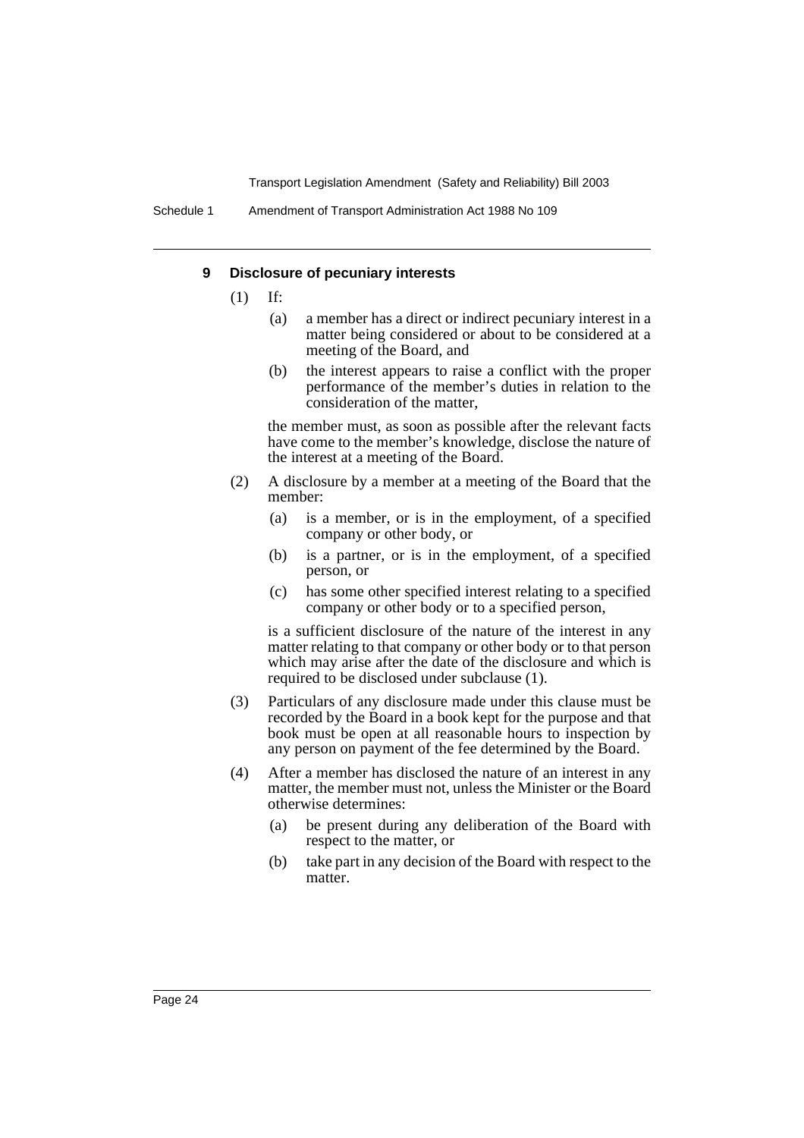#### **9 Disclosure of pecuniary interests**

- (1) If:
	- (a) a member has a direct or indirect pecuniary interest in a matter being considered or about to be considered at a meeting of the Board, and
	- (b) the interest appears to raise a conflict with the proper performance of the member's duties in relation to the consideration of the matter,

the member must, as soon as possible after the relevant facts have come to the member's knowledge, disclose the nature of the interest at a meeting of the Board.

- (2) A disclosure by a member at a meeting of the Board that the member:
	- (a) is a member, or is in the employment, of a specified company or other body, or
	- (b) is a partner, or is in the employment, of a specified person, or
	- (c) has some other specified interest relating to a specified company or other body or to a specified person,

is a sufficient disclosure of the nature of the interest in any matter relating to that company or other body or to that person which may arise after the date of the disclosure and which is required to be disclosed under subclause (1).

- (3) Particulars of any disclosure made under this clause must be recorded by the Board in a book kept for the purpose and that book must be open at all reasonable hours to inspection by any person on payment of the fee determined by the Board.
- (4) After a member has disclosed the nature of an interest in any matter, the member must not, unless the Minister or the Board otherwise determines:
	- (a) be present during any deliberation of the Board with respect to the matter, or
	- (b) take part in any decision of the Board with respect to the matter.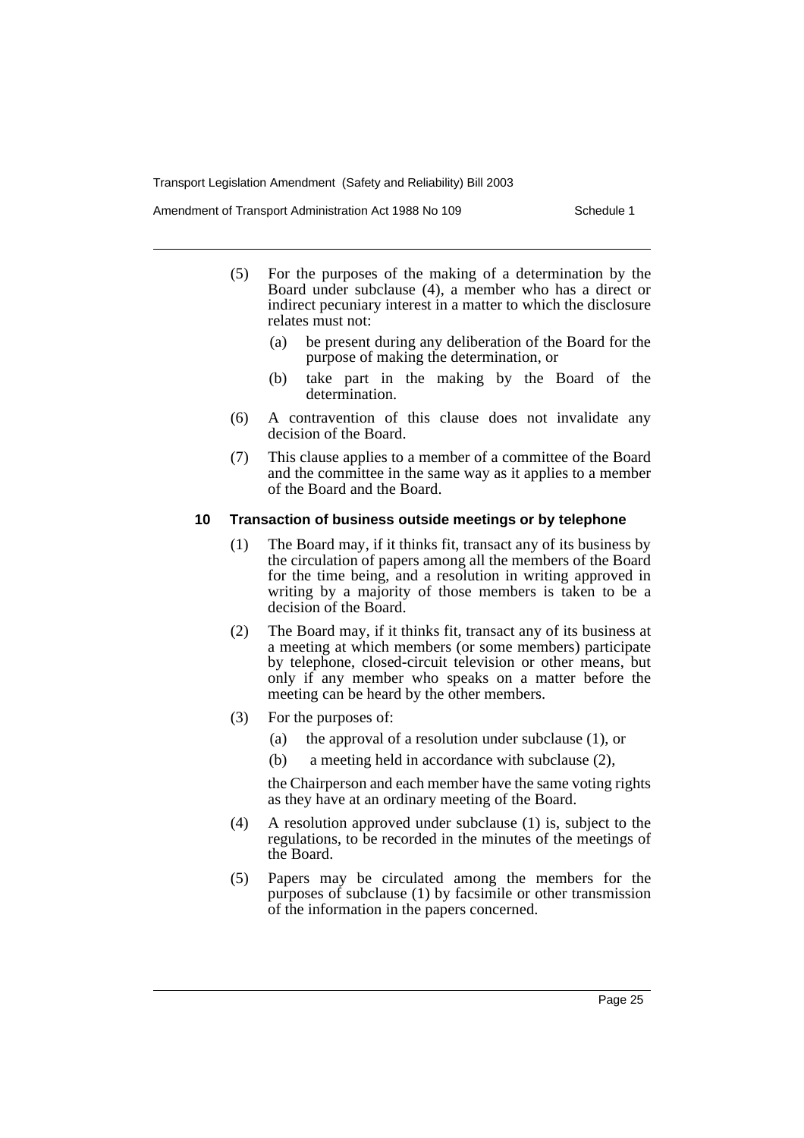Amendment of Transport Administration Act 1988 No 109 Schedule 1

- (5) For the purposes of the making of a determination by the Board under subclause (4), a member who has a direct or indirect pecuniary interest in a matter to which the disclosure relates must not:
	- (a) be present during any deliberation of the Board for the purpose of making the determination, or
	- (b) take part in the making by the Board of the determination.
- (6) A contravention of this clause does not invalidate any decision of the Board.
- (7) This clause applies to a member of a committee of the Board and the committee in the same way as it applies to a member of the Board and the Board.

## **10 Transaction of business outside meetings or by telephone**

- (1) The Board may, if it thinks fit, transact any of its business by the circulation of papers among all the members of the Board for the time being, and a resolution in writing approved in writing by a majority of those members is taken to be a decision of the Board.
- (2) The Board may, if it thinks fit, transact any of its business at a meeting at which members (or some members) participate by telephone, closed-circuit television or other means, but only if any member who speaks on a matter before the meeting can be heard by the other members.
- (3) For the purposes of:
	- (a) the approval of a resolution under subclause (1), or
	- (b) a meeting held in accordance with subclause (2),

the Chairperson and each member have the same voting rights as they have at an ordinary meeting of the Board.

- (4) A resolution approved under subclause (1) is, subject to the regulations, to be recorded in the minutes of the meetings of the Board.
- (5) Papers may be circulated among the members for the purposes of subclause (1) by facsimile or other transmission of the information in the papers concerned.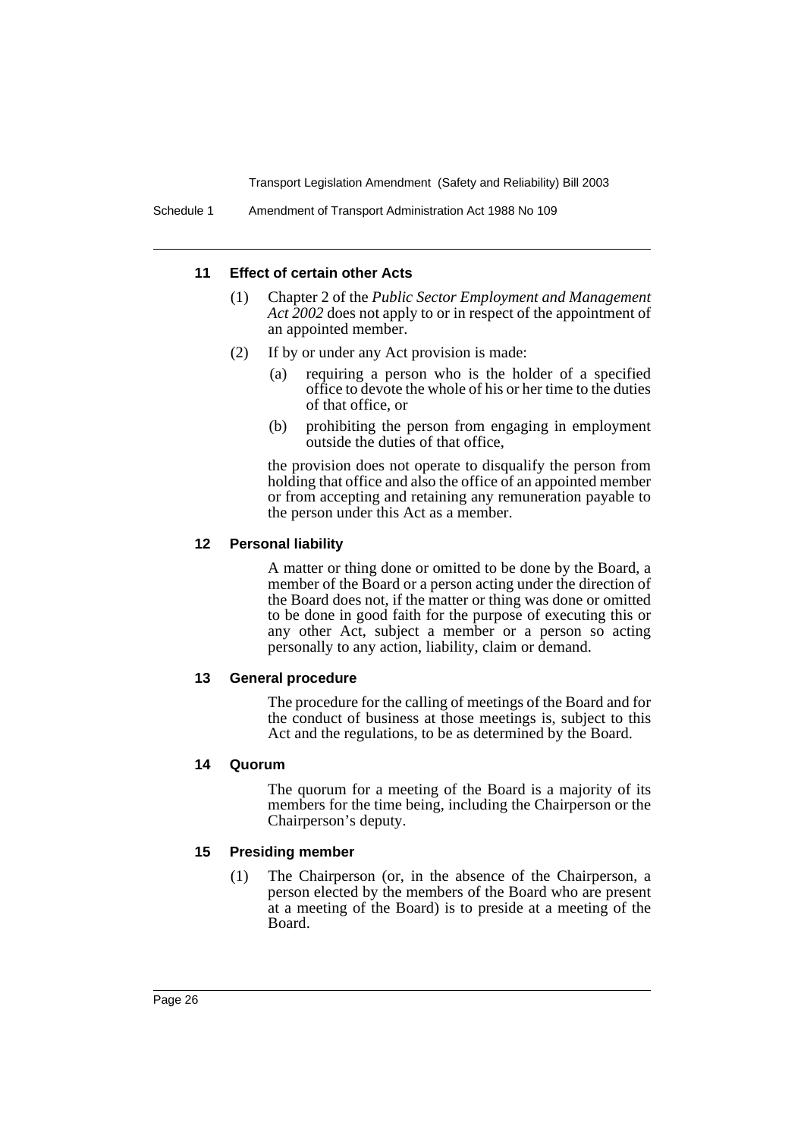#### **11 Effect of certain other Acts**

- (1) Chapter 2 of the *Public Sector Employment and Management Act 2002* does not apply to or in respect of the appointment of an appointed member.
- (2) If by or under any Act provision is made:
	- (a) requiring a person who is the holder of a specified office to devote the whole of his or her time to the duties of that office, or
	- (b) prohibiting the person from engaging in employment outside the duties of that office,

the provision does not operate to disqualify the person from holding that office and also the office of an appointed member or from accepting and retaining any remuneration payable to the person under this Act as a member.

#### **12 Personal liability**

A matter or thing done or omitted to be done by the Board, a member of the Board or a person acting under the direction of the Board does not, if the matter or thing was done or omitted to be done in good faith for the purpose of executing this or any other Act, subject a member or a person so acting personally to any action, liability, claim or demand.

### **13 General procedure**

The procedure for the calling of meetings of the Board and for the conduct of business at those meetings is, subject to this Act and the regulations, to be as determined by the Board.

#### **14 Quorum**

The quorum for a meeting of the Board is a majority of its members for the time being, including the Chairperson or the Chairperson's deputy.

#### **15 Presiding member**

(1) The Chairperson (or, in the absence of the Chairperson, a person elected by the members of the Board who are present at a meeting of the Board) is to preside at a meeting of the Board.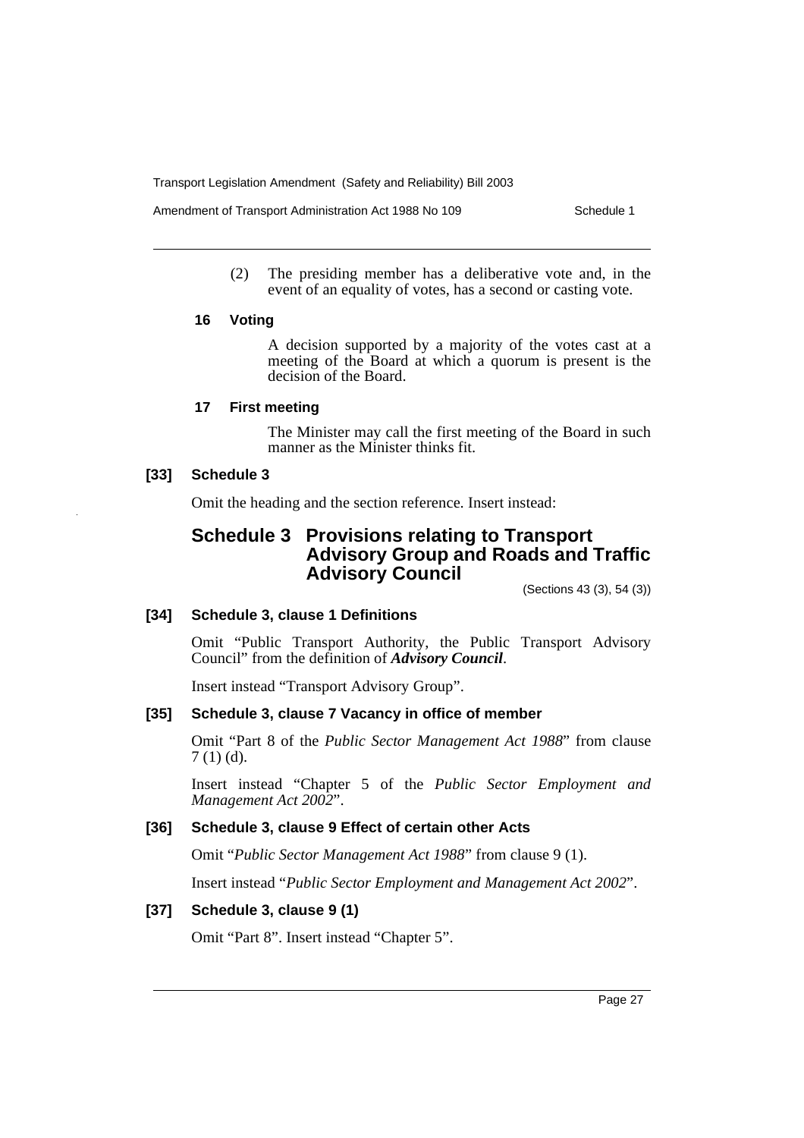Amendment of Transport Administration Act 1988 No 109 Schedule 1

(2) The presiding member has a deliberative vote and, in the event of an equality of votes, has a second or casting vote.

#### **16 Voting**

A decision supported by a majority of the votes cast at a meeting of the Board at which a quorum is present is the decision of the Board.

# **17 First meeting**

The Minister may call the first meeting of the Board in such manner as the Minister thinks fit.

# **[33] Schedule 3**

Omit the heading and the section reference. Insert instead:

# **Schedule 3 Provisions relating to Transport Advisory Group and Roads and Traffic Advisory Council**

(Sections 43 (3), 54 (3))

#### **[34] Schedule 3, clause 1 Definitions**

Omit "Public Transport Authority, the Public Transport Advisory Council" from the definition of *Advisory Council*.

Insert instead "Transport Advisory Group".

# **[35] Schedule 3, clause 7 Vacancy in office of member**

Omit "Part 8 of the *Public Sector Management Act 1988*" from clause 7 (1) (d).

Insert instead "Chapter 5 of the *Public Sector Employment and Management Act 2002*".

# **[36] Schedule 3, clause 9 Effect of certain other Acts**

Omit "*Public Sector Management Act 1988*" from clause 9 (1).

Insert instead "*Public Sector Employment and Management Act 2002*".

## **[37] Schedule 3, clause 9 (1)**

Omit "Part 8". Insert instead "Chapter 5".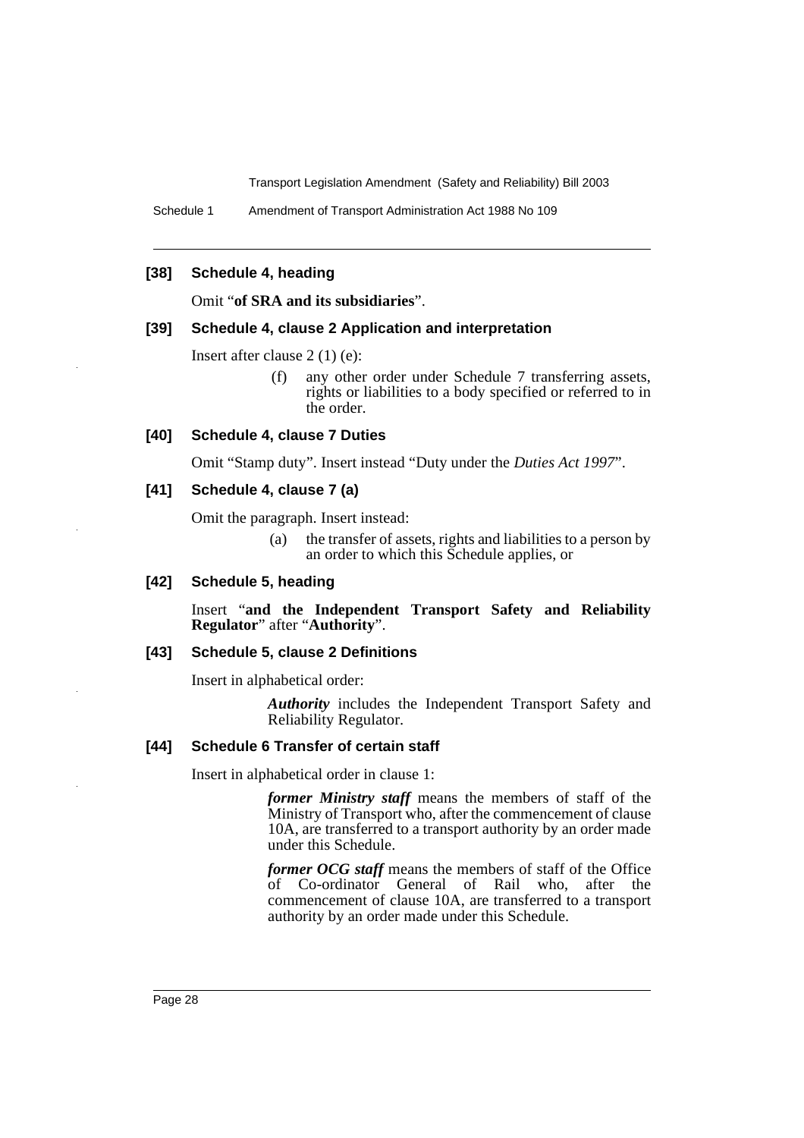Schedule 1 Amendment of Transport Administration Act 1988 No 109

# **[38] Schedule 4, heading**

Omit "**of SRA and its subsidiaries**".

#### **[39] Schedule 4, clause 2 Application and interpretation**

Insert after clause 2 (1) (e):

(f) any other order under Schedule 7 transferring assets, rights or liabilities to a body specified or referred to in the order.

#### **[40] Schedule 4, clause 7 Duties**

Omit "Stamp duty". Insert instead "Duty under the *Duties Act 1997*".

#### **[41] Schedule 4, clause 7 (a)**

Omit the paragraph. Insert instead:

(a) the transfer of assets, rights and liabilities to a person by an order to which this Schedule applies, or

# **[42] Schedule 5, heading**

Insert "**and the Independent Transport Safety and Reliability Regulator**" after "**Authority**".

#### **[43] Schedule 5, clause 2 Definitions**

Insert in alphabetical order:

*Authority* includes the Independent Transport Safety and Reliability Regulator.

## **[44] Schedule 6 Transfer of certain staff**

Insert in alphabetical order in clause 1:

*former Ministry staff* means the members of staff of the Ministry of Transport who, after the commencement of clause 10A, are transferred to a transport authority by an order made under this Schedule.

*former OCG staff* means the members of staff of the Office of Co-ordinator General of Rail who, after the commencement of clause 10A, are transferred to a transport authority by an order made under this Schedule.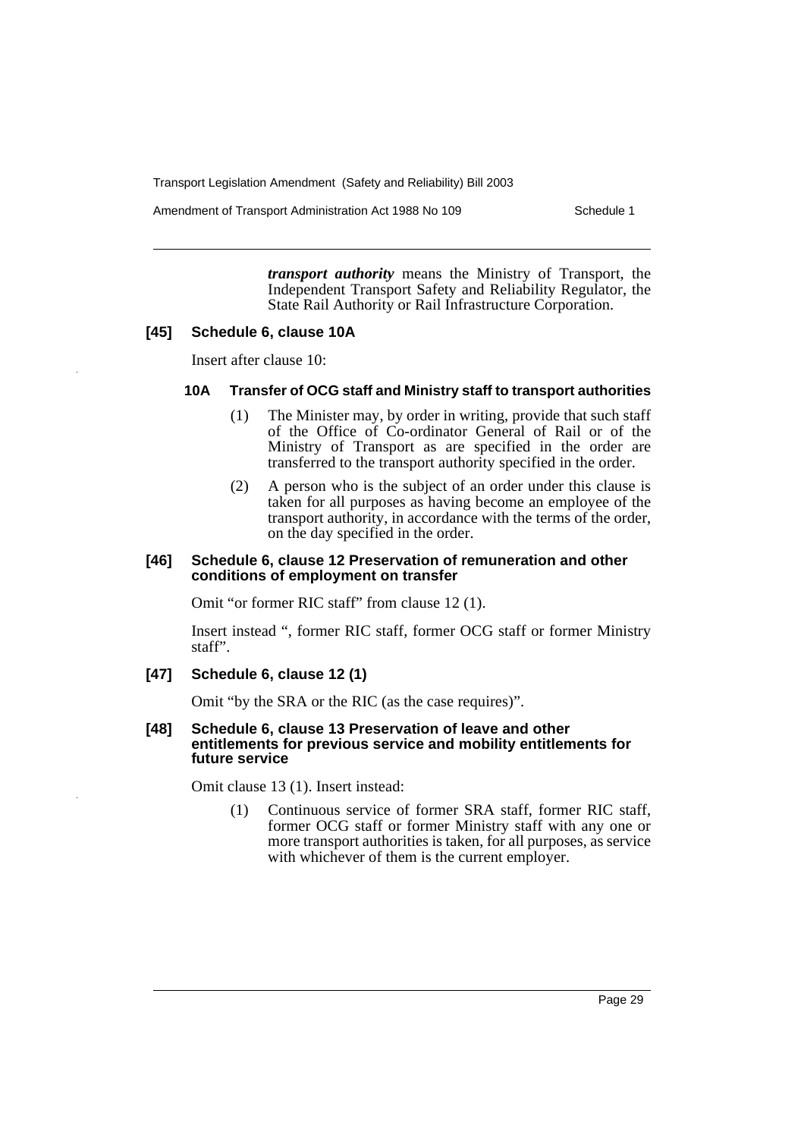Amendment of Transport Administration Act 1988 No 109 Schedule 1

*transport authority* means the Ministry of Transport, the Independent Transport Safety and Reliability Regulator, the State Rail Authority or Rail Infrastructure Corporation.

# **[45] Schedule 6, clause 10A**

Insert after clause 10:

#### **10A Transfer of OCG staff and Ministry staff to transport authorities**

- (1) The Minister may, by order in writing, provide that such staff of the Office of Co-ordinator General of Rail or of the Ministry of Transport as are specified in the order are transferred to the transport authority specified in the order.
- (2) A person who is the subject of an order under this clause is taken for all purposes as having become an employee of the transport authority, in accordance with the terms of the order, on the day specified in the order.

#### **[46] Schedule 6, clause 12 Preservation of remuneration and other conditions of employment on transfer**

Omit "or former RIC staff" from clause 12 (1).

Insert instead ", former RIC staff, former OCG staff or former Ministry staff".

# **[47] Schedule 6, clause 12 (1)**

Omit "by the SRA or the RIC (as the case requires)".

#### **[48] Schedule 6, clause 13 Preservation of leave and other entitlements for previous service and mobility entitlements for future service**

Omit clause 13 (1). Insert instead:

(1) Continuous service of former SRA staff, former RIC staff, former OCG staff or former Ministry staff with any one or more transport authorities is taken, for all purposes, as service with whichever of them is the current employer.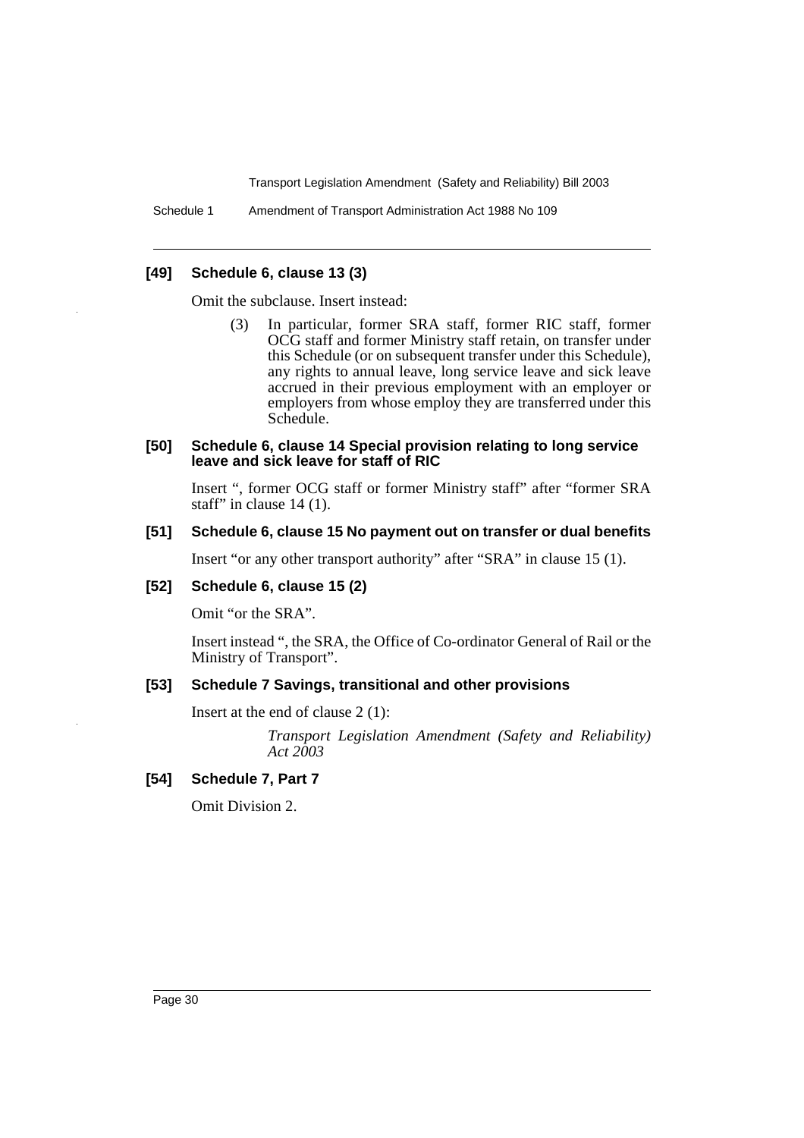Schedule 1 Amendment of Transport Administration Act 1988 No 109

# **[49] Schedule 6, clause 13 (3)**

Omit the subclause. Insert instead:

(3) In particular, former SRA staff, former RIC staff, former OCG staff and former Ministry staff retain, on transfer under this Schedule (or on subsequent transfer under this Schedule), any rights to annual leave, long service leave and sick leave accrued in their previous employment with an employer or employers from whose employ they are transferred under this Schedule.

## **[50] Schedule 6, clause 14 Special provision relating to long service leave and sick leave for staff of RIC**

Insert ", former OCG staff or former Ministry staff" after "former SRA staff" in clause 14 (1).

#### **[51] Schedule 6, clause 15 No payment out on transfer or dual benefits**

Insert "or any other transport authority" after "SRA" in clause 15 (1).

#### **[52] Schedule 6, clause 15 (2)**

Omit "or the SRA".

Insert instead ", the SRA, the Office of Co-ordinator General of Rail or the Ministry of Transport".

# **[53] Schedule 7 Savings, transitional and other provisions**

Insert at the end of clause 2 (1):

*Transport Legislation Amendment (Safety and Reliability) Act 2003*

# **[54] Schedule 7, Part 7**

Omit Division 2.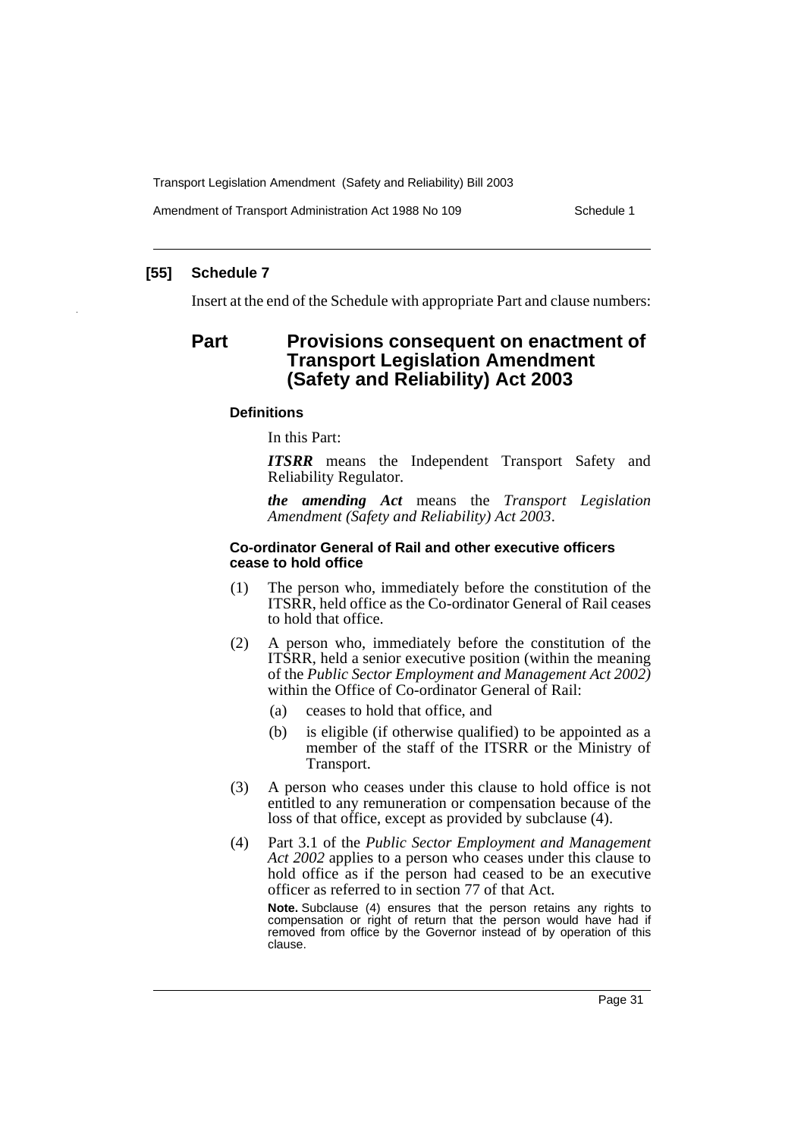Amendment of Transport Administration Act 1988 No 109 Schedule 1

## **[55] Schedule 7**

Insert at the end of the Schedule with appropriate Part and clause numbers:

# **Part Provisions consequent on enactment of Transport Legislation Amendment (Safety and Reliability) Act 2003**

#### **Definitions**

In this Part:

*ITSRR* means the Independent Transport Safety and Reliability Regulator.

*the amending Act* means the *Transport Legislation Amendment (Safety and Reliability) Act 2003*.

#### **Co-ordinator General of Rail and other executive officers cease to hold office**

- (1) The person who, immediately before the constitution of the ITSRR, held office as the Co-ordinator General of Rail ceases to hold that office.
- (2) A person who, immediately before the constitution of the ITSRR, held a senior executive position (within the meaning of the *Public Sector Employment and Management Act 2002)* within the Office of Co-ordinator General of Rail:
	- (a) ceases to hold that office, and
	- (b) is eligible (if otherwise qualified) to be appointed as a member of the staff of the ITSRR or the Ministry of Transport.
- (3) A person who ceases under this clause to hold office is not entitled to any remuneration or compensation because of the loss of that office, except as provided by subclause (4).
- (4) Part 3.1 of the *Public Sector Employment and Management Act 2002* applies to a person who ceases under this clause to hold office as if the person had ceased to be an executive officer as referred to in section 77 of that Act.

**Note.** Subclause (4) ensures that the person retains any rights to compensation or right of return that the person would have had if removed from office by the Governor instead of by operation of this clause.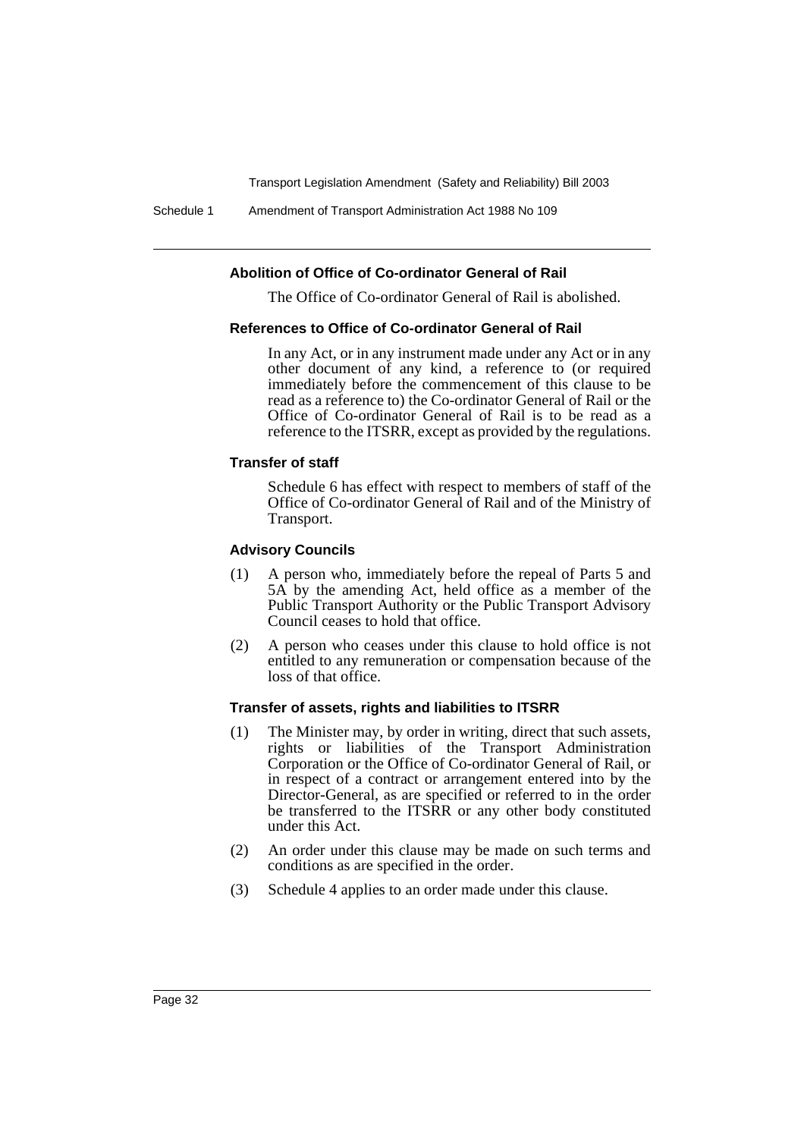Schedule 1 Amendment of Transport Administration Act 1988 No 109

# **Abolition of Office of Co-ordinator General of Rail**

The Office of Co-ordinator General of Rail is abolished.

#### **References to Office of Co-ordinator General of Rail**

In any Act, or in any instrument made under any Act or in any other document of any kind, a reference to (or required immediately before the commencement of this clause to be read as a reference to) the Co-ordinator General of Rail or the Office of Co-ordinator General of Rail is to be read as a reference to the ITSRR, except as provided by the regulations.

#### **Transfer of staff**

Schedule 6 has effect with respect to members of staff of the Office of Co-ordinator General of Rail and of the Ministry of Transport.

#### **Advisory Councils**

- (1) A person who, immediately before the repeal of Parts 5 and 5A by the amending Act, held office as a member of the Public Transport Authority or the Public Transport Advisory Council ceases to hold that office.
- (2) A person who ceases under this clause to hold office is not entitled to any remuneration or compensation because of the loss of that office.

## **Transfer of assets, rights and liabilities to ITSRR**

- (1) The Minister may, by order in writing, direct that such assets, rights or liabilities of the Transport Administration Corporation or the Office of Co-ordinator General of Rail, or in respect of a contract or arrangement entered into by the Director-General, as are specified or referred to in the order be transferred to the ITSRR or any other body constituted under this Act.
- (2) An order under this clause may be made on such terms and conditions as are specified in the order.
- (3) Schedule 4 applies to an order made under this clause.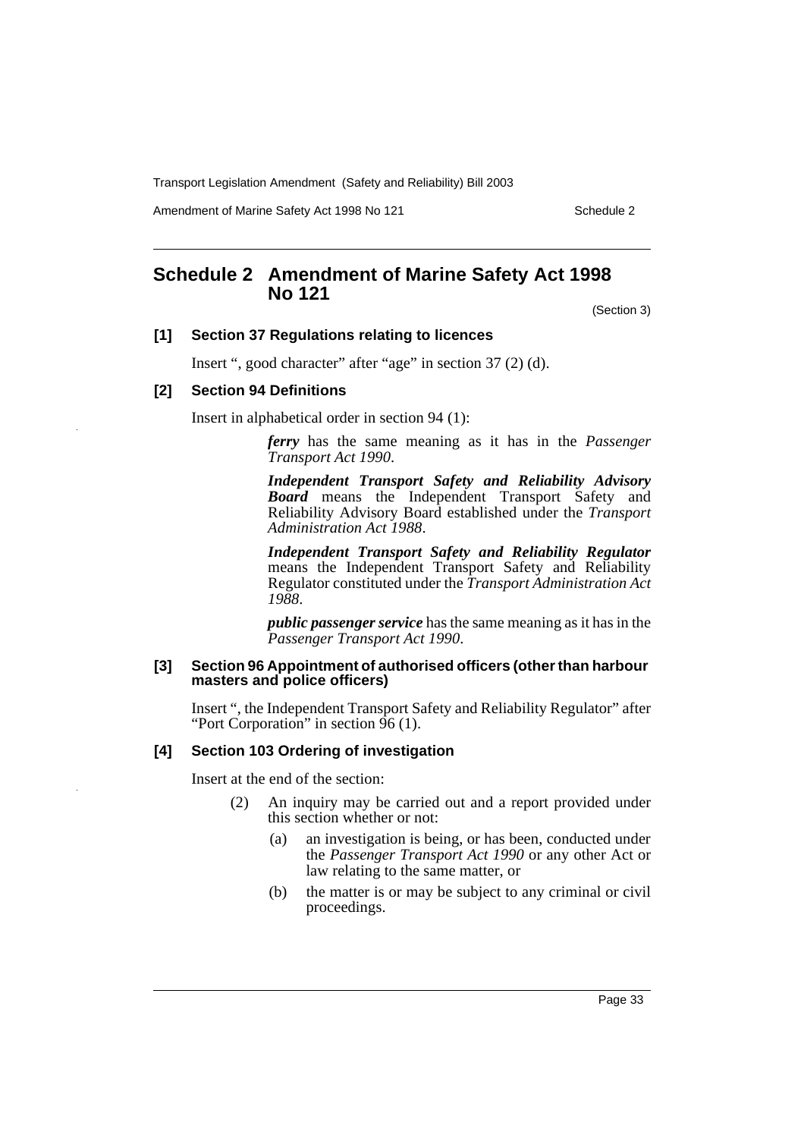Amendment of Marine Safety Act 1998 No 121 Schedule 2

# **Schedule 2 Amendment of Marine Safety Act 1998 No 121**

(Section 3)

# **[1] Section 37 Regulations relating to licences**

Insert ", good character" after "age" in section 37 (2) (d).

# **[2] Section 94 Definitions**

Insert in alphabetical order in section 94 (1):

*ferry* has the same meaning as it has in the *Passenger Transport Act 1990*.

*Independent Transport Safety and Reliability Advisory Board* means the Independent Transport Safety and Reliability Advisory Board established under the *Transport Administration Act 1988*.

*Independent Transport Safety and Reliability Regulator* means the Independent Transport Safety and Reliability Regulator constituted under the *Transport Administration Act 1988*.

*public passenger service* has the same meaning as it has in the *Passenger Transport Act 1990*.

#### **[3] Section 96 Appointment of authorised officers (other than harbour masters and police officers)**

Insert ", the Independent Transport Safety and Reliability Regulator" after "Port Corporation" in section 96 (1).

# **[4] Section 103 Ordering of investigation**

Insert at the end of the section:

- (2) An inquiry may be carried out and a report provided under this section whether or not:
	- (a) an investigation is being, or has been, conducted under the *Passenger Transport Act 1990* or any other Act or law relating to the same matter, or
	- (b) the matter is or may be subject to any criminal or civil proceedings.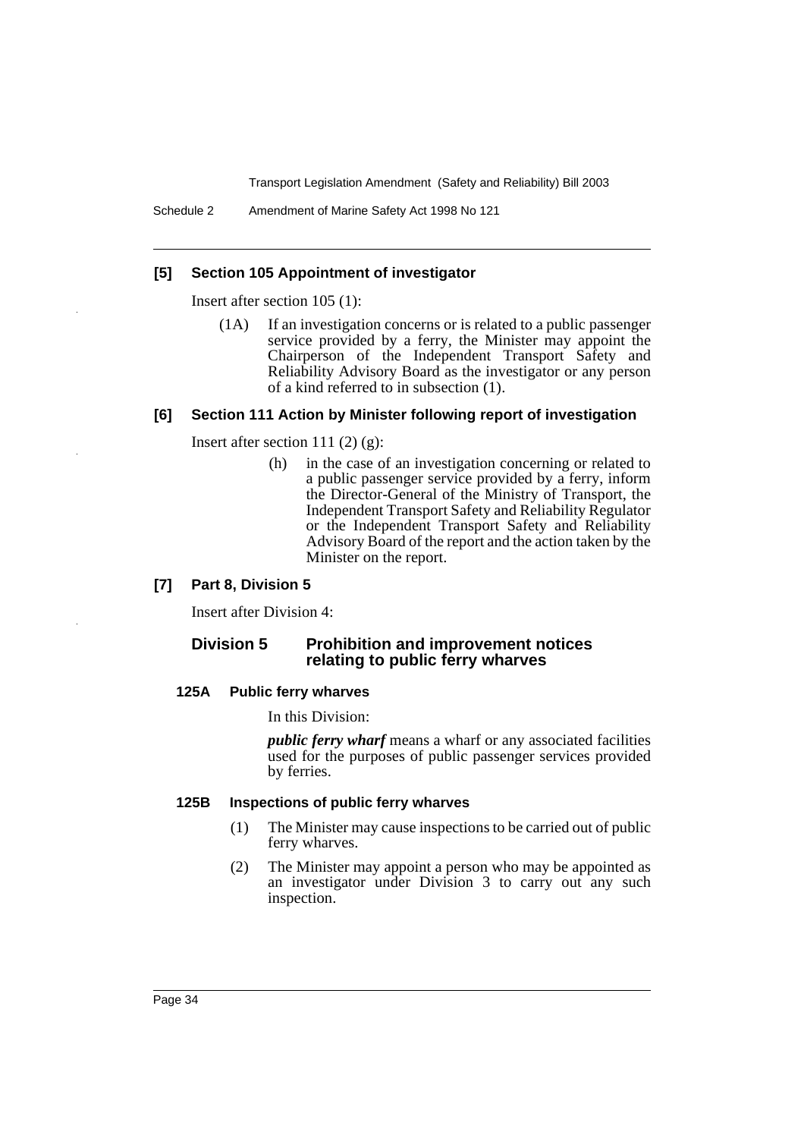Schedule 2 Amendment of Marine Safety Act 1998 No 121

## **[5] Section 105 Appointment of investigator**

Insert after section 105 (1):

(1A) If an investigation concerns or is related to a public passenger service provided by a ferry, the Minister may appoint the Chairperson of the Independent Transport Safety and Reliability Advisory Board as the investigator or any person of a kind referred to in subsection (1).

#### **[6] Section 111 Action by Minister following report of investigation**

Insert after section 111 $(2)$  $(g)$ :

(h) in the case of an investigation concerning or related to a public passenger service provided by a ferry, inform the Director-General of the Ministry of Transport, the Independent Transport Safety and Reliability Regulator or the Independent Transport Safety and Reliability Advisory Board of the report and the action taken by the Minister on the report.

# **[7] Part 8, Division 5**

Insert after Division 4:

# **Division 5 Prohibition and improvement notices relating to public ferry wharves**

#### **125A Public ferry wharves**

In this Division:

*public ferry wharf* means a wharf or any associated facilities used for the purposes of public passenger services provided by ferries.

# **125B Inspections of public ferry wharves**

- (1) The Minister may cause inspections to be carried out of public ferry wharves.
- (2) The Minister may appoint a person who may be appointed as an investigator under Division 3 to carry out any such inspection.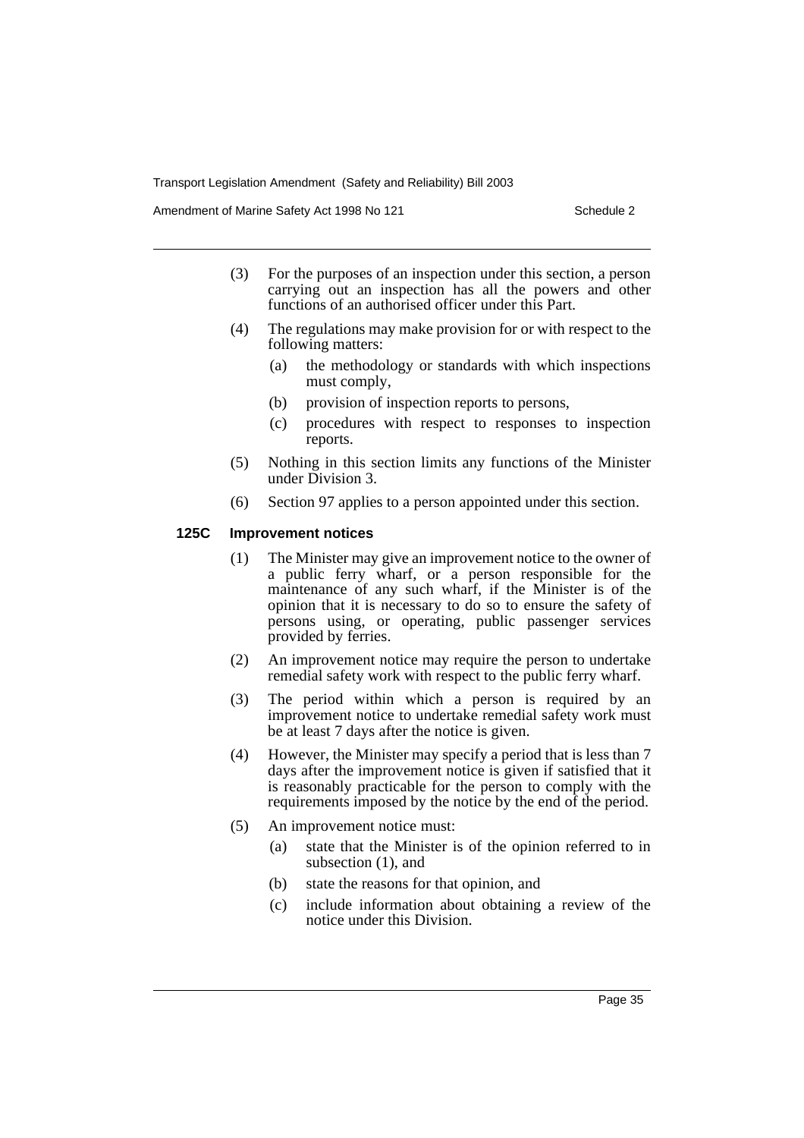Amendment of Marine Safety Act 1998 No 121 Schedule 2

- (3) For the purposes of an inspection under this section, a person carrying out an inspection has all the powers and other functions of an authorised officer under this Part.
- (4) The regulations may make provision for or with respect to the following matters:
	- (a) the methodology or standards with which inspections must comply,
	- (b) provision of inspection reports to persons,
	- (c) procedures with respect to responses to inspection reports.
- (5) Nothing in this section limits any functions of the Minister under Division 3.
- (6) Section 97 applies to a person appointed under this section.

## **125C Improvement notices**

- (1) The Minister may give an improvement notice to the owner of a public ferry wharf, or a person responsible for the maintenance of any such wharf, if the Minister is of the opinion that it is necessary to do so to ensure the safety of persons using, or operating, public passenger services provided by ferries.
- (2) An improvement notice may require the person to undertake remedial safety work with respect to the public ferry wharf.
- (3) The period within which a person is required by an improvement notice to undertake remedial safety work must be at least 7 days after the notice is given.
- (4) However, the Minister may specify a period that is less than 7 days after the improvement notice is given if satisfied that it is reasonably practicable for the person to comply with the requirements imposed by the notice by the end of the period.
- (5) An improvement notice must:
	- (a) state that the Minister is of the opinion referred to in subsection (1), and
	- (b) state the reasons for that opinion, and
	- (c) include information about obtaining a review of the notice under this Division.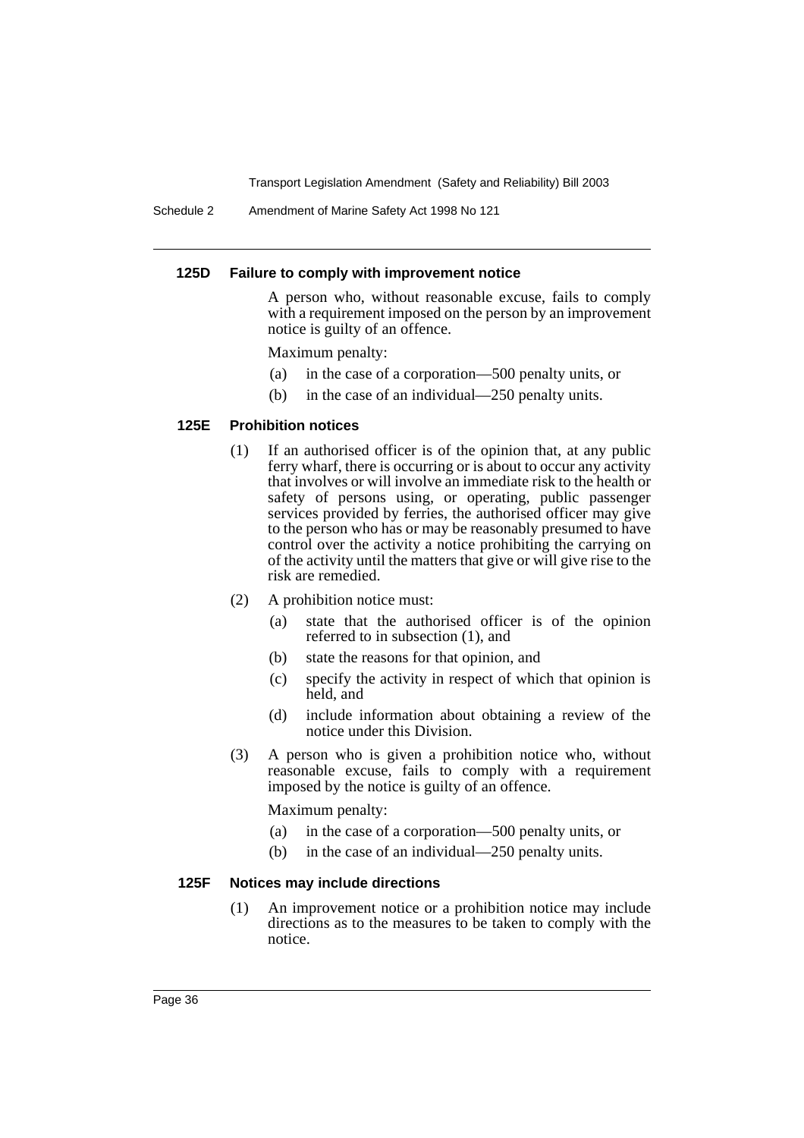Schedule 2 Amendment of Marine Safety Act 1998 No 121

#### **125D Failure to comply with improvement notice**

A person who, without reasonable excuse, fails to comply with a requirement imposed on the person by an improvement notice is guilty of an offence.

#### Maximum penalty:

- (a) in the case of a corporation—500 penalty units, or
- (b) in the case of an individual—250 penalty units.

#### **125E Prohibition notices**

- (1) If an authorised officer is of the opinion that, at any public ferry wharf, there is occurring or is about to occur any activity that involves or will involve an immediate risk to the health or safety of persons using, or operating, public passenger services provided by ferries, the authorised officer may give to the person who has or may be reasonably presumed to have control over the activity a notice prohibiting the carrying on of the activity until the matters that give or will give rise to the risk are remedied.
- (2) A prohibition notice must:
	- (a) state that the authorised officer is of the opinion referred to in subsection (1), and
	- (b) state the reasons for that opinion, and
	- (c) specify the activity in respect of which that opinion is held, and
	- (d) include information about obtaining a review of the notice under this Division.
- (3) A person who is given a prohibition notice who, without reasonable excuse, fails to comply with a requirement imposed by the notice is guilty of an offence.

Maximum penalty:

- (a) in the case of a corporation—500 penalty units, or
- (b) in the case of an individual—250 penalty units.

### **125F Notices may include directions**

(1) An improvement notice or a prohibition notice may include directions as to the measures to be taken to comply with the notice.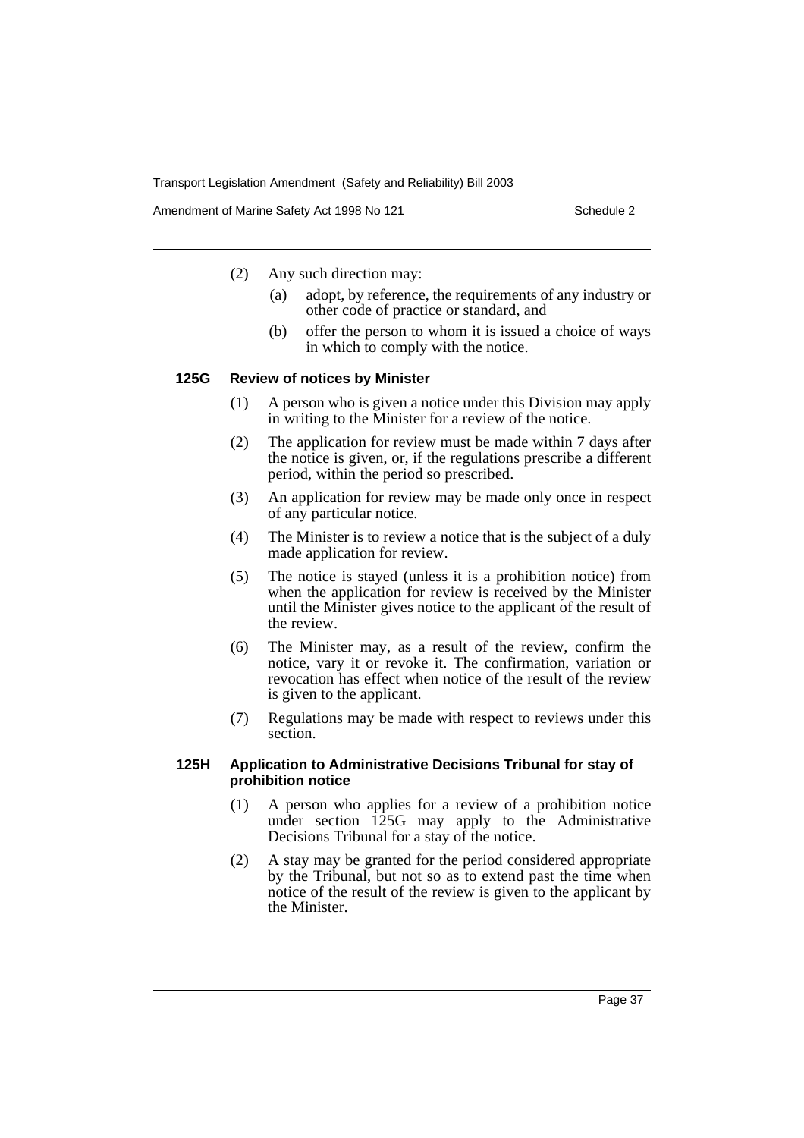Amendment of Marine Safety Act 1998 No 121 Schedule 2

(2) Any such direction may:

- (a) adopt, by reference, the requirements of any industry or other code of practice or standard, and
- (b) offer the person to whom it is issued a choice of ways in which to comply with the notice.

#### **125G Review of notices by Minister**

- (1) A person who is given a notice under this Division may apply in writing to the Minister for a review of the notice.
- (2) The application for review must be made within 7 days after the notice is given, or, if the regulations prescribe a different period, within the period so prescribed.
- (3) An application for review may be made only once in respect of any particular notice.
- (4) The Minister is to review a notice that is the subject of a duly made application for review.
- (5) The notice is stayed (unless it is a prohibition notice) from when the application for review is received by the Minister until the Minister gives notice to the applicant of the result of the review.
- (6) The Minister may, as a result of the review, confirm the notice, vary it or revoke it. The confirmation, variation or revocation has effect when notice of the result of the review is given to the applicant.
- (7) Regulations may be made with respect to reviews under this section.

#### **125H Application to Administrative Decisions Tribunal for stay of prohibition notice**

- (1) A person who applies for a review of a prohibition notice under section  $\hat{12}5G$  may apply to the Administrative Decisions Tribunal for a stay of the notice.
- (2) A stay may be granted for the period considered appropriate by the Tribunal, but not so as to extend past the time when notice of the result of the review is given to the applicant by the Minister.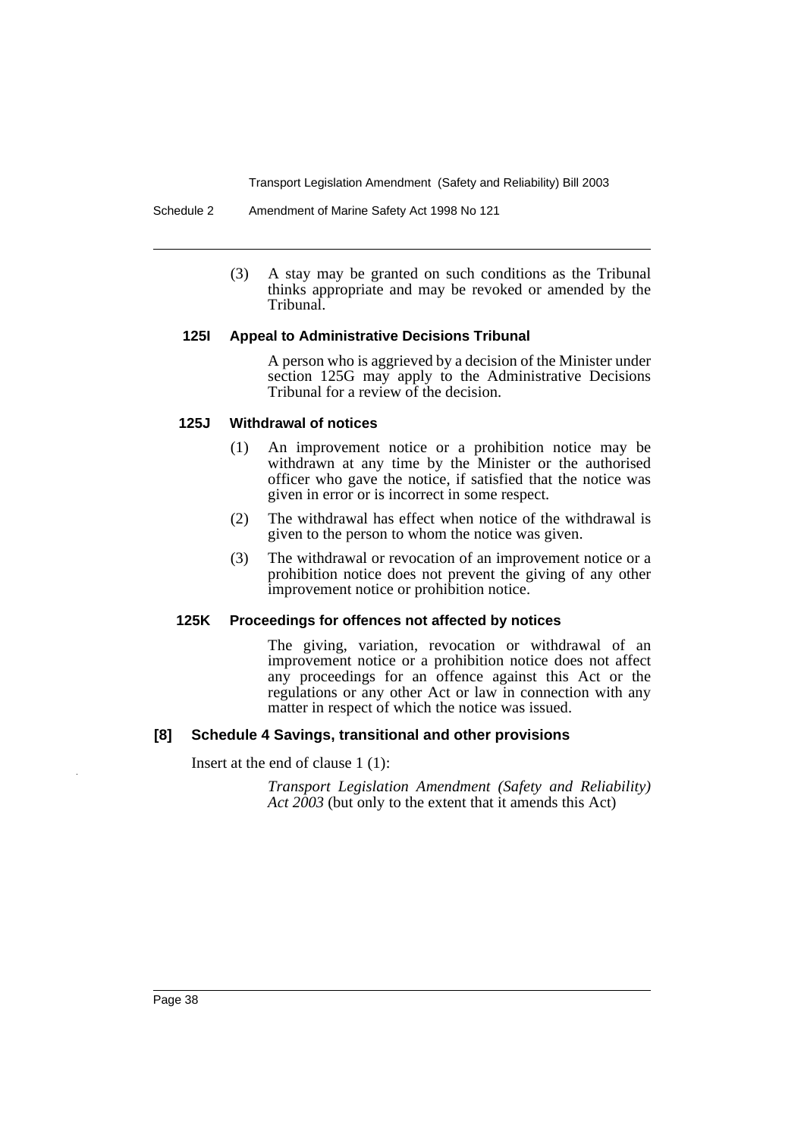Schedule 2 Amendment of Marine Safety Act 1998 No 121

(3) A stay may be granted on such conditions as the Tribunal thinks appropriate and may be revoked or amended by the Tribunal.

#### **125I Appeal to Administrative Decisions Tribunal**

A person who is aggrieved by a decision of the Minister under section 125G may apply to the Administrative Decisions Tribunal for a review of the decision.

### **125J Withdrawal of notices**

- (1) An improvement notice or a prohibition notice may be withdrawn at any time by the Minister or the authorised officer who gave the notice, if satisfied that the notice was given in error or is incorrect in some respect.
- (2) The withdrawal has effect when notice of the withdrawal is given to the person to whom the notice was given.
- (3) The withdrawal or revocation of an improvement notice or a prohibition notice does not prevent the giving of any other improvement notice or prohibition notice.

### **125K Proceedings for offences not affected by notices**

The giving, variation, revocation or withdrawal of an improvement notice or a prohibition notice does not affect any proceedings for an offence against this Act or the regulations or any other Act or law in connection with any matter in respect of which the notice was issued.

### **[8] Schedule 4 Savings, transitional and other provisions**

Insert at the end of clause 1 (1):

*Transport Legislation Amendment (Safety and Reliability) Act 2003* (but only to the extent that it amends this Act)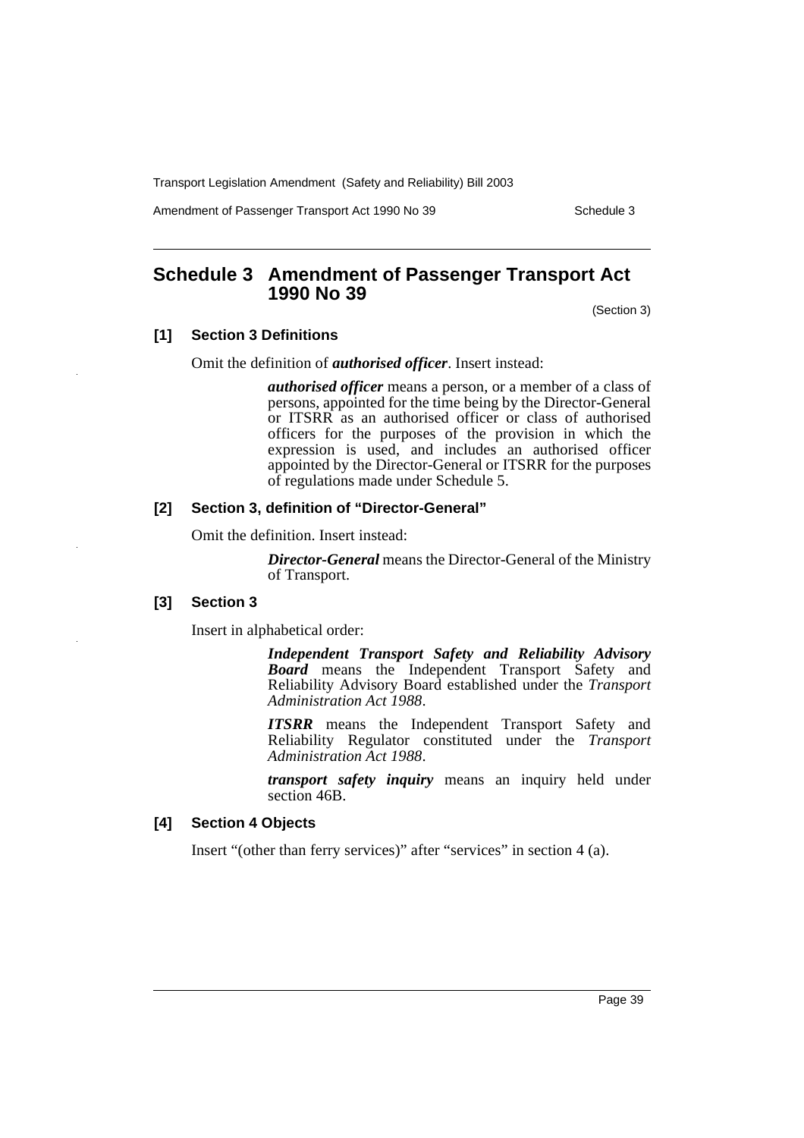Amendment of Passenger Transport Act 1990 No 39 Schedule 3

# **Schedule 3 Amendment of Passenger Transport Act 1990 No 39**

(Section 3)

## **[1] Section 3 Definitions**

Omit the definition of *authorised officer*. Insert instead:

*authorised officer* means a person, or a member of a class of persons, appointed for the time being by the Director-General or ITSRR as an authorised officer or class of authorised officers for the purposes of the provision in which the expression is used, and includes an authorised officer appointed by the Director-General or ITSRR for the purposes of regulations made under Schedule 5.

#### **[2] Section 3, definition of "Director-General"**

Omit the definition. Insert instead:

*Director-General* means the Director-General of the Ministry of Transport.

#### **[3] Section 3**

Insert in alphabetical order:

*Independent Transport Safety and Reliability Advisory Board* means the Independent Transport Safety and Reliability Advisory Board established under the *Transport Administration Act 1988*.

*ITSRR* means the Independent Transport Safety and Reliability Regulator constituted under the *Transport Administration Act 1988*.

*transport safety inquiry* means an inquiry held under section 46B.

#### **[4] Section 4 Objects**

Insert "(other than ferry services)" after "services" in section 4 (a).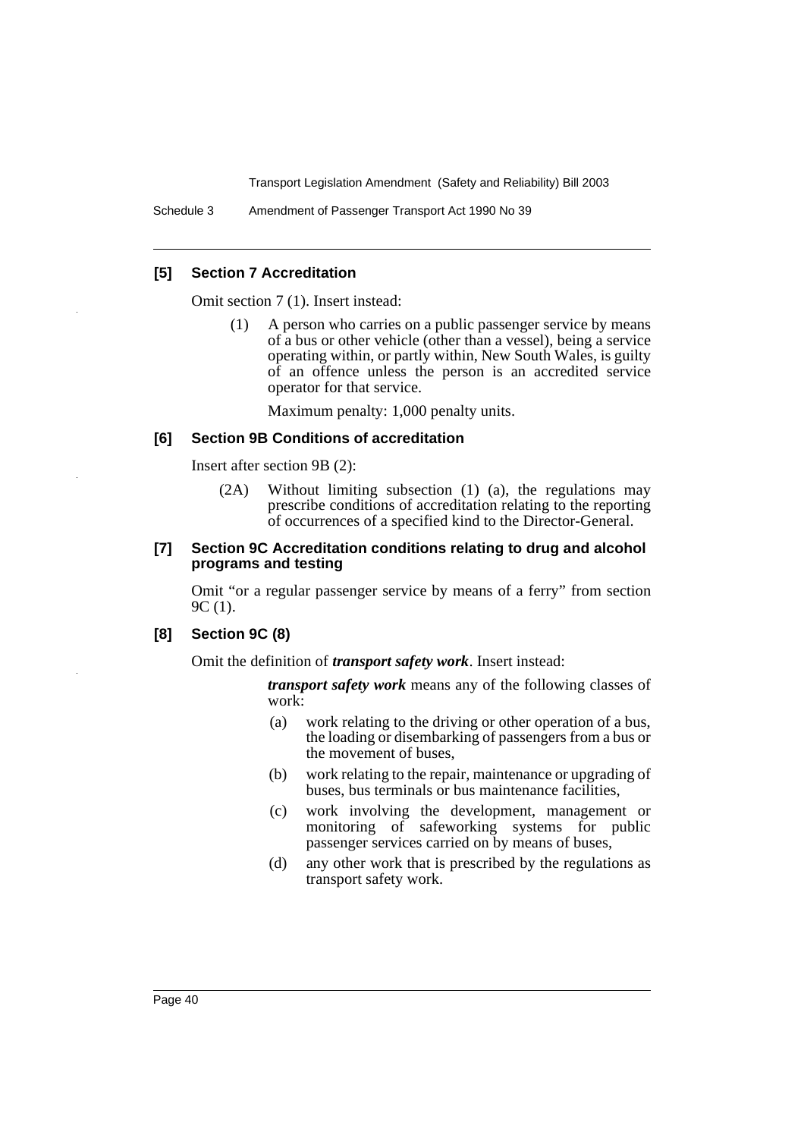Schedule 3 Amendment of Passenger Transport Act 1990 No 39

### **[5] Section 7 Accreditation**

Omit section 7 (1). Insert instead:

(1) A person who carries on a public passenger service by means of a bus or other vehicle (other than a vessel), being a service operating within, or partly within, New South Wales, is guilty of an offence unless the person is an accredited service operator for that service.

Maximum penalty: 1,000 penalty units.

#### **[6] Section 9B Conditions of accreditation**

Insert after section 9B (2):

(2A) Without limiting subsection (1) (a), the regulations may prescribe conditions of accreditation relating to the reporting of occurrences of a specified kind to the Director-General.

#### **[7] Section 9C Accreditation conditions relating to drug and alcohol programs and testing**

Omit "or a regular passenger service by means of a ferry" from section 9C (1).

### **[8] Section 9C (8)**

Omit the definition of *transport safety work*. Insert instead:

*transport safety work* means any of the following classes of work:

- (a) work relating to the driving or other operation of a bus, the loading or disembarking of passengers from a bus or the movement of buses,
- (b) work relating to the repair, maintenance or upgrading of buses, bus terminals or bus maintenance facilities,
- (c) work involving the development, management or monitoring of safeworking systems for public passenger services carried on by means of buses,
- (d) any other work that is prescribed by the regulations as transport safety work.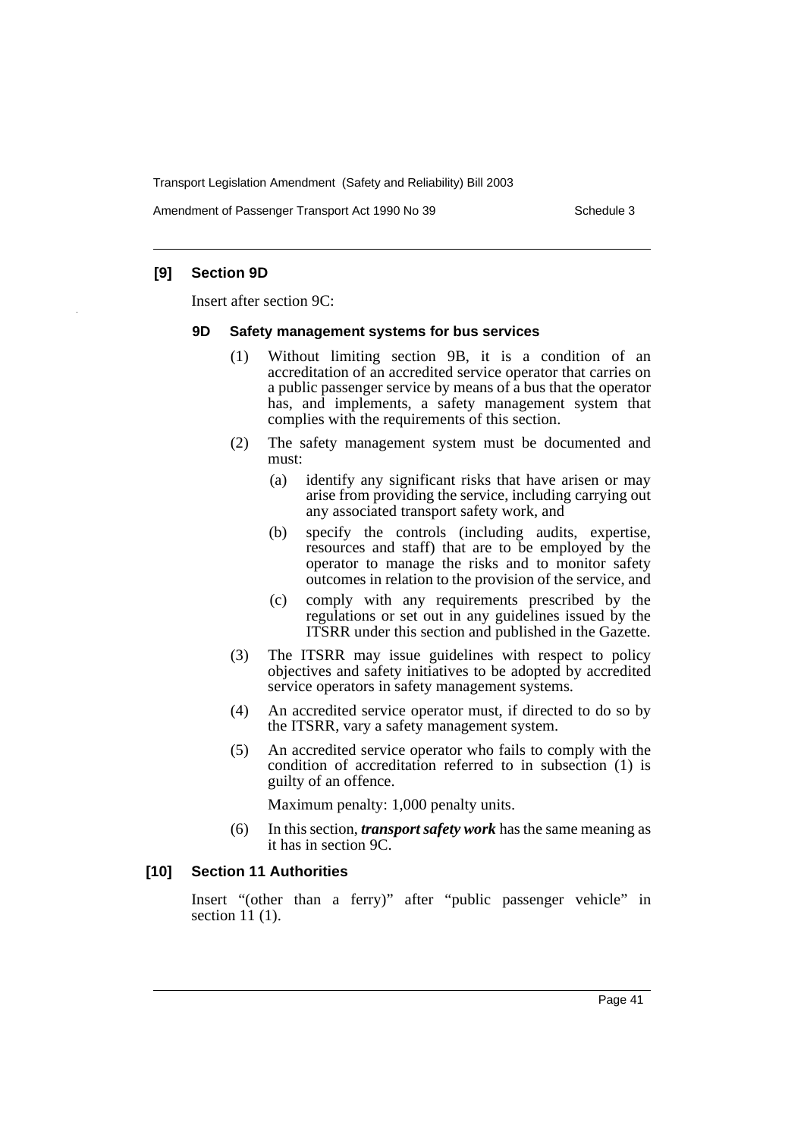Amendment of Passenger Transport Act 1990 No 39 Schedule 3

## **[9] Section 9D**

Insert after section 9C:

#### **9D Safety management systems for bus services**

- (1) Without limiting section 9B, it is a condition of an accreditation of an accredited service operator that carries on a public passenger service by means of a bus that the operator has, and implements, a safety management system that complies with the requirements of this section.
- (2) The safety management system must be documented and must:
	- (a) identify any significant risks that have arisen or may arise from providing the service, including carrying out any associated transport safety work, and
	- (b) specify the controls (including audits, expertise, resources and staff) that are to be employed by the operator to manage the risks and to monitor safety outcomes in relation to the provision of the service, and
	- (c) comply with any requirements prescribed by the regulations or set out in any guidelines issued by the ITSRR under this section and published in the Gazette.
- (3) The ITSRR may issue guidelines with respect to policy objectives and safety initiatives to be adopted by accredited service operators in safety management systems.
- (4) An accredited service operator must, if directed to do so by the ITSRR, vary a safety management system.
- (5) An accredited service operator who fails to comply with the condition of accreditation referred to in subsection (1) is guilty of an offence.

Maximum penalty: 1,000 penalty units.

(6) In this section, *transport safety work* has the same meaning as it has in section 9C.

#### **[10] Section 11 Authorities**

Insert "(other than a ferry)" after "public passenger vehicle" in section 11 (1).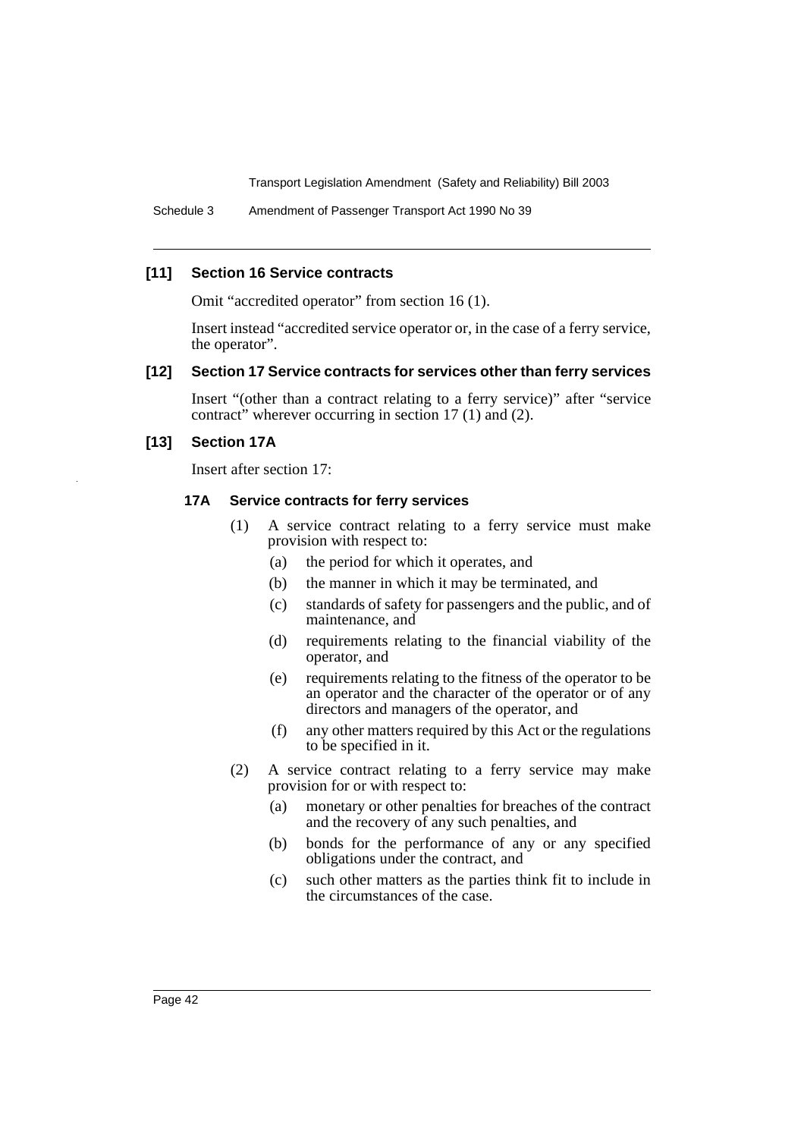Schedule 3 Amendment of Passenger Transport Act 1990 No 39

#### **[11] Section 16 Service contracts**

Omit "accredited operator" from section 16 (1).

Insert instead "accredited service operator or, in the case of a ferry service, the operator".

#### **[12] Section 17 Service contracts for services other than ferry services**

Insert "(other than a contract relating to a ferry service)" after "service contract" wherever occurring in section 17 (1) and (2).

## **[13] Section 17A**

Insert after section 17:

#### **17A Service contracts for ferry services**

- (1) A service contract relating to a ferry service must make provision with respect to:
	- (a) the period for which it operates, and
	- (b) the manner in which it may be terminated, and
	- (c) standards of safety for passengers and the public, and of maintenance, and
	- (d) requirements relating to the financial viability of the operator, and
	- (e) requirements relating to the fitness of the operator to be an operator and the character of the operator or of any directors and managers of the operator, and
	- (f) any other matters required by this Act or the regulations to be specified in it.
- (2) A service contract relating to a ferry service may make provision for or with respect to:
	- (a) monetary or other penalties for breaches of the contract and the recovery of any such penalties, and
	- (b) bonds for the performance of any or any specified obligations under the contract, and
	- (c) such other matters as the parties think fit to include in the circumstances of the case.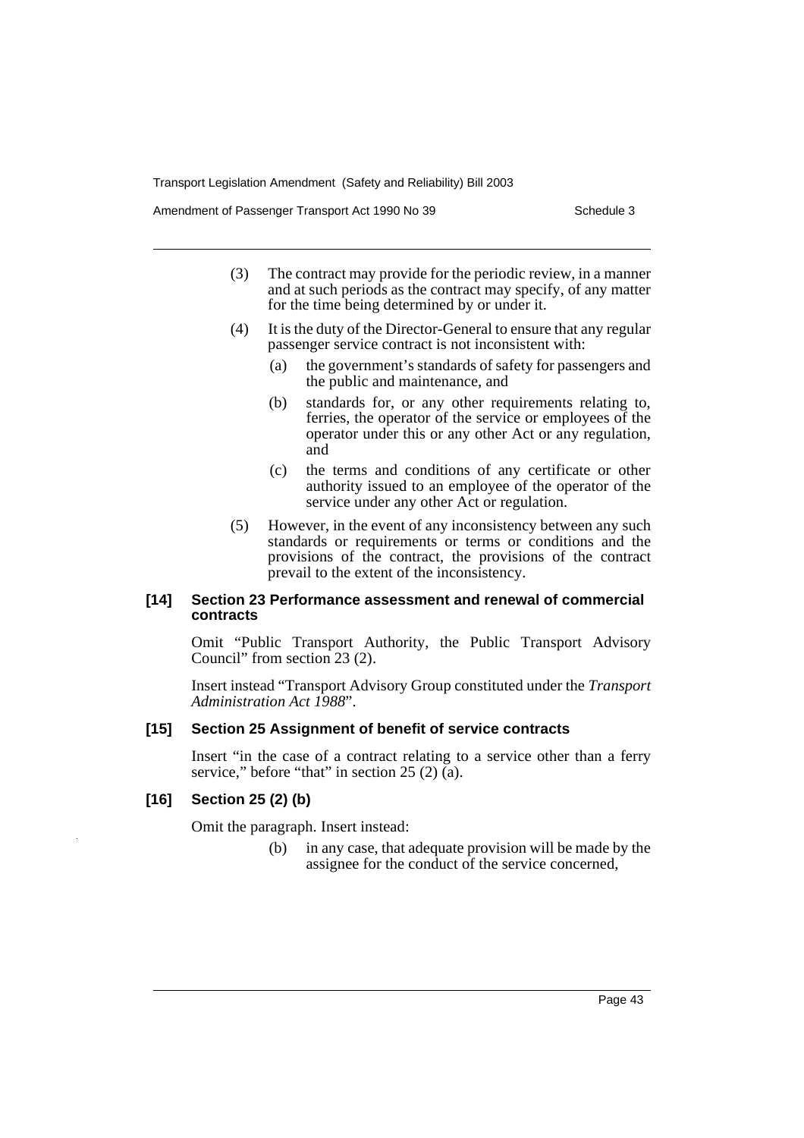Amendment of Passenger Transport Act 1990 No 39 Schedule 3

- (3) The contract may provide for the periodic review, in a manner and at such periods as the contract may specify, of any matter for the time being determined by or under it.
- (4) It is the duty of the Director-General to ensure that any regular passenger service contract is not inconsistent with:
	- (a) the government's standards of safety for passengers and the public and maintenance, and
	- (b) standards for, or any other requirements relating to, ferries, the operator of the service or employees of the operator under this or any other Act or any regulation, and
	- (c) the terms and conditions of any certificate or other authority issued to an employee of the operator of the service under any other Act or regulation.
- (5) However, in the event of any inconsistency between any such standards or requirements or terms or conditions and the provisions of the contract, the provisions of the contract prevail to the extent of the inconsistency.

#### **[14] Section 23 Performance assessment and renewal of commercial contracts**

Omit "Public Transport Authority, the Public Transport Advisory Council" from section 23 (2).

Insert instead "Transport Advisory Group constituted under the *Transport Administration Act 1988*".

#### **[15] Section 25 Assignment of benefit of service contracts**

Insert "in the case of a contract relating to a service other than a ferry service," before "that" in section  $25(2)$  (a).

### **[16] Section 25 (2) (b)**

Omit the paragraph. Insert instead:

(b) in any case, that adequate provision will be made by the assignee for the conduct of the service concerned,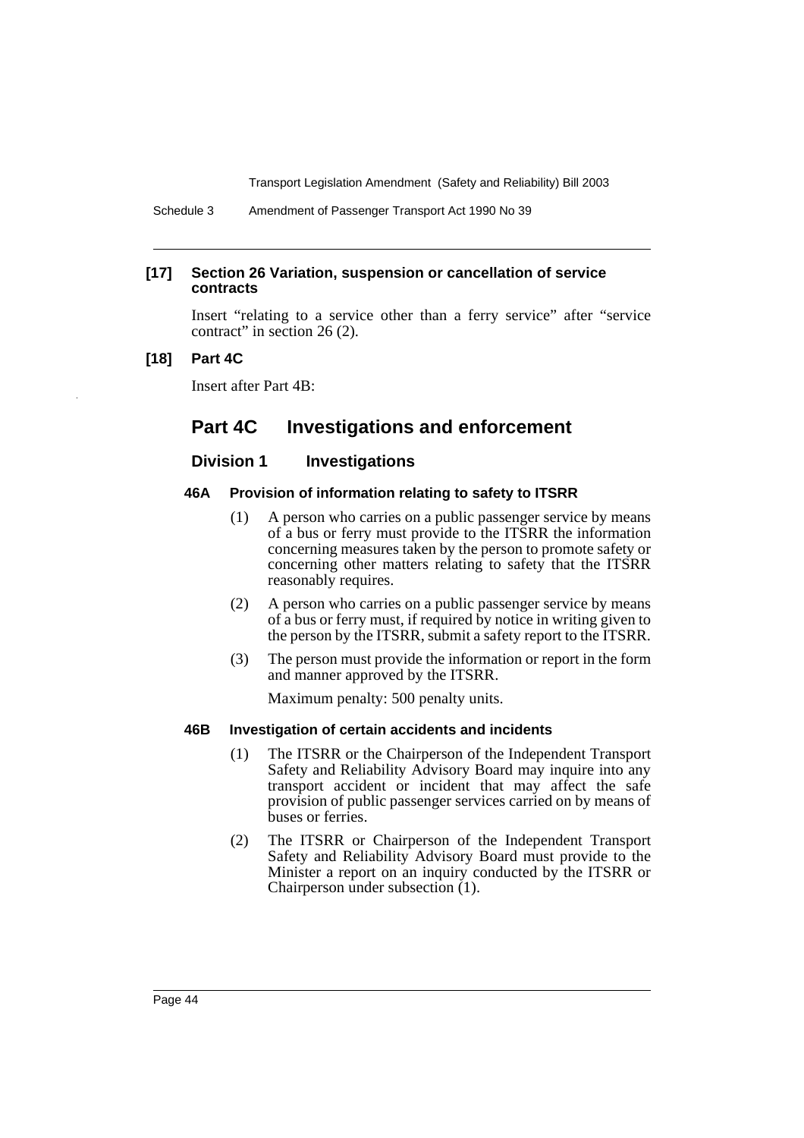Schedule 3 Amendment of Passenger Transport Act 1990 No 39

#### **[17] Section 26 Variation, suspension or cancellation of service contracts**

Insert "relating to a service other than a ferry service" after "service contract" in section 26 (2).

#### **[18] Part 4C**

Insert after Part 4B:

## **Part 4C Investigations and enforcement**

### **Division 1 Investigations**

#### **46A Provision of information relating to safety to ITSRR**

- (1) A person who carries on a public passenger service by means of a bus or ferry must provide to the ITSRR the information concerning measures taken by the person to promote safety or concerning other matters relating to safety that the ITSRR reasonably requires.
- (2) A person who carries on a public passenger service by means of a bus or ferry must, if required by notice in writing given to the person by the ITSRR, submit a safety report to the ITSRR.
- (3) The person must provide the information or report in the form and manner approved by the ITSRR.

Maximum penalty: 500 penalty units.

#### **46B Investigation of certain accidents and incidents**

- (1) The ITSRR or the Chairperson of the Independent Transport Safety and Reliability Advisory Board may inquire into any transport accident or incident that may affect the safe provision of public passenger services carried on by means of buses or ferries.
- (2) The ITSRR or Chairperson of the Independent Transport Safety and Reliability Advisory Board must provide to the Minister a report on an inquiry conducted by the ITSRR or Chairperson under subsection (1).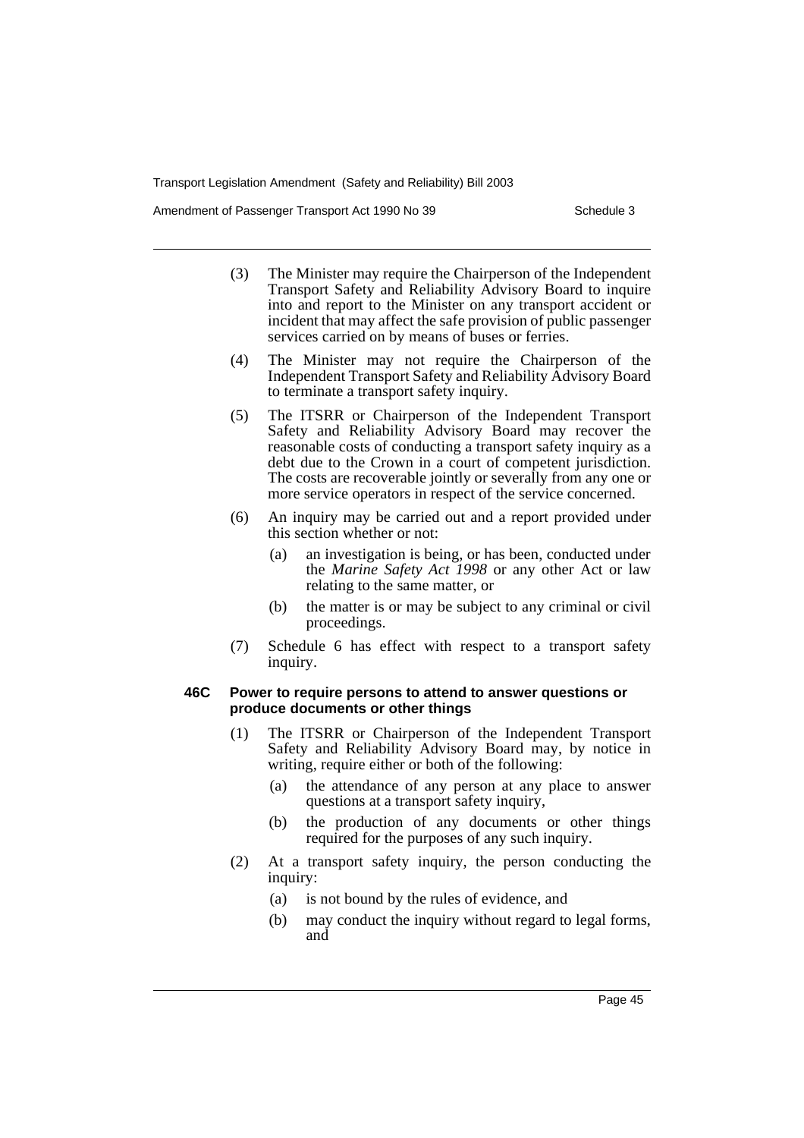Amendment of Passenger Transport Act 1990 No 39 Schedule 3

- (3) The Minister may require the Chairperson of the Independent Transport Safety and Reliability Advisory Board to inquire into and report to the Minister on any transport accident or incident that may affect the safe provision of public passenger services carried on by means of buses or ferries.
- (4) The Minister may not require the Chairperson of the Independent Transport Safety and Reliability Advisory Board to terminate a transport safety inquiry.
- (5) The ITSRR or Chairperson of the Independent Transport Safety and Reliability Advisory Board may recover the reasonable costs of conducting a transport safety inquiry as a debt due to the Crown in a court of competent jurisdiction. The costs are recoverable jointly or severally from any one or more service operators in respect of the service concerned.
- (6) An inquiry may be carried out and a report provided under this section whether or not:
	- (a) an investigation is being, or has been, conducted under the *Marine Safety Act 1998* or any other Act or law relating to the same matter, or
	- (b) the matter is or may be subject to any criminal or civil proceedings.
- (7) Schedule 6 has effect with respect to a transport safety inquiry.

#### **46C Power to require persons to attend to answer questions or produce documents or other things**

- (1) The ITSRR or Chairperson of the Independent Transport Safety and Reliability Advisory Board may, by notice in writing, require either or both of the following:
	- (a) the attendance of any person at any place to answer questions at a transport safety inquiry,
	- (b) the production of any documents or other things required for the purposes of any such inquiry.
- (2) At a transport safety inquiry, the person conducting the inquiry:
	- (a) is not bound by the rules of evidence, and
	- (b) may conduct the inquiry without regard to legal forms, and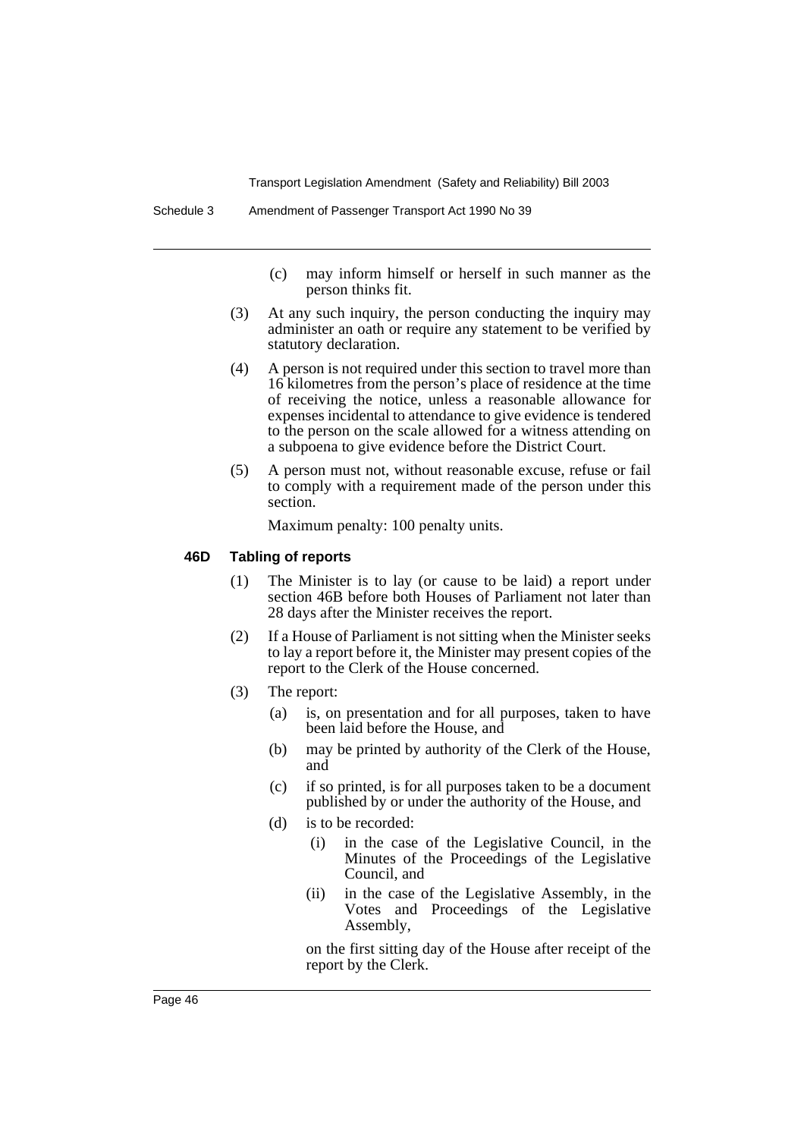- (c) may inform himself or herself in such manner as the person thinks fit.
- (3) At any such inquiry, the person conducting the inquiry may administer an oath or require any statement to be verified by statutory declaration.
- (4) A person is not required under this section to travel more than 16 kilometres from the person's place of residence at the time of receiving the notice, unless a reasonable allowance for expenses incidental to attendance to give evidence is tendered to the person on the scale allowed for a witness attending on a subpoena to give evidence before the District Court.
- (5) A person must not, without reasonable excuse, refuse or fail to comply with a requirement made of the person under this section.

Maximum penalty: 100 penalty units.

#### **46D Tabling of reports**

- (1) The Minister is to lay (or cause to be laid) a report under section 46B before both Houses of Parliament not later than 28 days after the Minister receives the report.
- (2) If a House of Parliament is not sitting when the Minister seeks to lay a report before it, the Minister may present copies of the report to the Clerk of the House concerned.
- (3) The report:
	- (a) is, on presentation and for all purposes, taken to have been laid before the House, and
	- (b) may be printed by authority of the Clerk of the House, and
	- (c) if so printed, is for all purposes taken to be a document published by or under the authority of the House, and
	- (d) is to be recorded:
		- (i) in the case of the Legislative Council, in the Minutes of the Proceedings of the Legislative Council, and
		- (ii) in the case of the Legislative Assembly, in the Votes and Proceedings of the Legislative Assembly,

on the first sitting day of the House after receipt of the report by the Clerk.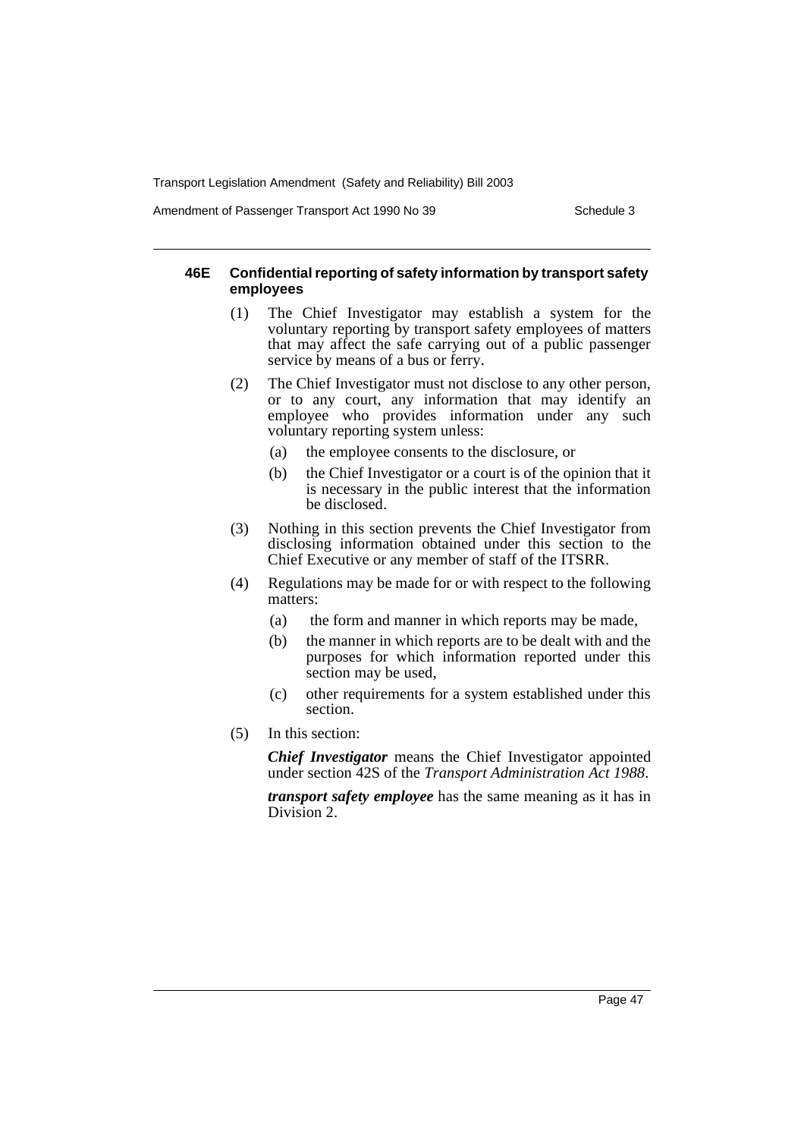Amendment of Passenger Transport Act 1990 No 39 Schedule 3

#### **46E Confidential reporting of safety information by transport safety employees**

- (1) The Chief Investigator may establish a system for the voluntary reporting by transport safety employees of matters that may affect the safe carrying out of a public passenger service by means of a bus or ferry.
- (2) The Chief Investigator must not disclose to any other person, or to any court, any information that may identify an employee who provides information under any such voluntary reporting system unless:
	- (a) the employee consents to the disclosure, or
	- (b) the Chief Investigator or a court is of the opinion that it is necessary in the public interest that the information be disclosed.
- (3) Nothing in this section prevents the Chief Investigator from disclosing information obtained under this section to the Chief Executive or any member of staff of the ITSRR.
- (4) Regulations may be made for or with respect to the following matters:
	- (a) the form and manner in which reports may be made,
	- (b) the manner in which reports are to be dealt with and the purposes for which information reported under this section may be used,
	- (c) other requirements for a system established under this section.
- (5) In this section:

*Chief Investigator* means the Chief Investigator appointed under section 42S of the *Transport Administration Act 1988*.

*transport safety employee* has the same meaning as it has in Division 2.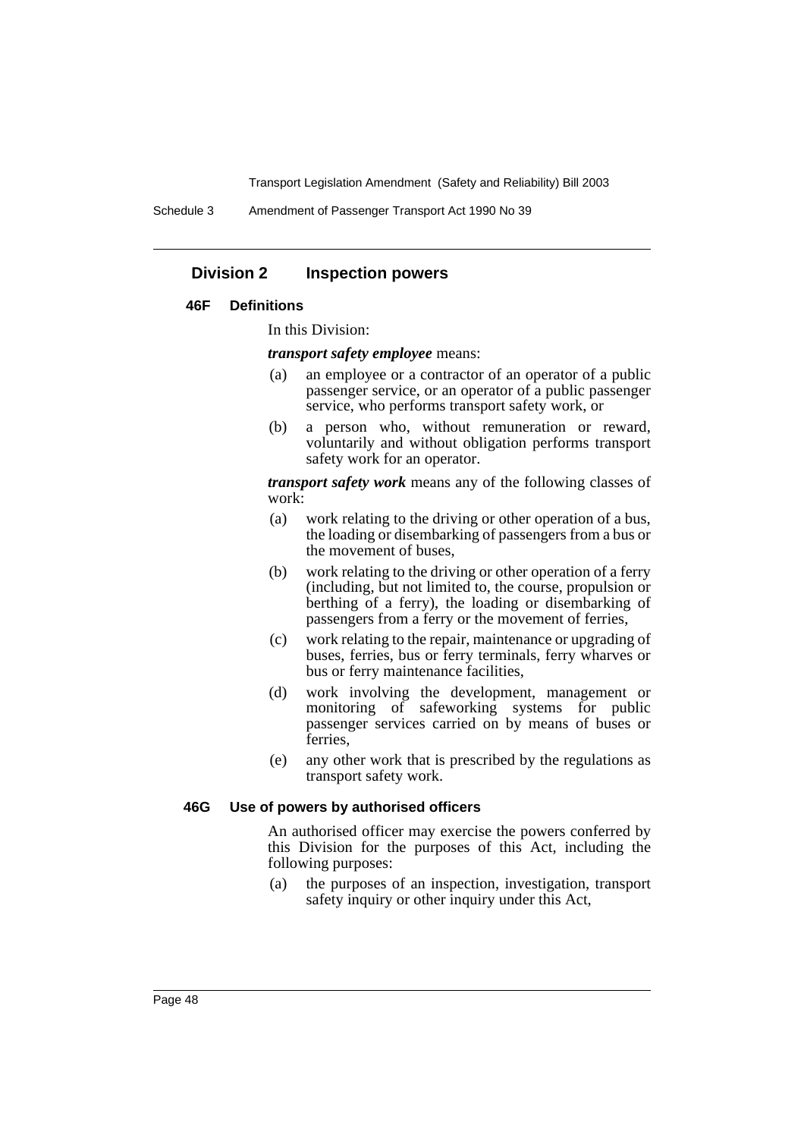Schedule 3 Amendment of Passenger Transport Act 1990 No 39

### **Division 2 Inspection powers**

#### **46F Definitions**

In this Division:

*transport safety employee* means:

- (a) an employee or a contractor of an operator of a public passenger service, or an operator of a public passenger service, who performs transport safety work, or
- (b) a person who, without remuneration or reward, voluntarily and without obligation performs transport safety work for an operator.

*transport safety work* means any of the following classes of work:

- (a) work relating to the driving or other operation of a bus, the loading or disembarking of passengers from a bus or the movement of buses,
- (b) work relating to the driving or other operation of a ferry (including, but not limited to, the course, propulsion or berthing of a ferry), the loading or disembarking of passengers from a ferry or the movement of ferries,
- (c) work relating to the repair, maintenance or upgrading of buses, ferries, bus or ferry terminals, ferry wharves or bus or ferry maintenance facilities,
- (d) work involving the development, management or monitoring of safeworking systems for public passenger services carried on by means of buses or ferries,
- (e) any other work that is prescribed by the regulations as transport safety work.

#### **46G Use of powers by authorised officers**

An authorised officer may exercise the powers conferred by this Division for the purposes of this Act, including the following purposes:

(a) the purposes of an inspection, investigation, transport safety inquiry or other inquiry under this Act,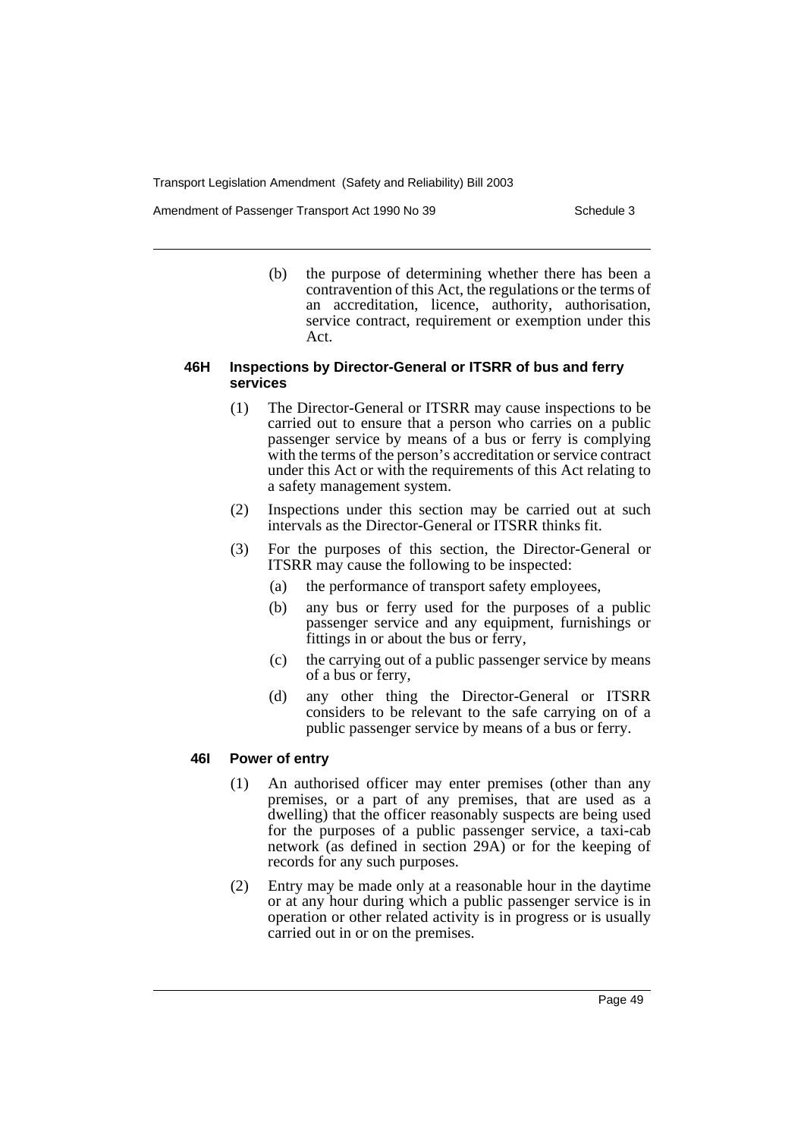Amendment of Passenger Transport Act 1990 No 39 Schedule 3

(b) the purpose of determining whether there has been a contravention of this Act, the regulations or the terms of an accreditation, licence, authority, authorisation, service contract, requirement or exemption under this Act.

### **46H Inspections by Director-General or ITSRR of bus and ferry services**

- (1) The Director-General or ITSRR may cause inspections to be carried out to ensure that a person who carries on a public passenger service by means of a bus or ferry is complying with the terms of the person's accreditation or service contract under this Act or with the requirements of this Act relating to a safety management system.
- (2) Inspections under this section may be carried out at such intervals as the Director-General or ITSRR thinks fit.
- (3) For the purposes of this section, the Director-General or ITSRR may cause the following to be inspected:
	- (a) the performance of transport safety employees,
	- (b) any bus or ferry used for the purposes of a public passenger service and any equipment, furnishings or fittings in or about the bus or ferry,
	- (c) the carrying out of a public passenger service by means of a bus or ferry,
	- (d) any other thing the Director-General or ITSRR considers to be relevant to the safe carrying on of a public passenger service by means of a bus or ferry.

### **46I Power of entry**

- (1) An authorised officer may enter premises (other than any premises, or a part of any premises, that are used as a dwelling) that the officer reasonably suspects are being used for the purposes of a public passenger service, a taxi-cab network (as defined in section 29A) or for the keeping of records for any such purposes.
- (2) Entry may be made only at a reasonable hour in the daytime or at any hour during which a public passenger service is in operation or other related activity is in progress or is usually carried out in or on the premises.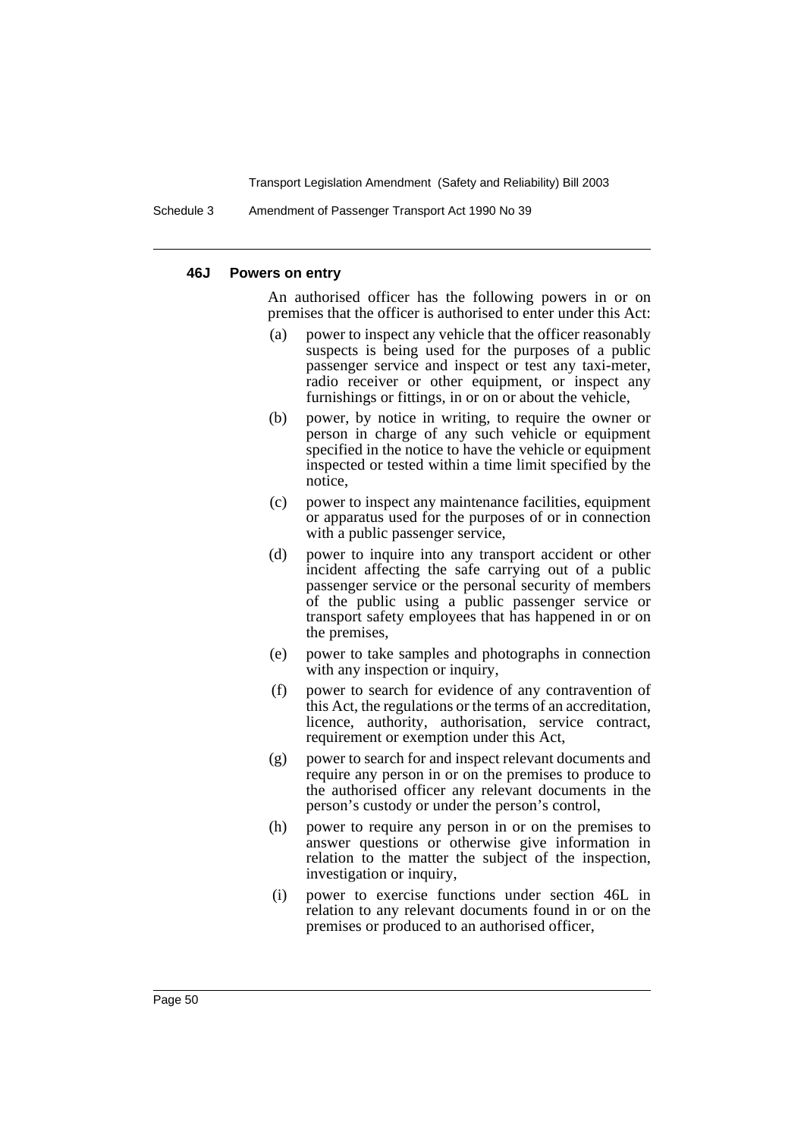Schedule 3 Amendment of Passenger Transport Act 1990 No 39

#### **46J Powers on entry**

An authorised officer has the following powers in or on premises that the officer is authorised to enter under this Act:

- (a) power to inspect any vehicle that the officer reasonably suspects is being used for the purposes of a public passenger service and inspect or test any taxi-meter, radio receiver or other equipment, or inspect any furnishings or fittings, in or on or about the vehicle,
- (b) power, by notice in writing, to require the owner or person in charge of any such vehicle or equipment specified in the notice to have the vehicle or equipment inspected or tested within a time limit specified by the notice,
- (c) power to inspect any maintenance facilities, equipment or apparatus used for the purposes of or in connection with a public passenger service,
- (d) power to inquire into any transport accident or other incident affecting the safe carrying out of a public passenger service or the personal security of members of the public using a public passenger service or transport safety employees that has happened in or on the premises,
- (e) power to take samples and photographs in connection with any inspection or inquiry,
- (f) power to search for evidence of any contravention of this Act, the regulations or the terms of an accreditation, licence, authority, authorisation, service contract, requirement or exemption under this Act,
- (g) power to search for and inspect relevant documents and require any person in or on the premises to produce to the authorised officer any relevant documents in the person's custody or under the person's control,
- (h) power to require any person in or on the premises to answer questions or otherwise give information in relation to the matter the subject of the inspection, investigation or inquiry,
- (i) power to exercise functions under section 46L in relation to any relevant documents found in or on the premises or produced to an authorised officer,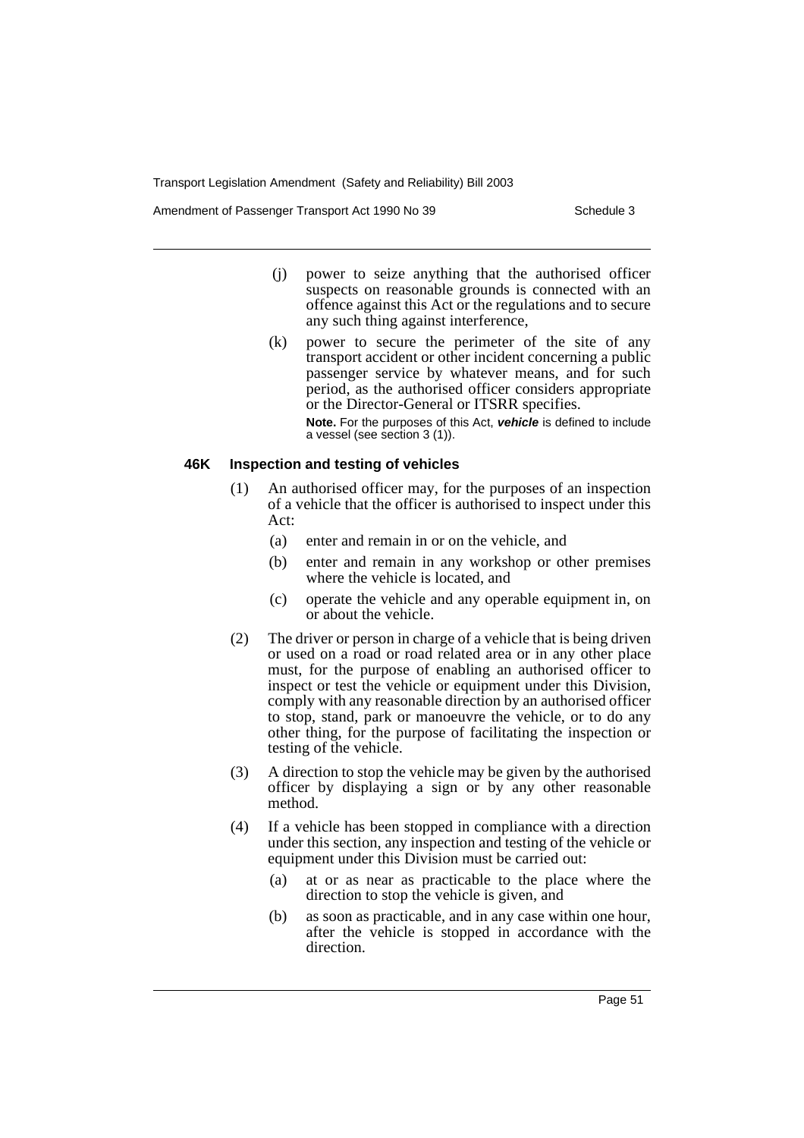Amendment of Passenger Transport Act 1990 No 39 Schedule 3

- (j) power to seize anything that the authorised officer suspects on reasonable grounds is connected with an offence against this Act or the regulations and to secure any such thing against interference,
- (k) power to secure the perimeter of the site of any transport accident or other incident concerning a public passenger service by whatever means, and for such period, as the authorised officer considers appropriate or the Director-General or ITSRR specifies. **Note.** For the purposes of this Act, **vehicle** is defined to include a vessel (see section 3 (1)).

#### **46K Inspection and testing of vehicles**

- (1) An authorised officer may, for the purposes of an inspection of a vehicle that the officer is authorised to inspect under this Act:
	- (a) enter and remain in or on the vehicle, and
	- (b) enter and remain in any workshop or other premises where the vehicle is located, and
	- (c) operate the vehicle and any operable equipment in, on or about the vehicle.
- (2) The driver or person in charge of a vehicle that is being driven or used on a road or road related area or in any other place must, for the purpose of enabling an authorised officer to inspect or test the vehicle or equipment under this Division, comply with any reasonable direction by an authorised officer to stop, stand, park or manoeuvre the vehicle, or to do any other thing, for the purpose of facilitating the inspection or testing of the vehicle.
- (3) A direction to stop the vehicle may be given by the authorised officer by displaying a sign or by any other reasonable method.
- (4) If a vehicle has been stopped in compliance with a direction under this section, any inspection and testing of the vehicle or equipment under this Division must be carried out:
	- (a) at or as near as practicable to the place where the direction to stop the vehicle is given, and
	- (b) as soon as practicable, and in any case within one hour, after the vehicle is stopped in accordance with the direction.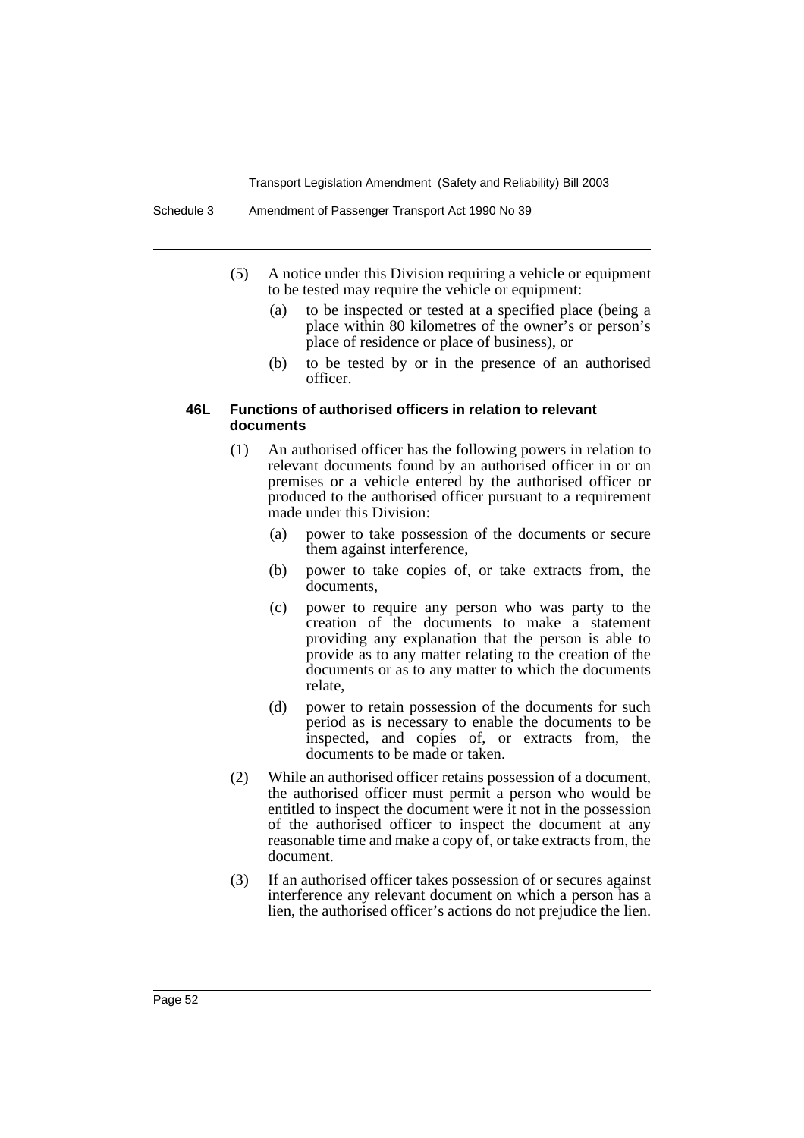- (5) A notice under this Division requiring a vehicle or equipment to be tested may require the vehicle or equipment:
	- (a) to be inspected or tested at a specified place (being a place within 80 kilometres of the owner's or person's place of residence or place of business), or
	- (b) to be tested by or in the presence of an authorised officer.

#### **46L Functions of authorised officers in relation to relevant documents**

- (1) An authorised officer has the following powers in relation to relevant documents found by an authorised officer in or on premises or a vehicle entered by the authorised officer or produced to the authorised officer pursuant to a requirement made under this Division:
	- (a) power to take possession of the documents or secure them against interference,
	- (b) power to take copies of, or take extracts from, the documents,
	- (c) power to require any person who was party to the creation of the documents to make a statement providing any explanation that the person is able to provide as to any matter relating to the creation of the documents or as to any matter to which the documents relate,
	- (d) power to retain possession of the documents for such period as is necessary to enable the documents to be inspected, and copies of, or extracts from, the documents to be made or taken.
- (2) While an authorised officer retains possession of a document, the authorised officer must permit a person who would be entitled to inspect the document were it not in the possession of the authorised officer to inspect the document at any reasonable time and make a copy of, or take extracts from, the document.
- (3) If an authorised officer takes possession of or secures against interference any relevant document on which a person has a lien, the authorised officer's actions do not prejudice the lien.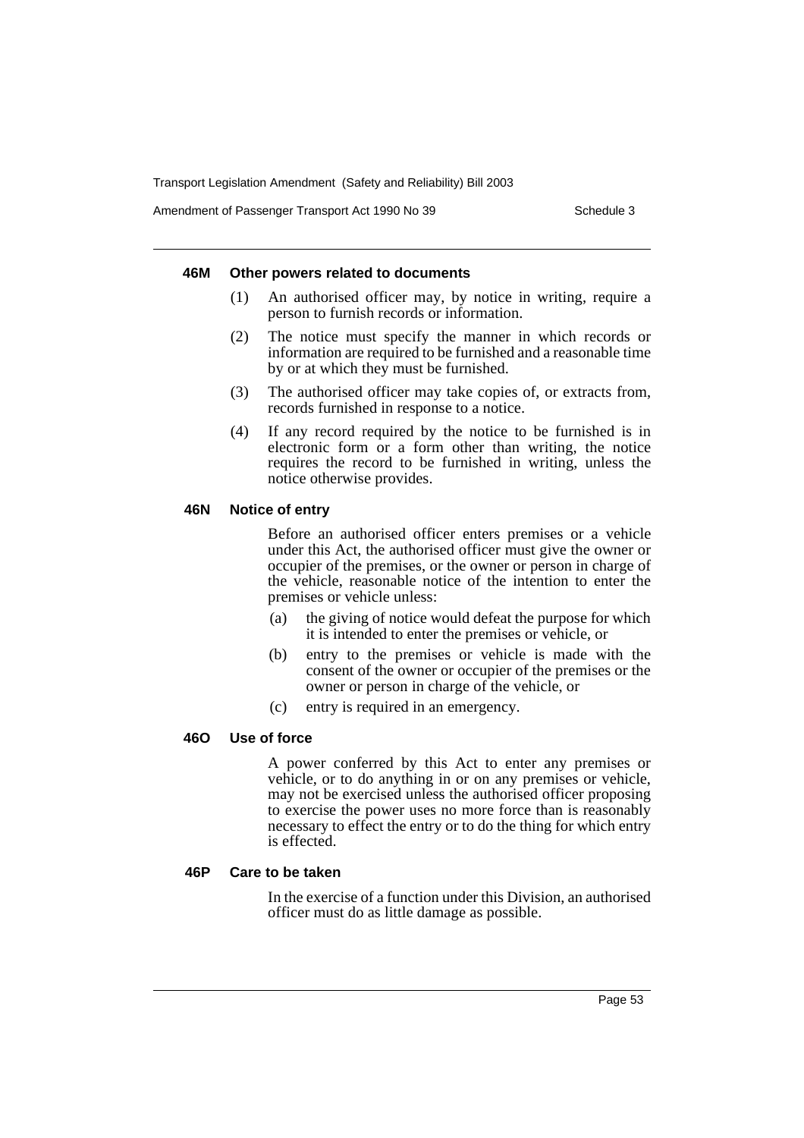Amendment of Passenger Transport Act 1990 No 39 Schedule 3

#### **46M Other powers related to documents**

- (1) An authorised officer may, by notice in writing, require a person to furnish records or information.
- (2) The notice must specify the manner in which records or information are required to be furnished and a reasonable time by or at which they must be furnished.
- (3) The authorised officer may take copies of, or extracts from, records furnished in response to a notice.
- (4) If any record required by the notice to be furnished is in electronic form or a form other than writing, the notice requires the record to be furnished in writing, unless the notice otherwise provides.

### **46N Notice of entry**

Before an authorised officer enters premises or a vehicle under this Act, the authorised officer must give the owner or occupier of the premises, or the owner or person in charge of the vehicle, reasonable notice of the intention to enter the premises or vehicle unless:

- (a) the giving of notice would defeat the purpose for which it is intended to enter the premises or vehicle, or
- (b) entry to the premises or vehicle is made with the consent of the owner or occupier of the premises or the owner or person in charge of the vehicle, or
- (c) entry is required in an emergency.

## **46O Use of force**

A power conferred by this Act to enter any premises or vehicle, or to do anything in or on any premises or vehicle, may not be exercised unless the authorised officer proposing to exercise the power uses no more force than is reasonably necessary to effect the entry or to do the thing for which entry is effected.

### **46P Care to be taken**

In the exercise of a function under this Division, an authorised officer must do as little damage as possible.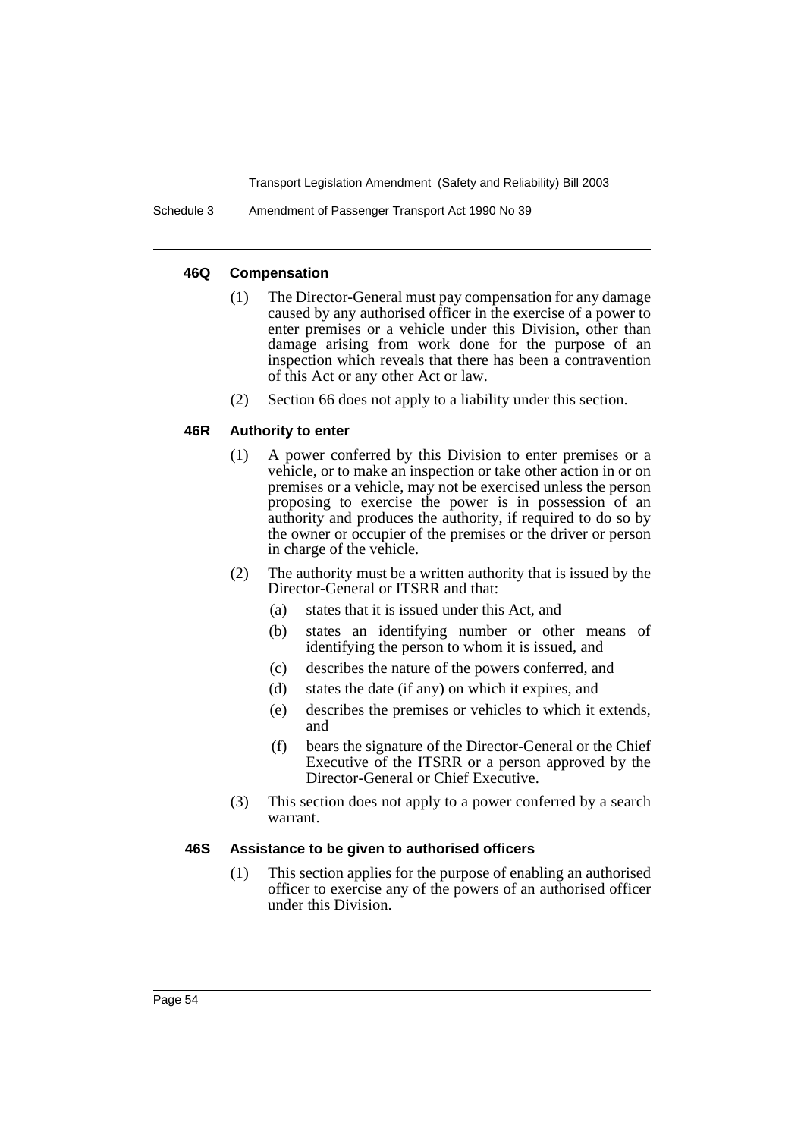Schedule 3 Amendment of Passenger Transport Act 1990 No 39

#### **46Q Compensation**

- (1) The Director-General must pay compensation for any damage caused by any authorised officer in the exercise of a power to enter premises or a vehicle under this Division, other than damage arising from work done for the purpose of an inspection which reveals that there has been a contravention of this Act or any other Act or law.
- (2) Section 66 does not apply to a liability under this section.

### **46R Authority to enter**

- (1) A power conferred by this Division to enter premises or a vehicle, or to make an inspection or take other action in or on premises or a vehicle, may not be exercised unless the person proposing to exercise the power is in possession of an authority and produces the authority, if required to do so by the owner or occupier of the premises or the driver or person in charge of the vehicle.
- (2) The authority must be a written authority that is issued by the Director-General or ITSRR and that:
	- (a) states that it is issued under this Act, and
	- (b) states an identifying number or other means of identifying the person to whom it is issued, and
	- (c) describes the nature of the powers conferred, and
	- (d) states the date (if any) on which it expires, and
	- (e) describes the premises or vehicles to which it extends, and
	- (f) bears the signature of the Director-General or the Chief Executive of the ITSRR or a person approved by the Director-General or Chief Executive.
- (3) This section does not apply to a power conferred by a search warrant.

#### **46S Assistance to be given to authorised officers**

(1) This section applies for the purpose of enabling an authorised officer to exercise any of the powers of an authorised officer under this Division.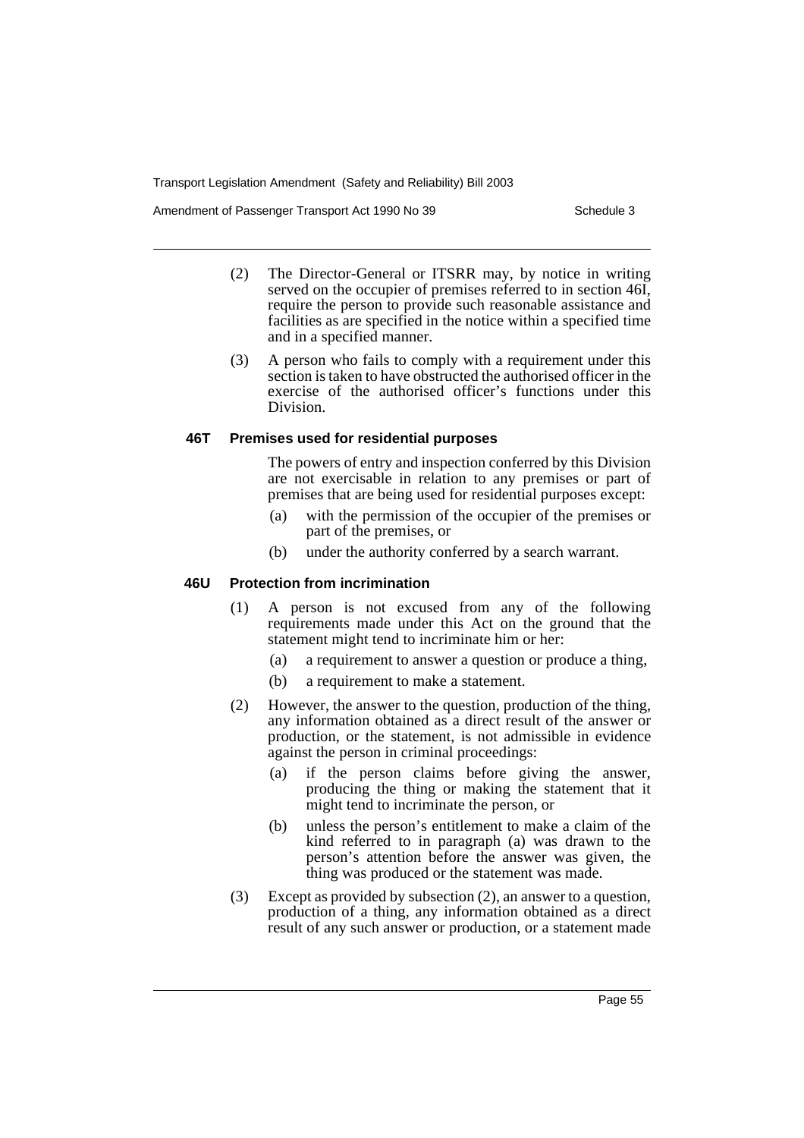Amendment of Passenger Transport Act 1990 No 39 Schedule 3

- (2) The Director-General or ITSRR may, by notice in writing served on the occupier of premises referred to in section 46I, require the person to provide such reasonable assistance and facilities as are specified in the notice within a specified time and in a specified manner.
- (3) A person who fails to comply with a requirement under this section is taken to have obstructed the authorised officer in the exercise of the authorised officer's functions under this Division.

#### **46T Premises used for residential purposes**

The powers of entry and inspection conferred by this Division are not exercisable in relation to any premises or part of premises that are being used for residential purposes except:

- (a) with the permission of the occupier of the premises or part of the premises, or
- (b) under the authority conferred by a search warrant.

### **46U Protection from incrimination**

- (1) A person is not excused from any of the following requirements made under this Act on the ground that the statement might tend to incriminate him or her:
	- (a) a requirement to answer a question or produce a thing,
	- (b) a requirement to make a statement.
- (2) However, the answer to the question, production of the thing, any information obtained as a direct result of the answer or production, or the statement, is not admissible in evidence against the person in criminal proceedings:
	- (a) if the person claims before giving the answer, producing the thing or making the statement that it might tend to incriminate the person, or
	- (b) unless the person's entitlement to make a claim of the kind referred to in paragraph (a) was drawn to the person's attention before the answer was given, the thing was produced or the statement was made.
- (3) Except as provided by subsection (2), an answer to a question, production of a thing, any information obtained as a direct result of any such answer or production, or a statement made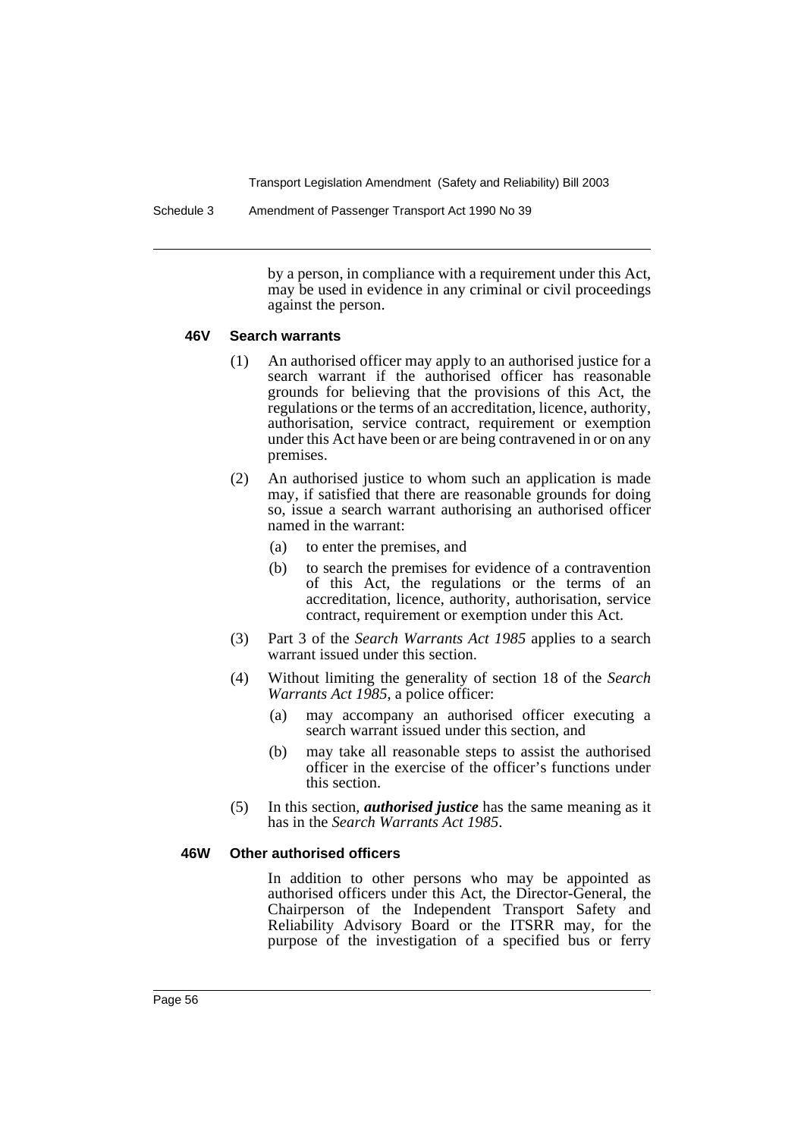Schedule 3 Amendment of Passenger Transport Act 1990 No 39

by a person, in compliance with a requirement under this Act, may be used in evidence in any criminal or civil proceedings against the person.

#### **46V Search warrants**

- (1) An authorised officer may apply to an authorised justice for a search warrant if the authorised officer has reasonable grounds for believing that the provisions of this Act, the regulations or the terms of an accreditation, licence, authority, authorisation, service contract, requirement or exemption under this Act have been or are being contravened in or on any premises.
- (2) An authorised justice to whom such an application is made may, if satisfied that there are reasonable grounds for doing so, issue a search warrant authorising an authorised officer named in the warrant:
	- (a) to enter the premises, and
	- (b) to search the premises for evidence of a contravention of this Act, the regulations or the terms of an accreditation, licence, authority, authorisation, service contract, requirement or exemption under this Act.
- (3) Part 3 of the *Search Warrants Act 1985* applies to a search warrant issued under this section.
- (4) Without limiting the generality of section 18 of the *Search Warrants Act 1985*, a police officer:
	- (a) may accompany an authorised officer executing a search warrant issued under this section, and
	- (b) may take all reasonable steps to assist the authorised officer in the exercise of the officer's functions under this section.
- (5) In this section, *authorised justice* has the same meaning as it has in the *Search Warrants Act 1985*.

#### **46W Other authorised officers**

In addition to other persons who may be appointed as authorised officers under this Act, the Director-General, the Chairperson of the Independent Transport Safety and Reliability Advisory Board or the ITSRR may, for the purpose of the investigation of a specified bus or ferry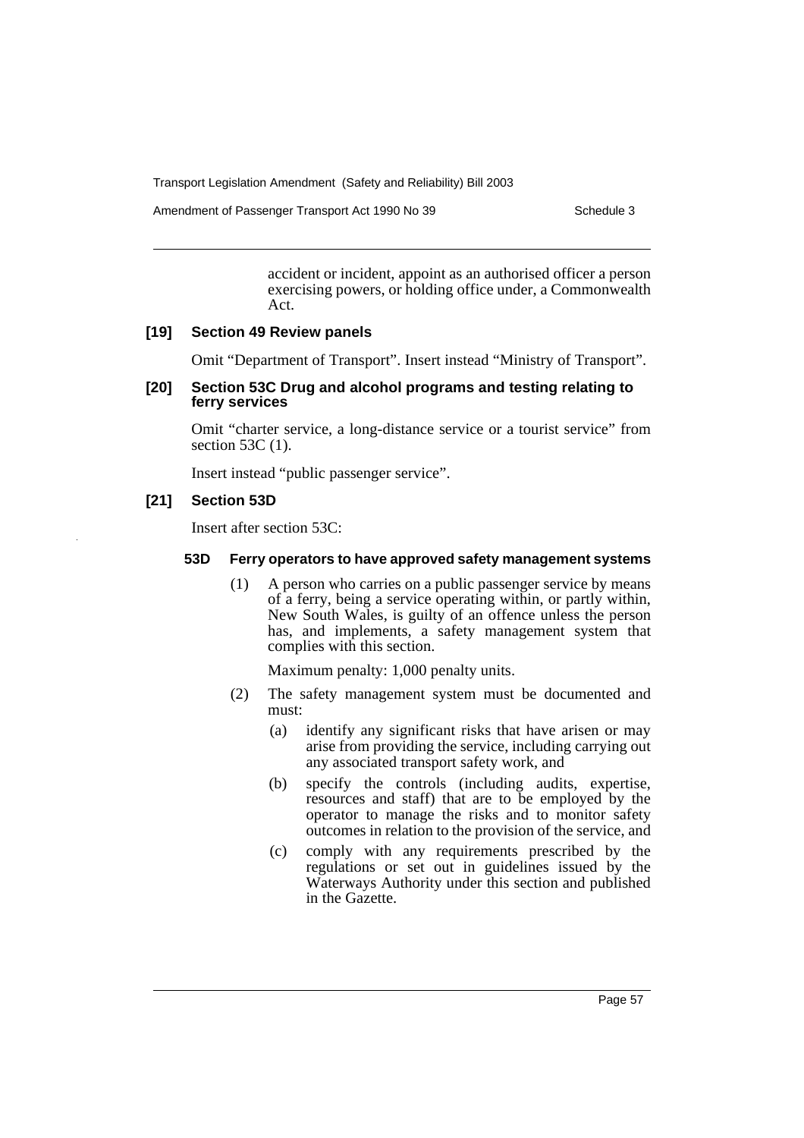Amendment of Passenger Transport Act 1990 No 39 Schedule 3

accident or incident, appoint as an authorised officer a person exercising powers, or holding office under, a Commonwealth Act.

#### **[19] Section 49 Review panels**

Omit "Department of Transport". Insert instead "Ministry of Transport".

### **[20] Section 53C Drug and alcohol programs and testing relating to ferry services**

Omit "charter service, a long-distance service or a tourist service" from section 53C (1).

Insert instead "public passenger service".

### **[21] Section 53D**

Insert after section 53C:

#### **53D Ferry operators to have approved safety management systems**

(1) A person who carries on a public passenger service by means of a ferry, being a service operating within, or partly within, New South Wales, is guilty of an offence unless the person has, and implements, a safety management system that complies with this section.

Maximum penalty: 1,000 penalty units.

- (2) The safety management system must be documented and must:
	- (a) identify any significant risks that have arisen or may arise from providing the service, including carrying out any associated transport safety work, and
	- (b) specify the controls (including audits, expertise, resources and staff) that are to be employed by the operator to manage the risks and to monitor safety outcomes in relation to the provision of the service, and
	- (c) comply with any requirements prescribed by the regulations or set out in guidelines issued by the Waterways Authority under this section and published in the Gazette.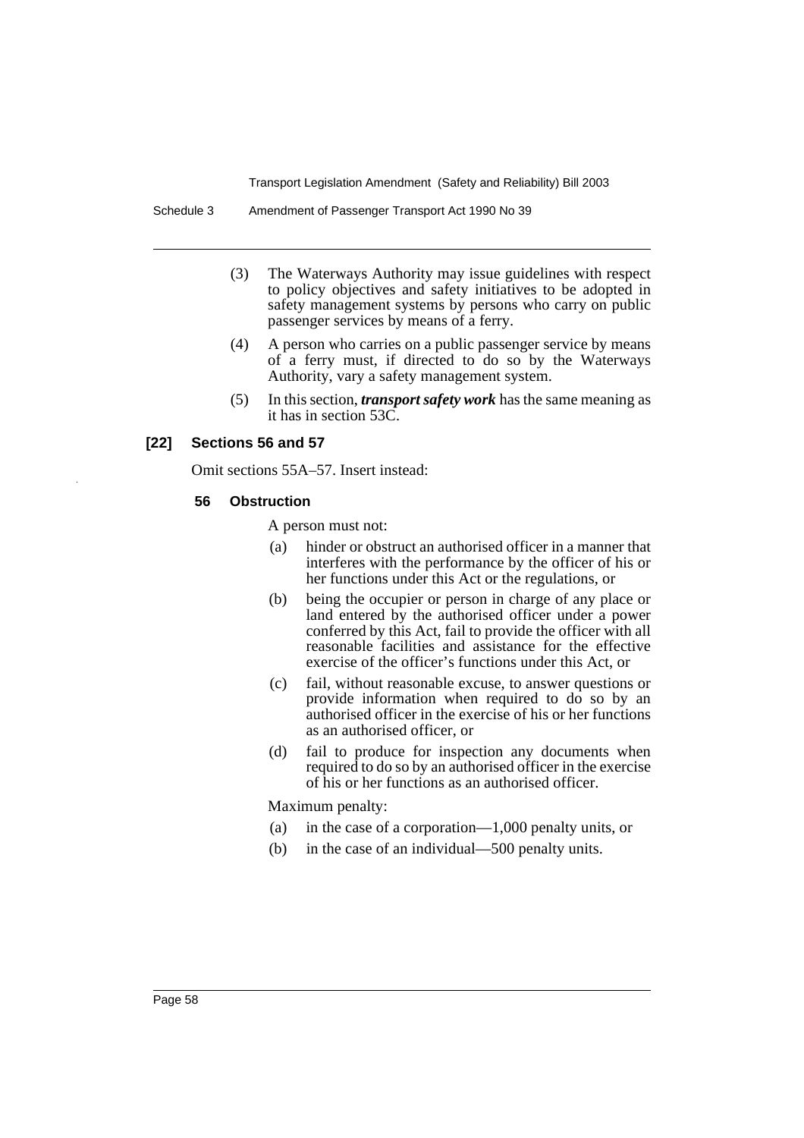Schedule 3 Amendment of Passenger Transport Act 1990 No 39

- (3) The Waterways Authority may issue guidelines with respect to policy objectives and safety initiatives to be adopted in safety management systems by persons who carry on public passenger services by means of a ferry.
- (4) A person who carries on a public passenger service by means of a ferry must, if directed to do so by the Waterways Authority, vary a safety management system.
- (5) In this section, *transport safety work* has the same meaning as it has in section 53C.

### **[22] Sections 56 and 57**

Omit sections 55A–57. Insert instead:

#### **56 Obstruction**

A person must not:

- (a) hinder or obstruct an authorised officer in a manner that interferes with the performance by the officer of his or her functions under this Act or the regulations, or
- (b) being the occupier or person in charge of any place or land entered by the authorised officer under a power conferred by this Act, fail to provide the officer with all reasonable facilities and assistance for the effective exercise of the officer's functions under this Act, or
- (c) fail, without reasonable excuse, to answer questions or provide information when required to do so by an authorised officer in the exercise of his or her functions as an authorised officer, or
- (d) fail to produce for inspection any documents when required to do so by an authorised officer in the exercise of his or her functions as an authorised officer.

Maximum penalty:

- (a) in the case of a corporation—1,000 penalty units, or
- (b) in the case of an individual—500 penalty units.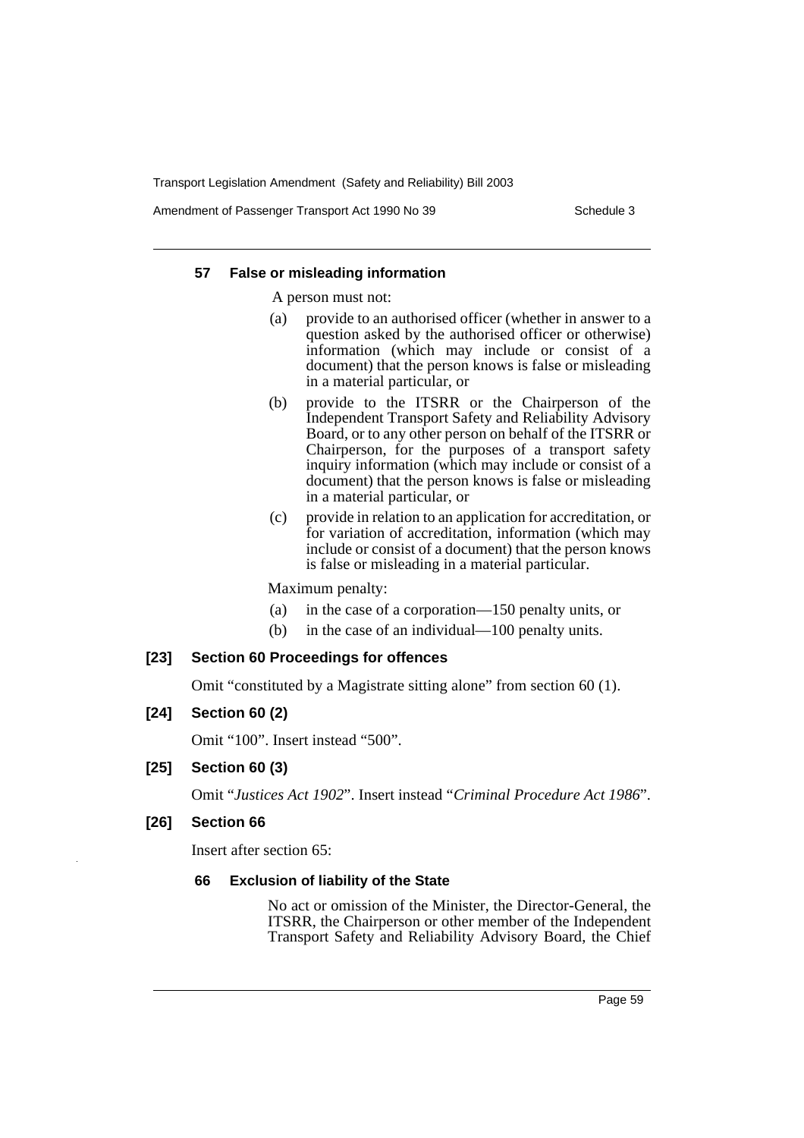Amendment of Passenger Transport Act 1990 No 39 Schedule 3

#### **57 False or misleading information**

A person must not:

- (a) provide to an authorised officer (whether in answer to a question asked by the authorised officer or otherwise) information (which may include or consist of a document) that the person knows is false or misleading in a material particular, or
- (b) provide to the ITSRR or the Chairperson of the Independent Transport Safety and Reliability Advisory Board, or to any other person on behalf of the ITSRR or Chairperson, for the purposes of a transport safety inquiry information (which may include or consist of a document) that the person knows is false or misleading in a material particular, or
- (c) provide in relation to an application for accreditation, or for variation of accreditation, information (which may include or consist of a document) that the person knows is false or misleading in a material particular.

Maximum penalty:

- (a) in the case of a corporation—150 penalty units, or
- (b) in the case of an individual—100 penalty units.

### **[23] Section 60 Proceedings for offences**

Omit "constituted by a Magistrate sitting alone" from section 60 (1).

### **[24] Section 60 (2)**

Omit "100". Insert instead "500".

## **[25] Section 60 (3)**

Omit "*Justices Act 1902*". Insert instead "*Criminal Procedure Act 1986*".

#### **[26] Section 66**

Insert after section 65:

#### **66 Exclusion of liability of the State**

No act or omission of the Minister, the Director-General, the ITSRR, the Chairperson or other member of the Independent Transport Safety and Reliability Advisory Board, the Chief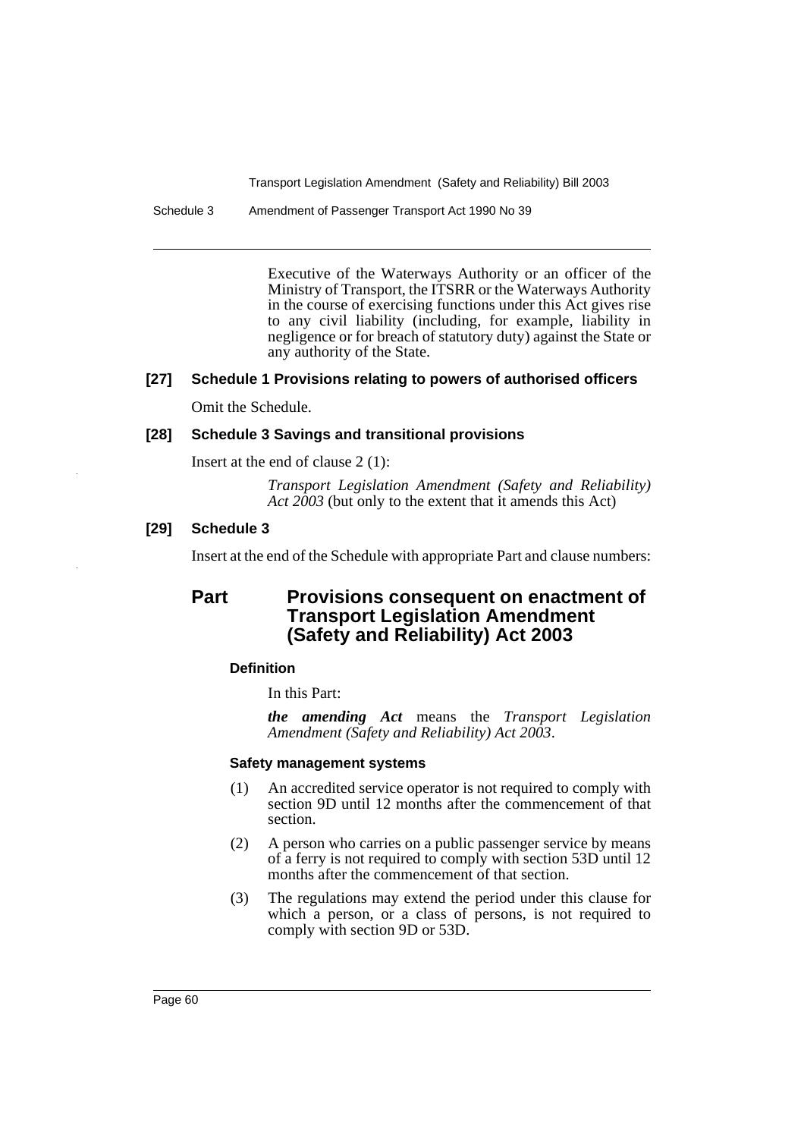Schedule 3 Amendment of Passenger Transport Act 1990 No 39

Executive of the Waterways Authority or an officer of the Ministry of Transport, the ITSRR or the Waterways Authority in the course of exercising functions under this Act gives rise to any civil liability (including, for example, liability in negligence or for breach of statutory duty) against the State or any authority of the State.

## **[27] Schedule 1 Provisions relating to powers of authorised officers**

Omit the Schedule.

## **[28] Schedule 3 Savings and transitional provisions**

Insert at the end of clause 2 (1):

*Transport Legislation Amendment (Safety and Reliability) Act 2003* (but only to the extent that it amends this Act)

## **[29] Schedule 3**

Insert at the end of the Schedule with appropriate Part and clause numbers:

# **Part Provisions consequent on enactment of Transport Legislation Amendment (Safety and Reliability) Act 2003**

### **Definition**

In this Part:

*the amending Act* means the *Transport Legislation Amendment (Safety and Reliability) Act 2003*.

### **Safety management systems**

- (1) An accredited service operator is not required to comply with section 9D until 12 months after the commencement of that section.
- (2) A person who carries on a public passenger service by means of a ferry is not required to comply with section 53D until 12 months after the commencement of that section.
- (3) The regulations may extend the period under this clause for which a person, or a class of persons, is not required to comply with section 9D or 53D.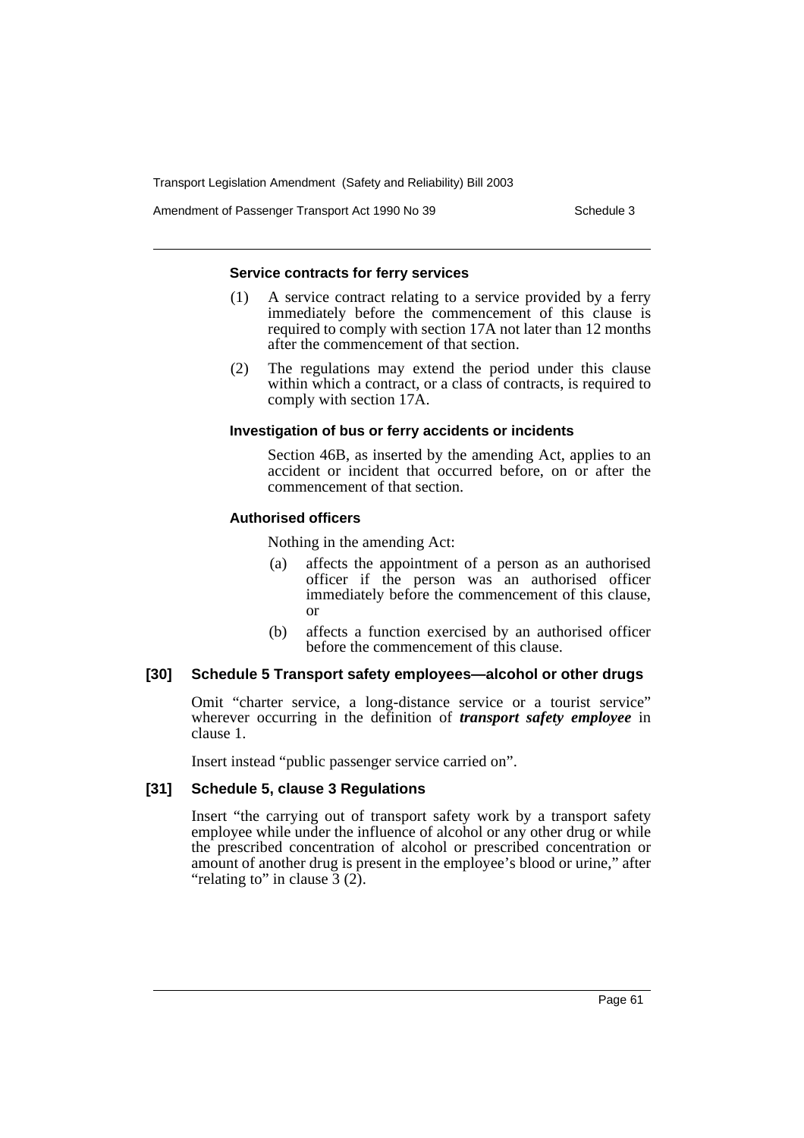Amendment of Passenger Transport Act 1990 No 39 Schedule 3

#### **Service contracts for ferry services**

- (1) A service contract relating to a service provided by a ferry immediately before the commencement of this clause is required to comply with section 17A not later than 12 months after the commencement of that section.
- (2) The regulations may extend the period under this clause within which a contract, or a class of contracts, is required to comply with section 17A.

#### **Investigation of bus or ferry accidents or incidents**

Section 46B, as inserted by the amending Act, applies to an accident or incident that occurred before, on or after the commencement of that section.

### **Authorised officers**

Nothing in the amending Act:

- (a) affects the appointment of a person as an authorised officer if the person was an authorised officer immediately before the commencement of this clause, or
- (b) affects a function exercised by an authorised officer before the commencement of this clause.

### **[30] Schedule 5 Transport safety employees—alcohol or other drugs**

Omit "charter service, a long-distance service or a tourist service" wherever occurring in the definition of *transport safety employee* in clause 1.

Insert instead "public passenger service carried on".

### **[31] Schedule 5, clause 3 Regulations**

Insert "the carrying out of transport safety work by a transport safety employee while under the influence of alcohol or any other drug or while the prescribed concentration of alcohol or prescribed concentration or amount of another drug is present in the employee's blood or urine," after "relating to" in clause  $3(2)$ .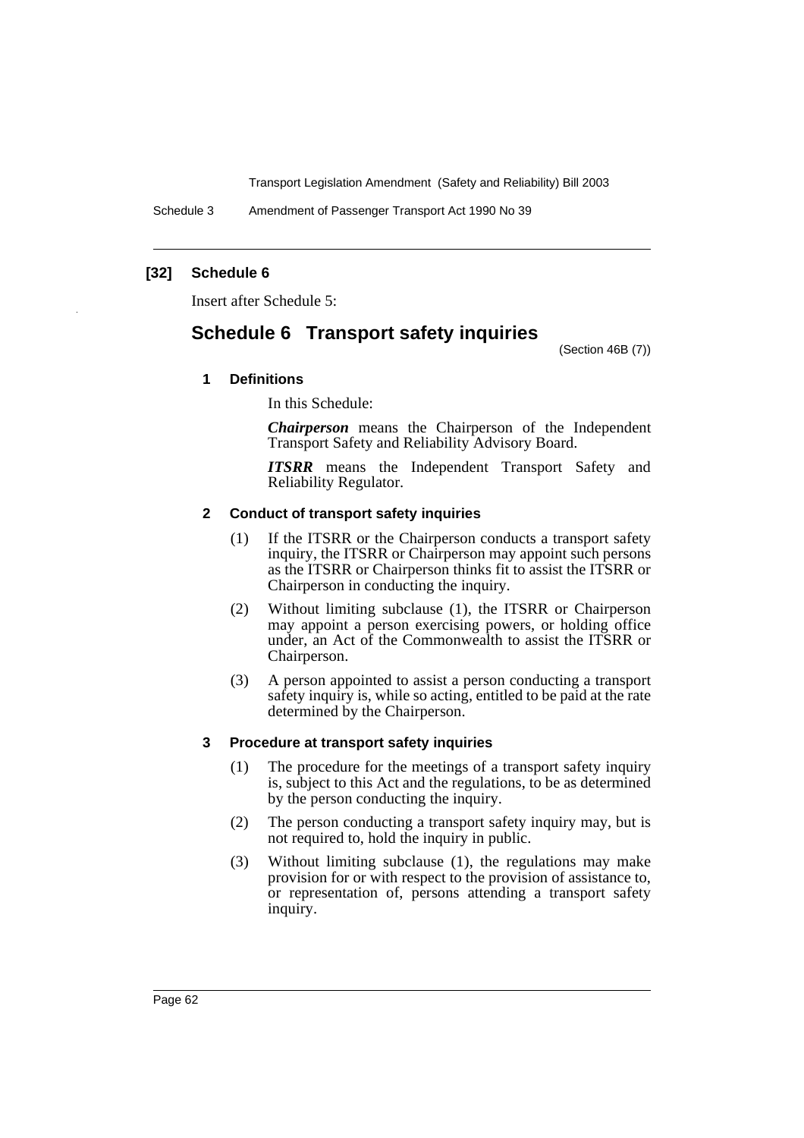Schedule 3 Amendment of Passenger Transport Act 1990 No 39

### **[32] Schedule 6**

Insert after Schedule 5:

# **Schedule 6 Transport safety inquiries**

(Section 46B (7))

### **1 Definitions**

In this Schedule:

*Chairperson* means the Chairperson of the Independent Transport Safety and Reliability Advisory Board.

*ITSRR* means the Independent Transport Safety and Reliability Regulator.

#### **2 Conduct of transport safety inquiries**

- (1) If the ITSRR or the Chairperson conducts a transport safety inquiry, the ITSRR or Chairperson may appoint such persons as the ITSRR or Chairperson thinks fit to assist the ITSRR or Chairperson in conducting the inquiry.
- (2) Without limiting subclause (1), the ITSRR or Chairperson may appoint a person exercising powers, or holding office under, an Act of the Commonwealth to assist the ITSRR or Chairperson.
- (3) A person appointed to assist a person conducting a transport safety inquiry is, while so acting, entitled to be paid at the rate determined by the Chairperson.

#### **3 Procedure at transport safety inquiries**

- (1) The procedure for the meetings of a transport safety inquiry is, subject to this Act and the regulations, to be as determined by the person conducting the inquiry.
- (2) The person conducting a transport safety inquiry may, but is not required to, hold the inquiry in public.
- (3) Without limiting subclause (1), the regulations may make provision for or with respect to the provision of assistance to, or representation of, persons attending a transport safety inquiry.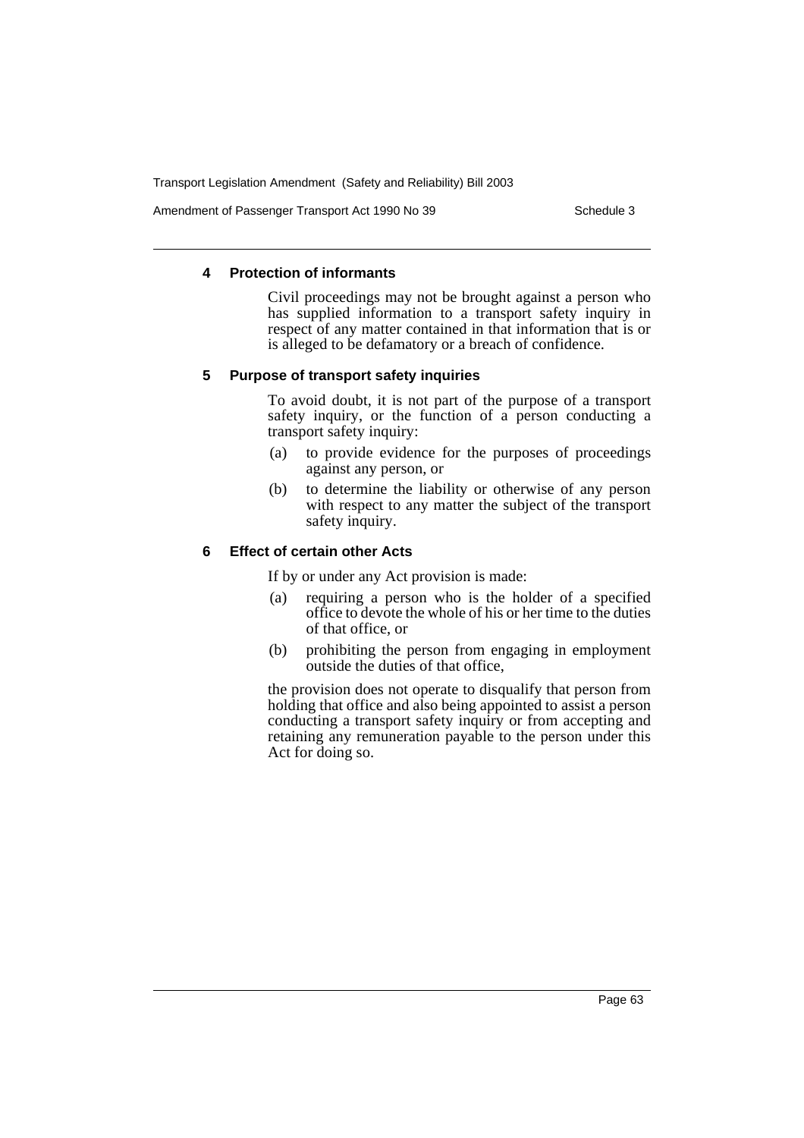Amendment of Passenger Transport Act 1990 No 39 Schedule 3

### **4 Protection of informants**

Civil proceedings may not be brought against a person who has supplied information to a transport safety inquiry in respect of any matter contained in that information that is or is alleged to be defamatory or a breach of confidence.

#### **5 Purpose of transport safety inquiries**

To avoid doubt, it is not part of the purpose of a transport safety inquiry, or the function of a person conducting a transport safety inquiry:

- (a) to provide evidence for the purposes of proceedings against any person, or
- (b) to determine the liability or otherwise of any person with respect to any matter the subject of the transport safety inquiry.

### **6 Effect of certain other Acts**

If by or under any Act provision is made:

- (a) requiring a person who is the holder of a specified office to devote the whole of his or her time to the duties of that office, or
- (b) prohibiting the person from engaging in employment outside the duties of that office,

the provision does not operate to disqualify that person from holding that office and also being appointed to assist a person conducting a transport safety inquiry or from accepting and retaining any remuneration payable to the person under this Act for doing so.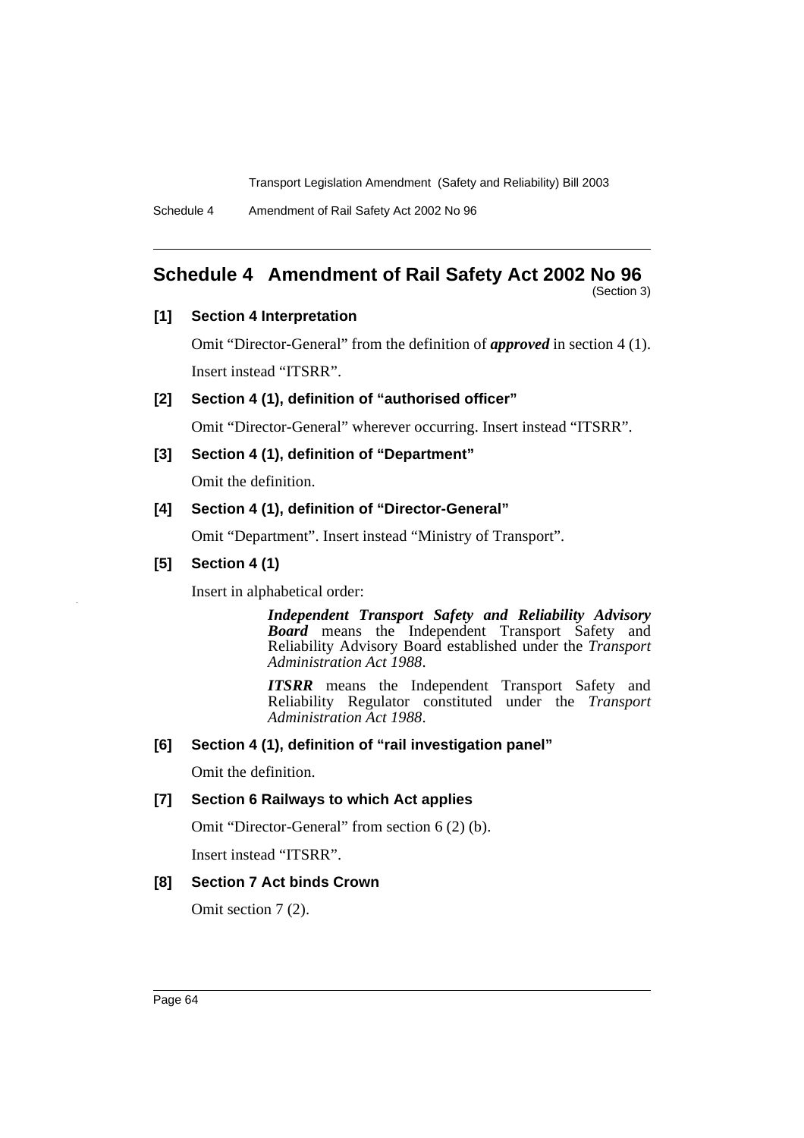Schedule 4 Amendment of Rail Safety Act 2002 No 96

# **Schedule 4 Amendment of Rail Safety Act 2002 No 96**

(Section 3)

## **[1] Section 4 Interpretation**

Omit "Director-General" from the definition of *approved* in section 4 (1). Insert instead "ITSRR".

## **[2] Section 4 (1), definition of "authorised officer"**

Omit "Director-General" wherever occurring. Insert instead "ITSRR".

## **[3] Section 4 (1), definition of "Department"**

Omit the definition.

## **[4] Section 4 (1), definition of "Director-General"**

Omit "Department". Insert instead "Ministry of Transport".

## **[5] Section 4 (1)**

Insert in alphabetical order:

*Independent Transport Safety and Reliability Advisory Board* means the Independent Transport Safety and Reliability Advisory Board established under the *Transport Administration Act 1988*.

*ITSRR* means the Independent Transport Safety and Reliability Regulator constituted under the *Transport Administration Act 1988*.

## **[6] Section 4 (1), definition of "rail investigation panel"**

Omit the definition.

## **[7] Section 6 Railways to which Act applies**

Omit "Director-General" from section 6 (2) (b).

Insert instead "ITSRR".

## **[8] Section 7 Act binds Crown**

Omit section 7 (2).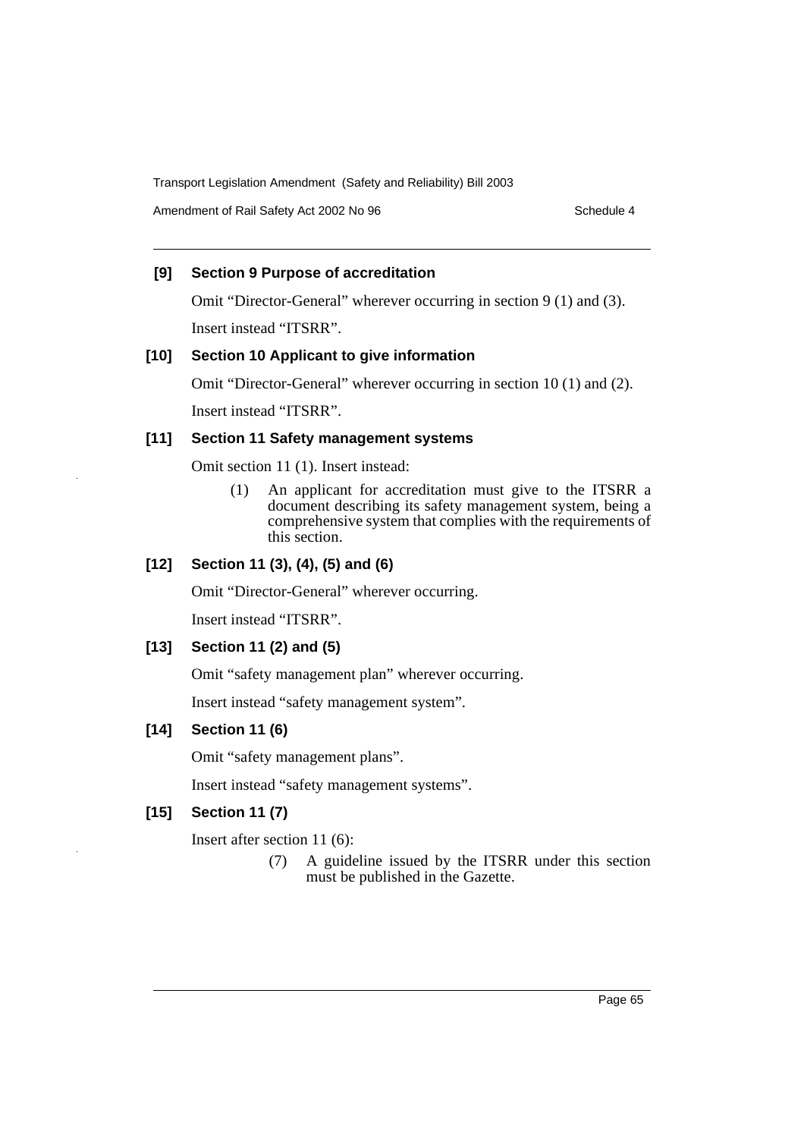Amendment of Rail Safety Act 2002 No 96 Schedule 4

## **[9] Section 9 Purpose of accreditation**

Omit "Director-General" wherever occurring in section 9 (1) and (3).

Insert instead "ITSRR".

## **[10] Section 10 Applicant to give information**

Omit "Director-General" wherever occurring in section 10 (1) and (2).

Insert instead "ITSRR".

### **[11] Section 11 Safety management systems**

Omit section 11 (1). Insert instead:

(1) An applicant for accreditation must give to the ITSRR a document describing its safety management system, being a comprehensive system that complies with the requirements of this section.

## **[12] Section 11 (3), (4), (5) and (6)**

Omit "Director-General" wherever occurring.

Insert instead "ITSRR".

## **[13] Section 11 (2) and (5)**

Omit "safety management plan" wherever occurring.

Insert instead "safety management system".

## **[14] Section 11 (6)**

Omit "safety management plans".

Insert instead "safety management systems".

## **[15] Section 11 (7)**

Insert after section 11 (6):

(7) A guideline issued by the ITSRR under this section must be published in the Gazette.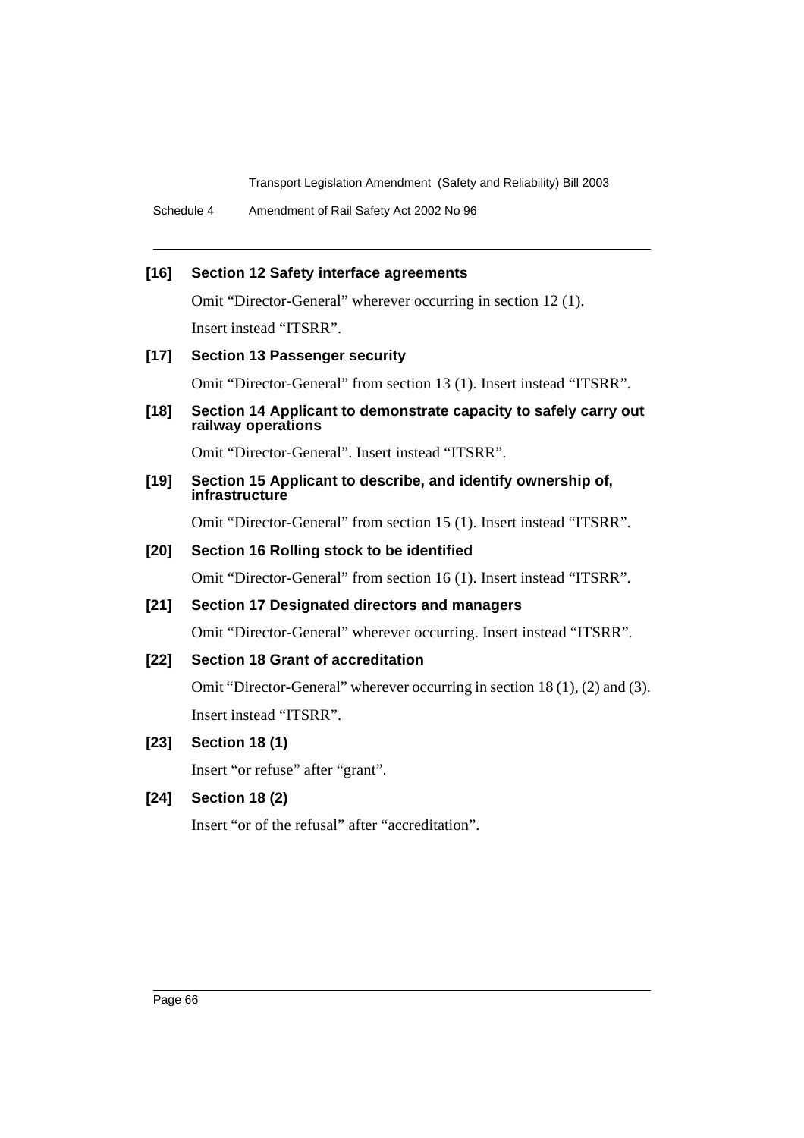Schedule 4 Amendment of Rail Safety Act 2002 No 96

### **[16] Section 12 Safety interface agreements**

Omit "Director-General" wherever occurring in section 12 (1).

Insert instead "ITSRR".

### **[17] Section 13 Passenger security**

Omit "Director-General" from section 13 (1). Insert instead "ITSRR".

**[18] Section 14 Applicant to demonstrate capacity to safely carry out railway operations**

Omit "Director-General". Insert instead "ITSRR".

#### **[19] Section 15 Applicant to describe, and identify ownership of, infrastructure**

Omit "Director-General" from section 15 (1). Insert instead "ITSRR".

### **[20] Section 16 Rolling stock to be identified**

Omit "Director-General" from section 16 (1). Insert instead "ITSRR".

### **[21] Section 17 Designated directors and managers**

Omit "Director-General" wherever occurring. Insert instead "ITSRR".

### **[22] Section 18 Grant of accreditation**

Omit "Director-General" wherever occurring in section 18 (1), (2) and (3). Insert instead "ITSRR".

## **[23] Section 18 (1)**

Insert "or refuse" after "grant".

## **[24] Section 18 (2)**

Insert "or of the refusal" after "accreditation".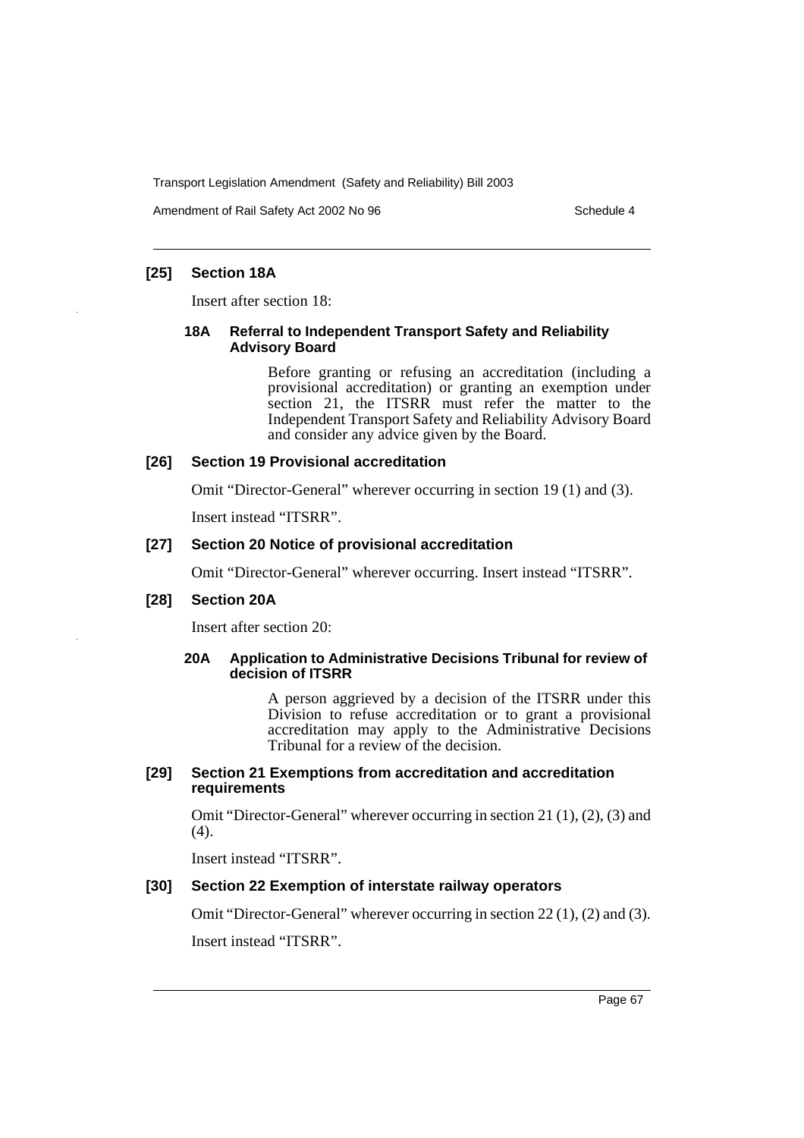Amendment of Rail Safety Act 2002 No 96 Schedule 4

## **[25] Section 18A**

Insert after section 18:

### **18A Referral to Independent Transport Safety and Reliability Advisory Board**

Before granting or refusing an accreditation (including a provisional accreditation) or granting an exemption under section 21, the ITSRR must refer the matter to the Independent Transport Safety and Reliability Advisory Board and consider any advice given by the Board.

### **[26] Section 19 Provisional accreditation**

Omit "Director-General" wherever occurring in section 19 (1) and (3).

Insert instead "ITSRR".

### **[27] Section 20 Notice of provisional accreditation**

Omit "Director-General" wherever occurring. Insert instead "ITSRR".

### **[28] Section 20A**

Insert after section 20:

### **20A Application to Administrative Decisions Tribunal for review of decision of ITSRR**

A person aggrieved by a decision of the ITSRR under this Division to refuse accreditation or to grant a provisional accreditation may apply to the Administrative Decisions Tribunal for a review of the decision.

#### **[29] Section 21 Exemptions from accreditation and accreditation requirements**

Omit "Director-General" wherever occurring in section 21 (1), (2), (3) and  $(4)$ .

Insert instead "ITSRR".

### **[30] Section 22 Exemption of interstate railway operators**

Omit "Director-General" wherever occurring in section 22 (1), (2) and (3).

Insert instead "ITSRR".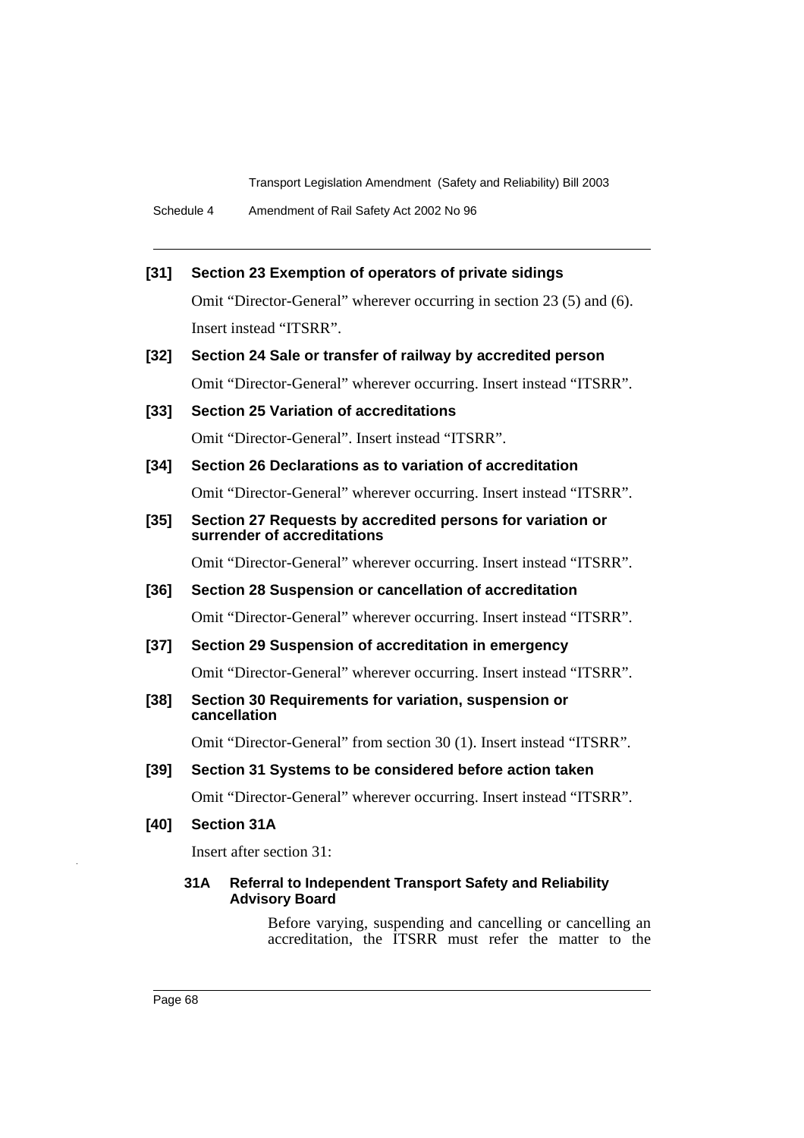### **[31] Section 23 Exemption of operators of private sidings**

Omit "Director-General" wherever occurring in section 23 (5) and (6). Insert instead "ITSRR".

**[32] Section 24 Sale or transfer of railway by accredited person** Omit "Director-General" wherever occurring. Insert instead "ITSRR".

## **[33] Section 25 Variation of accreditations**

Omit "Director-General". Insert instead "ITSRR".

## **[34] Section 26 Declarations as to variation of accreditation**

Omit "Director-General" wherever occurring. Insert instead "ITSRR".

## **[35] Section 27 Requests by accredited persons for variation or surrender of accreditations**

Omit "Director-General" wherever occurring. Insert instead "ITSRR".

#### **[36] Section 28 Suspension or cancellation of accreditation**

Omit "Director-General" wherever occurring. Insert instead "ITSRR".

#### **[37] Section 29 Suspension of accreditation in emergency**

Omit "Director-General" wherever occurring. Insert instead "ITSRR".

#### **[38] Section 30 Requirements for variation, suspension or cancellation**

Omit "Director-General" from section 30 (1). Insert instead "ITSRR".

## **[39] Section 31 Systems to be considered before action taken**

Omit "Director-General" wherever occurring. Insert instead "ITSRR".

## **[40] Section 31A**

Insert after section 31:

### **31A Referral to Independent Transport Safety and Reliability Advisory Board**

Before varying, suspending and cancelling or cancelling an accreditation, the ITSRR must refer the matter to the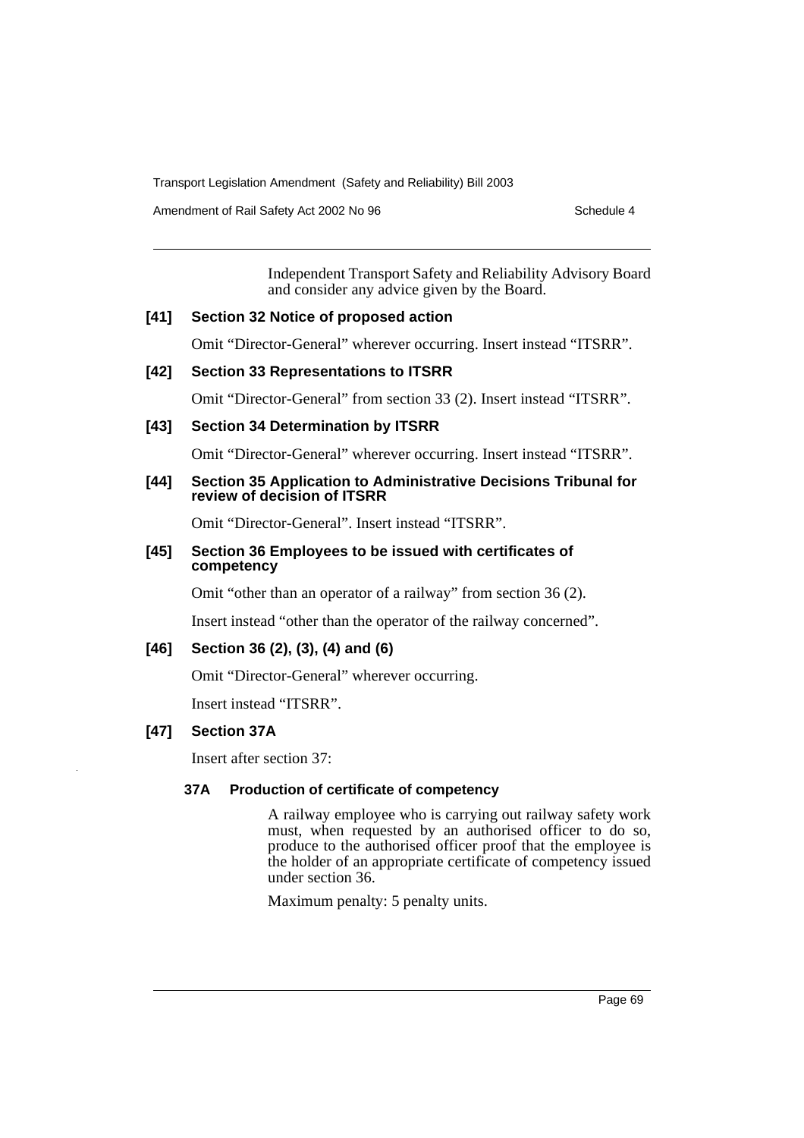Amendment of Rail Safety Act 2002 No 96 Schedule 4

Independent Transport Safety and Reliability Advisory Board and consider any advice given by the Board.

### **[41] Section 32 Notice of proposed action**

Omit "Director-General" wherever occurring. Insert instead "ITSRR".

## **[42] Section 33 Representations to ITSRR**

Omit "Director-General" from section 33 (2). Insert instead "ITSRR".

## **[43] Section 34 Determination by ITSRR**

Omit "Director-General" wherever occurring. Insert instead "ITSRR".

### **[44] Section 35 Application to Administrative Decisions Tribunal for review of decision of ITSRR**

Omit "Director-General". Insert instead "ITSRR".

### **[45] Section 36 Employees to be issued with certificates of competency**

Omit "other than an operator of a railway" from section 36 (2).

Insert instead "other than the operator of the railway concerned".

## **[46] Section 36 (2), (3), (4) and (6)**

Omit "Director-General" wherever occurring.

Insert instead "ITSRR".

### **[47] Section 37A**

Insert after section 37:

### **37A Production of certificate of competency**

A railway employee who is carrying out railway safety work must, when requested by an authorised officer to do so, produce to the authorised officer proof that the employee is the holder of an appropriate certificate of competency issued under section 36.

Maximum penalty: 5 penalty units.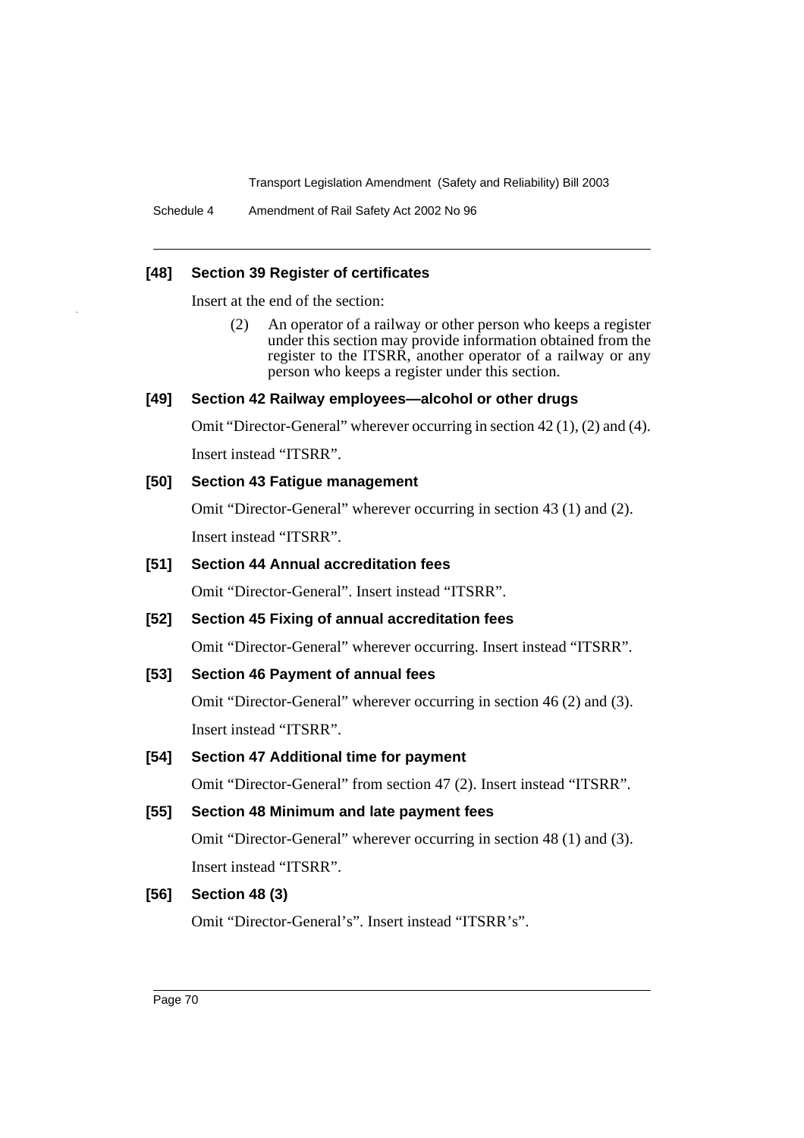Schedule 4 Amendment of Rail Safety Act 2002 No 96

#### **[48] Section 39 Register of certificates**

Insert at the end of the section:

(2) An operator of a railway or other person who keeps a register under this section may provide information obtained from the register to the ITSRR, another operator of a railway or any person who keeps a register under this section.

## **[49] Section 42 Railway employees—alcohol or other drugs**

Omit "Director-General" wherever occurring in section 42 (1), (2) and (4).

Insert instead "ITSRR".

### **[50] Section 43 Fatigue management**

Omit "Director-General" wherever occurring in section 43 (1) and (2). Insert instead "ITSRR".

## **[51] Section 44 Annual accreditation fees**

Omit "Director-General". Insert instead "ITSRR".

### **[52] Section 45 Fixing of annual accreditation fees**

Omit "Director-General" wherever occurring. Insert instead "ITSRR".

### **[53] Section 46 Payment of annual fees**

Omit "Director-General" wherever occurring in section 46 (2) and (3). Insert instead "ITSRR".

### **[54] Section 47 Additional time for payment**

Omit "Director-General" from section 47 (2). Insert instead "ITSRR".

## **[55] Section 48 Minimum and late payment fees**

Omit "Director-General" wherever occurring in section 48 (1) and (3). Insert instead "ITSRR".

#### **[56] Section 48 (3)**

Omit "Director-General's". Insert instead "ITSRR's".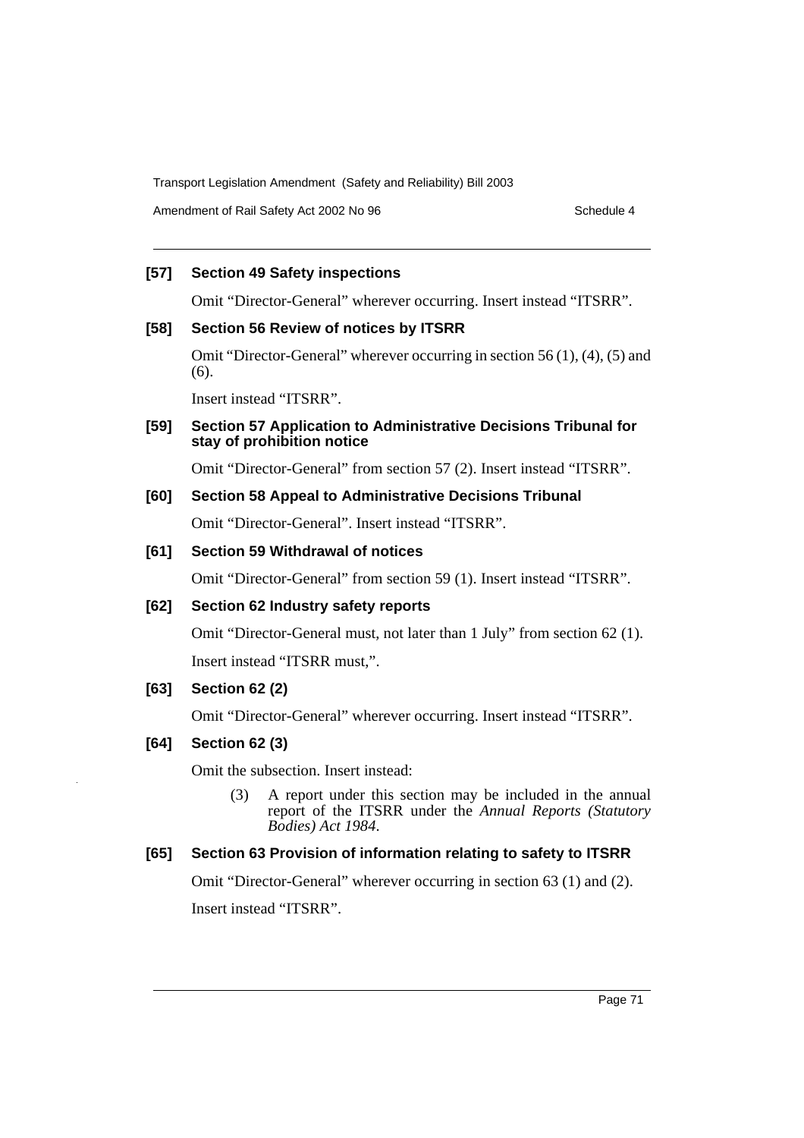Amendment of Rail Safety Act 2002 No 96 Schedule 4

## **[57] Section 49 Safety inspections**

Omit "Director-General" wherever occurring. Insert instead "ITSRR".

## **[58] Section 56 Review of notices by ITSRR**

Omit "Director-General" wherever occurring in section 56 (1), (4), (5) and (6).

Insert instead "ITSRR".

## **[59] Section 57 Application to Administrative Decisions Tribunal for stay of prohibition notice**

Omit "Director-General" from section 57 (2). Insert instead "ITSRR".

## **[60] Section 58 Appeal to Administrative Decisions Tribunal**

Omit "Director-General". Insert instead "ITSRR".

## **[61] Section 59 Withdrawal of notices**

Omit "Director-General" from section 59 (1). Insert instead "ITSRR".

## **[62] Section 62 Industry safety reports**

Omit "Director-General must, not later than 1 July" from section 62 (1).

Insert instead "ITSRR must,".

## **[63] Section 62 (2)**

Omit "Director-General" wherever occurring. Insert instead "ITSRR".

## **[64] Section 62 (3)**

Omit the subsection. Insert instead:

(3) A report under this section may be included in the annual report of the ITSRR under the *Annual Reports (Statutory Bodies) Act 1984*.

## **[65] Section 63 Provision of information relating to safety to ITSRR**

Omit "Director-General" wherever occurring in section 63 (1) and (2).

Insert instead "ITSRR".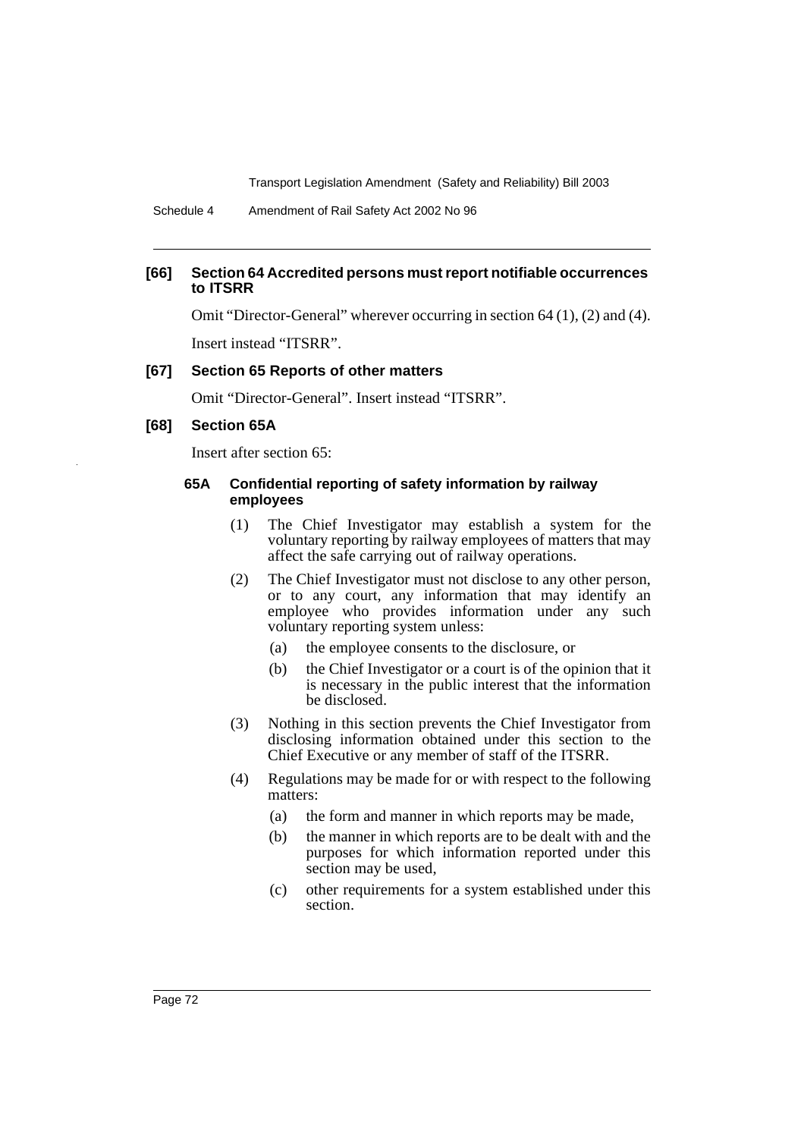Schedule 4 Amendment of Rail Safety Act 2002 No 96

#### **[66] Section 64 Accredited persons must report notifiable occurrences to ITSRR**

Omit "Director-General" wherever occurring in section 64 (1), (2) and (4).

Insert instead "ITSRR".

#### **[67] Section 65 Reports of other matters**

Omit "Director-General". Insert instead "ITSRR".

#### **[68] Section 65A**

Insert after section 65:

#### **65A Confidential reporting of safety information by railway employees**

- (1) The Chief Investigator may establish a system for the voluntary reporting by railway employees of matters that may affect the safe carrying out of railway operations.
- (2) The Chief Investigator must not disclose to any other person, or to any court, any information that may identify an employee who provides information under any such voluntary reporting system unless:
	- (a) the employee consents to the disclosure, or
	- (b) the Chief Investigator or a court is of the opinion that it is necessary in the public interest that the information be disclosed.
- (3) Nothing in this section prevents the Chief Investigator from disclosing information obtained under this section to the Chief Executive or any member of staff of the ITSRR.
- (4) Regulations may be made for or with respect to the following matters:
	- (a) the form and manner in which reports may be made,
	- (b) the manner in which reports are to be dealt with and the purposes for which information reported under this section may be used,
	- (c) other requirements for a system established under this section.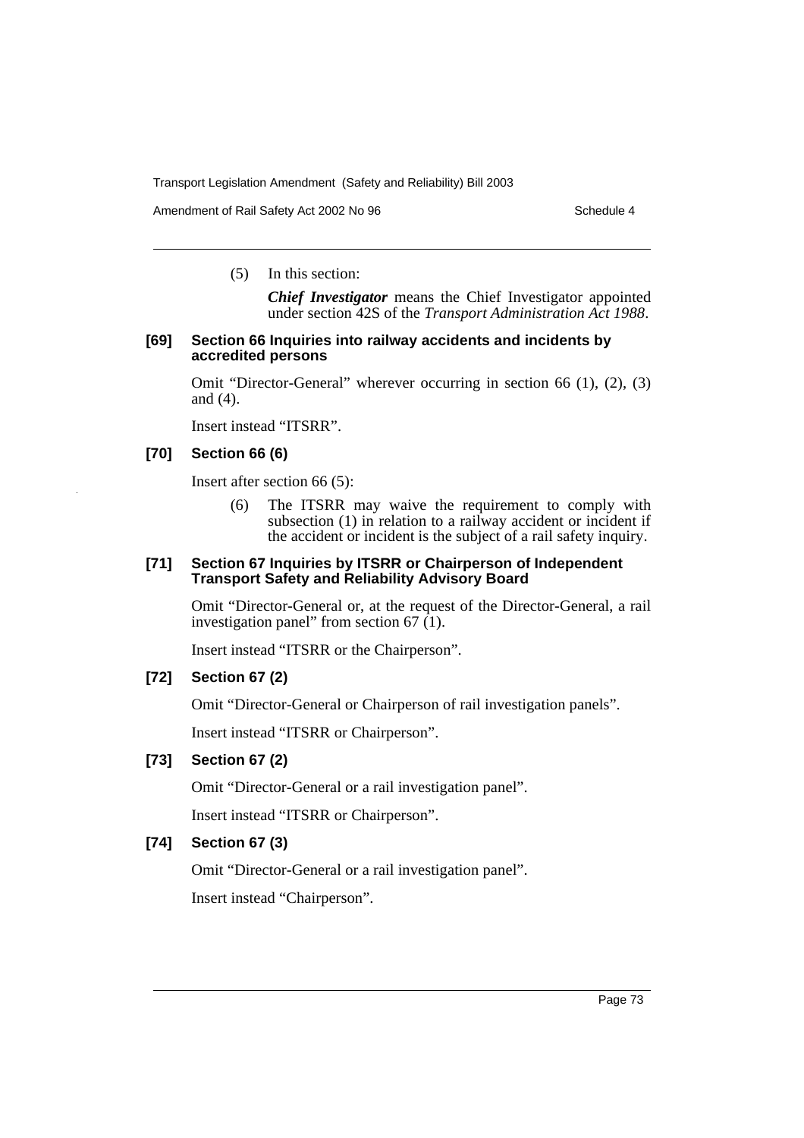Amendment of Rail Safety Act 2002 No 96 Schedule 4

(5) In this section:

*Chief Investigator* means the Chief Investigator appointed under section 42S of the *Transport Administration Act 1988*.

#### **[69] Section 66 Inquiries into railway accidents and incidents by accredited persons**

Omit "Director-General" wherever occurring in section 66 (1), (2), (3) and (4).

Insert instead "ITSRR".

## **[70] Section 66 (6)**

Insert after section 66 (5):

(6) The ITSRR may waive the requirement to comply with subsection (1) in relation to a railway accident or incident if the accident or incident is the subject of a rail safety inquiry.

#### **[71] Section 67 Inquiries by ITSRR or Chairperson of Independent Transport Safety and Reliability Advisory Board**

Omit "Director-General or, at the request of the Director-General, a rail investigation panel" from section  $67(1)$ .

Insert instead "ITSRR or the Chairperson".

## **[72] Section 67 (2)**

Omit "Director-General or Chairperson of rail investigation panels".

Insert instead "ITSRR or Chairperson".

## **[73] Section 67 (2)**

Omit "Director-General or a rail investigation panel".

Insert instead "ITSRR or Chairperson".

## **[74] Section 67 (3)**

Omit "Director-General or a rail investigation panel".

Insert instead "Chairperson".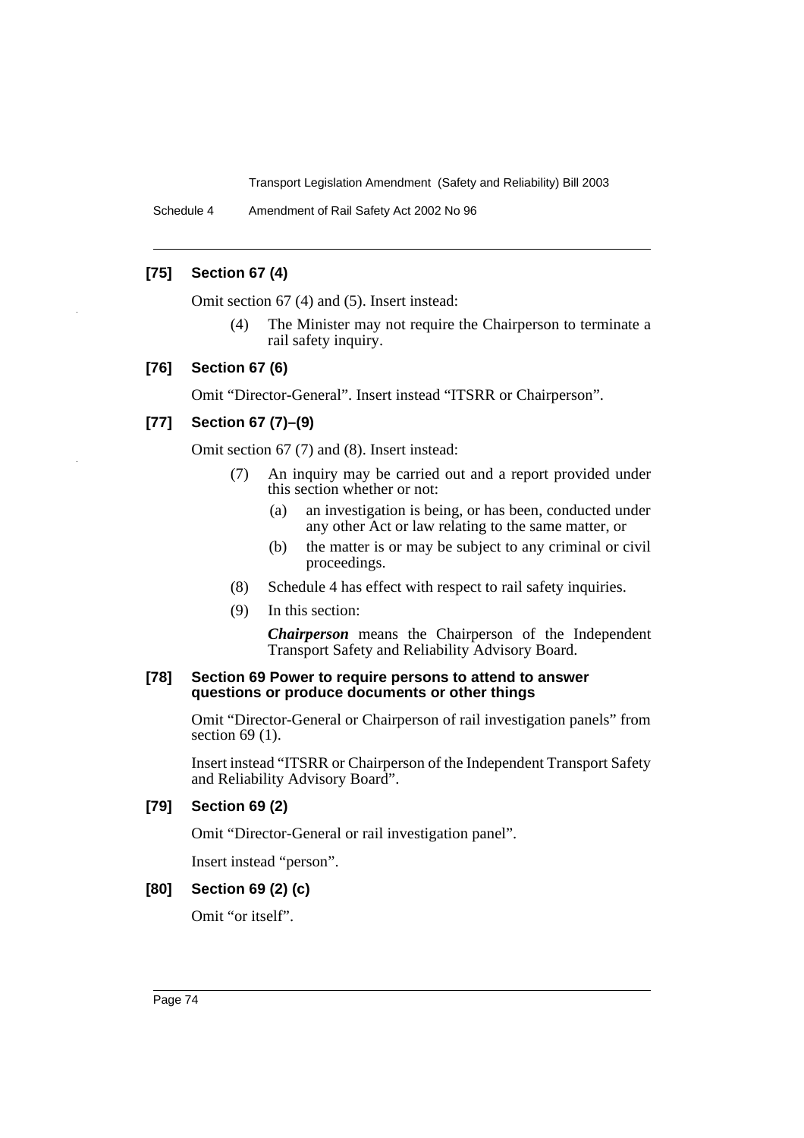Schedule 4 Amendment of Rail Safety Act 2002 No 96

## **[75] Section 67 (4)**

Omit section 67 (4) and (5). Insert instead:

(4) The Minister may not require the Chairperson to terminate a rail safety inquiry.

#### **[76] Section 67 (6)**

Omit "Director-General". Insert instead "ITSRR or Chairperson".

## **[77] Section 67 (7)–(9)**

Omit section 67 (7) and (8). Insert instead:

- (7) An inquiry may be carried out and a report provided under this section whether or not:
	- (a) an investigation is being, or has been, conducted under any other Act or law relating to the same matter, or
	- (b) the matter is or may be subject to any criminal or civil proceedings.
- (8) Schedule 4 has effect with respect to rail safety inquiries.
- (9) In this section:

*Chairperson* means the Chairperson of the Independent Transport Safety and Reliability Advisory Board.

#### **[78] Section 69 Power to require persons to attend to answer questions or produce documents or other things**

Omit "Director-General or Chairperson of rail investigation panels" from section 69 (1).

Insert instead "ITSRR or Chairperson of the Independent Transport Safety and Reliability Advisory Board".

#### **[79] Section 69 (2)**

Omit "Director-General or rail investigation panel".

Insert instead "person".

## **[80] Section 69 (2) (c)**

Omit "or itself".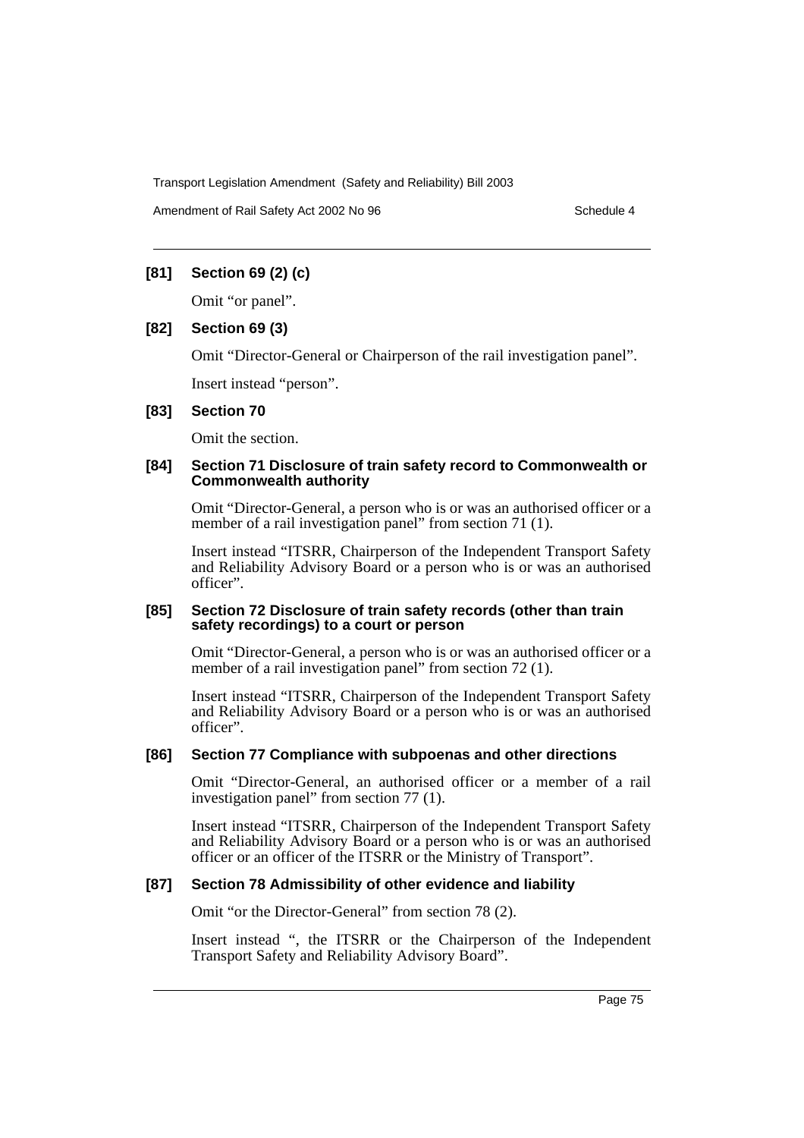Amendment of Rail Safety Act 2002 No 96 Schedule 4

## **[81] Section 69 (2) (c)**

Omit "or panel".

## **[82] Section 69 (3)**

Omit "Director-General or Chairperson of the rail investigation panel".

Insert instead "person".

## **[83] Section 70**

Omit the section.

## **[84] Section 71 Disclosure of train safety record to Commonwealth or Commonwealth authority**

Omit "Director-General, a person who is or was an authorised officer or a member of a rail investigation panel" from section 71 (1).

Insert instead "ITSRR, Chairperson of the Independent Transport Safety and Reliability Advisory Board or a person who is or was an authorised officer".

#### **[85] Section 72 Disclosure of train safety records (other than train safety recordings) to a court or person**

Omit "Director-General, a person who is or was an authorised officer or a member of a rail investigation panel" from section 72 (1).

Insert instead "ITSRR, Chairperson of the Independent Transport Safety and Reliability Advisory Board or a person who is or was an authorised officer".

#### **[86] Section 77 Compliance with subpoenas and other directions**

Omit "Director-General, an authorised officer or a member of a rail investigation panel" from section 77 (1).

Insert instead "ITSRR, Chairperson of the Independent Transport Safety and Reliability Advisory Board or a person who is or was an authorised officer or an officer of the ITSRR or the Ministry of Transport".

## **[87] Section 78 Admissibility of other evidence and liability**

Omit "or the Director-General" from section 78 (2).

Insert instead ", the ITSRR or the Chairperson of the Independent Transport Safety and Reliability Advisory Board".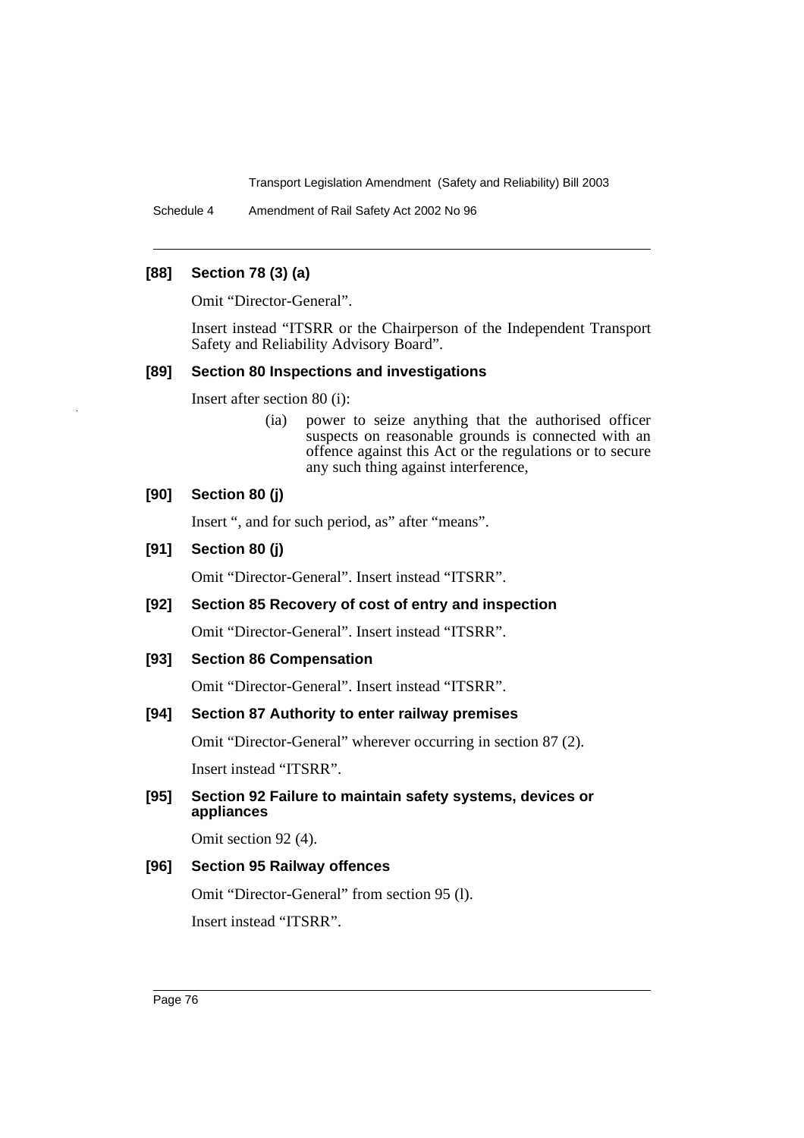Schedule 4 Amendment of Rail Safety Act 2002 No 96

## **[88] Section 78 (3) (a)**

Omit "Director-General".

Insert instead "ITSRR or the Chairperson of the Independent Transport Safety and Reliability Advisory Board".

#### **[89] Section 80 Inspections and investigations**

Insert after section 80 (i):

(ia) power to seize anything that the authorised officer suspects on reasonable grounds is connected with an offence against this Act or the regulations or to secure any such thing against interference,

## **[90] Section 80 (j)**

Insert ", and for such period, as" after "means".

## **[91] Section 80 (j)**

Omit "Director-General". Insert instead "ITSRR".

## **[92] Section 85 Recovery of cost of entry and inspection**

Omit "Director-General". Insert instead "ITSRR".

#### **[93] Section 86 Compensation**

Omit "Director-General". Insert instead "ITSRR".

#### **[94] Section 87 Authority to enter railway premises**

Omit "Director-General" wherever occurring in section 87 (2).

Insert instead "ITSRR".

## **[95] Section 92 Failure to maintain safety systems, devices or appliances**

Omit section 92 (4).

## **[96] Section 95 Railway offences**

Omit "Director-General" from section 95 (l). Insert instead "ITSRR".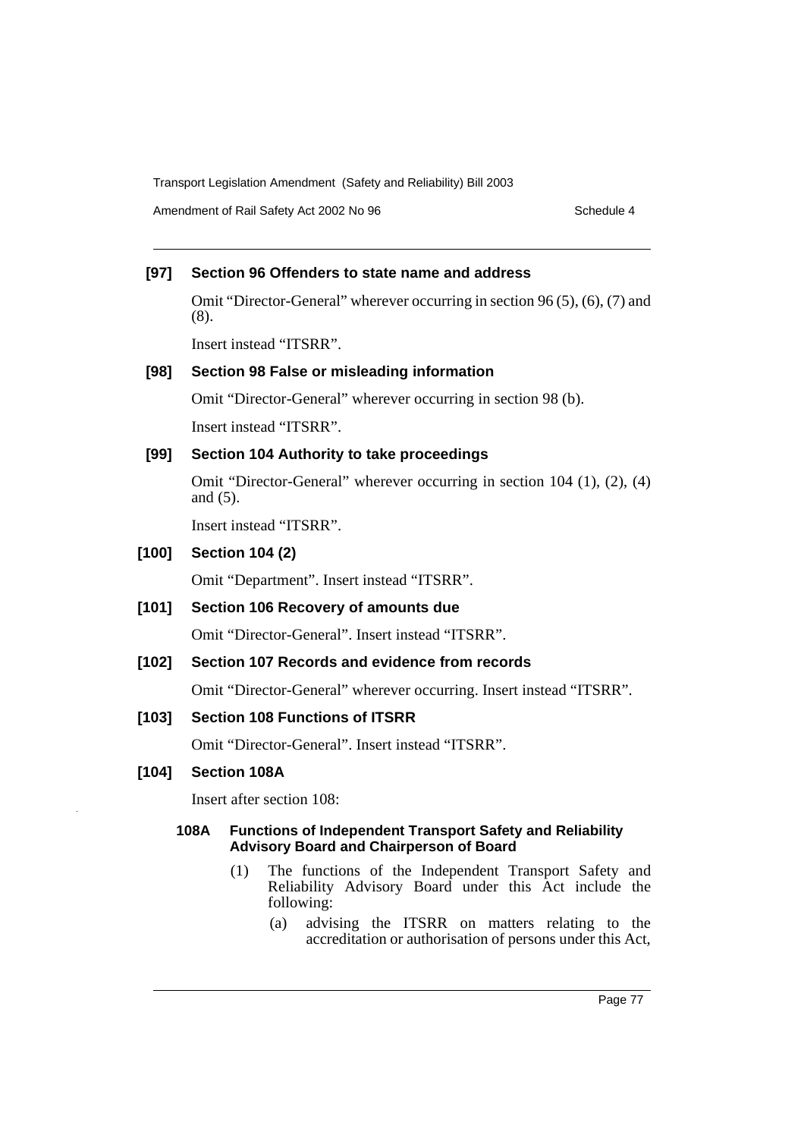Amendment of Rail Safety Act 2002 No 96 Schedule 4

## **[97] Section 96 Offenders to state name and address**

Omit "Director-General" wherever occurring in section 96 (5), (6), (7) and (8).

Insert instead "ITSRR".

#### **[98] Section 98 False or misleading information**

Omit "Director-General" wherever occurring in section 98 (b). Insert instead "ITSRR".

## **[99] Section 104 Authority to take proceedings**

Omit "Director-General" wherever occurring in section 104 (1), (2), (4) and (5).

Insert instead "ITSRR".

## **[100] Section 104 (2)**

Omit "Department". Insert instead "ITSRR".

## **[101] Section 106 Recovery of amounts due**

Omit "Director-General". Insert instead "ITSRR".

## **[102] Section 107 Records and evidence from records**

Omit "Director-General" wherever occurring. Insert instead "ITSRR".

#### **[103] Section 108 Functions of ITSRR**

Omit "Director-General". Insert instead "ITSRR".

#### **[104] Section 108A**

Insert after section 108:

#### **108A Functions of Independent Transport Safety and Reliability Advisory Board and Chairperson of Board**

- (1) The functions of the Independent Transport Safety and Reliability Advisory Board under this Act include the following:
	- (a) advising the ITSRR on matters relating to the accreditation or authorisation of persons under this Act,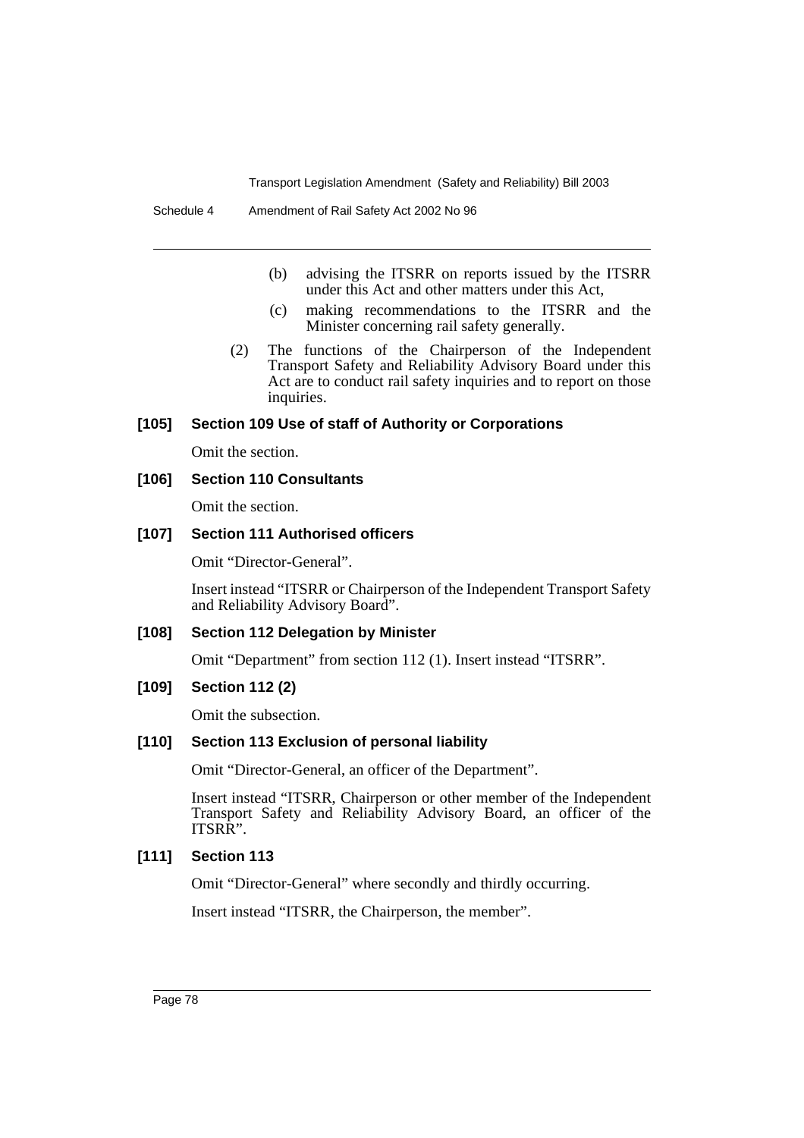- (b) advising the ITSRR on reports issued by the ITSRR under this Act and other matters under this Act,
- (c) making recommendations to the ITSRR and the Minister concerning rail safety generally.
- (2) The functions of the Chairperson of the Independent Transport Safety and Reliability Advisory Board under this Act are to conduct rail safety inquiries and to report on those inquiries.

#### **[105] Section 109 Use of staff of Authority or Corporations**

Omit the section.

#### **[106] Section 110 Consultants**

Omit the section.

## **[107] Section 111 Authorised officers**

Omit "Director-General".

Insert instead "ITSRR or Chairperson of the Independent Transport Safety and Reliability Advisory Board".

#### **[108] Section 112 Delegation by Minister**

Omit "Department" from section 112 (1). Insert instead "ITSRR".

#### **[109] Section 112 (2)**

Omit the subsection.

#### **[110] Section 113 Exclusion of personal liability**

Omit "Director-General, an officer of the Department".

Insert instead "ITSRR, Chairperson or other member of the Independent Transport Safety and Reliability Advisory Board, an officer of the ITSRR".

## **[111] Section 113**

Omit "Director-General" where secondly and thirdly occurring.

Insert instead "ITSRR, the Chairperson, the member".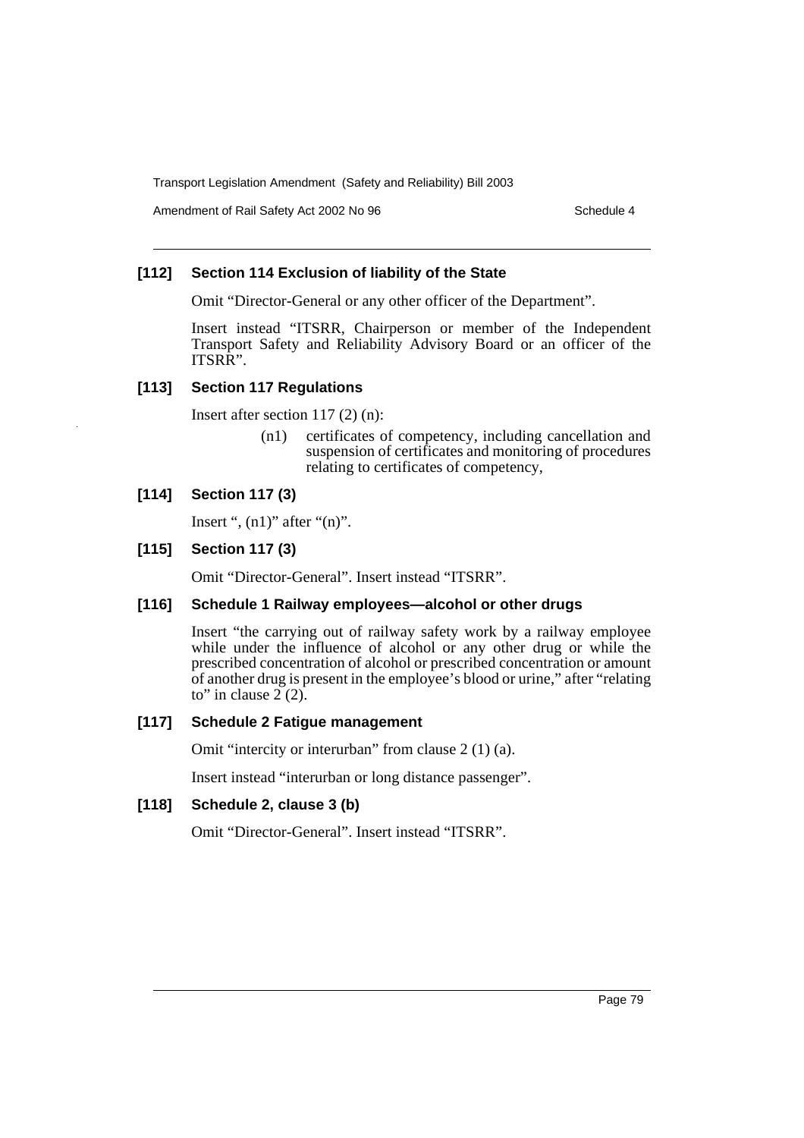Amendment of Rail Safety Act 2002 No 96 Schedule 4

## **[112] Section 114 Exclusion of liability of the State**

Omit "Director-General or any other officer of the Department".

Insert instead "ITSRR, Chairperson or member of the Independent Transport Safety and Reliability Advisory Board or an officer of the ITSRR".

#### **[113] Section 117 Regulations**

Insert after section 117 (2) (n):

(n1) certificates of competency, including cancellation and suspension of certificates and monitoring of procedures relating to certificates of competency,

## **[114] Section 117 (3)**

Insert ",  $(n1)$ " after " $(n)$ ".

#### **[115] Section 117 (3)**

Omit "Director-General". Insert instead "ITSRR".

#### **[116] Schedule 1 Railway employees—alcohol or other drugs**

Insert "the carrying out of railway safety work by a railway employee while under the influence of alcohol or any other drug or while the prescribed concentration of alcohol or prescribed concentration or amount of another drug is present in the employee's blood or urine," after "relating to" in clause  $2(2)$ .

#### **[117] Schedule 2 Fatigue management**

Omit "intercity or interurban" from clause 2 (1) (a).

Insert instead "interurban or long distance passenger".

### **[118] Schedule 2, clause 3 (b)**

Omit "Director-General". Insert instead "ITSRR".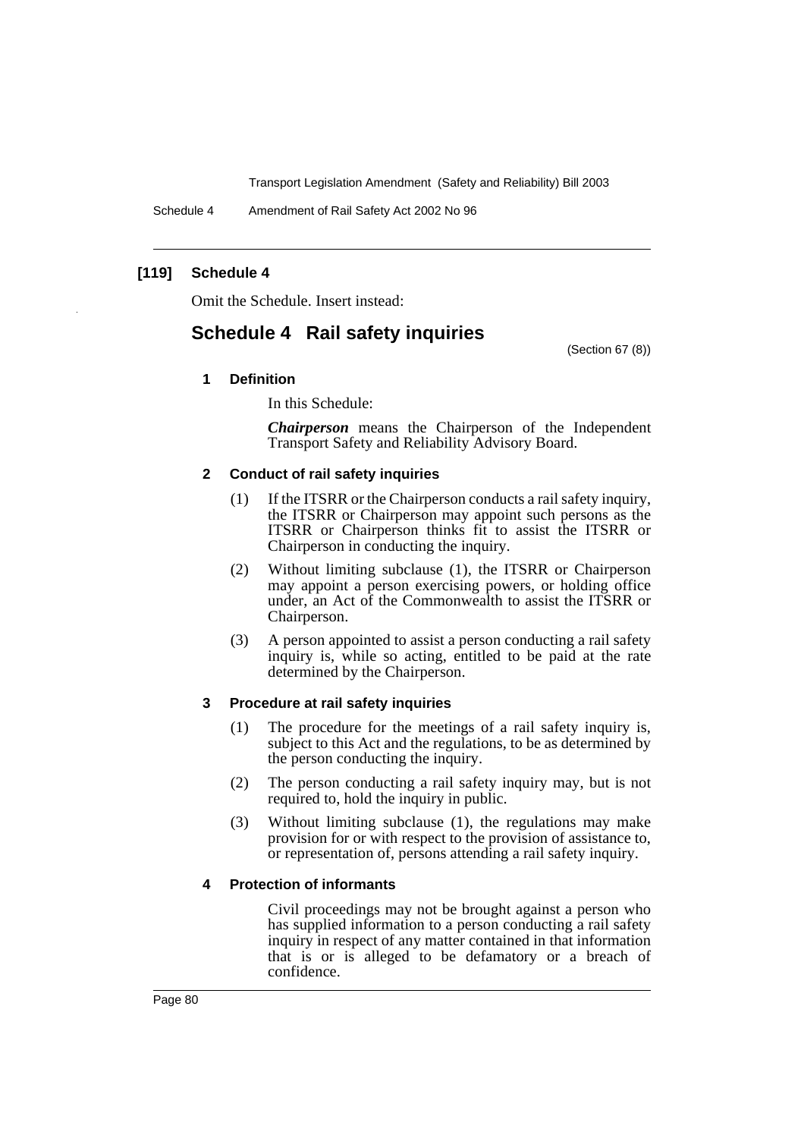Schedule 4 Amendment of Rail Safety Act 2002 No 96

## **[119] Schedule 4**

Omit the Schedule. Insert instead:

## **Schedule 4 Rail safety inquiries**

(Section 67 (8))

## **1 Definition**

In this Schedule:

*Chairperson* means the Chairperson of the Independent Transport Safety and Reliability Advisory Board.

#### **2 Conduct of rail safety inquiries**

- (1) If the ITSRR or the Chairperson conducts a rail safety inquiry, the ITSRR or Chairperson may appoint such persons as the ITSRR or Chairperson thinks fit to assist the ITSRR or Chairperson in conducting the inquiry.
- (2) Without limiting subclause (1), the ITSRR or Chairperson may appoint a person exercising powers, or holding office under, an Act of the Commonwealth to assist the ITSRR or Chairperson.
- (3) A person appointed to assist a person conducting a rail safety inquiry is, while so acting, entitled to be paid at the rate determined by the Chairperson.

#### **3 Procedure at rail safety inquiries**

- (1) The procedure for the meetings of a rail safety inquiry is, subject to this Act and the regulations, to be as determined by the person conducting the inquiry.
- (2) The person conducting a rail safety inquiry may, but is not required to, hold the inquiry in public.
- (3) Without limiting subclause (1), the regulations may make provision for or with respect to the provision of assistance to, or representation of, persons attending a rail safety inquiry.

#### **4 Protection of informants**

Civil proceedings may not be brought against a person who has supplied information to a person conducting a rail safety inquiry in respect of any matter contained in that information that is or is alleged to be defamatory or a breach of confidence.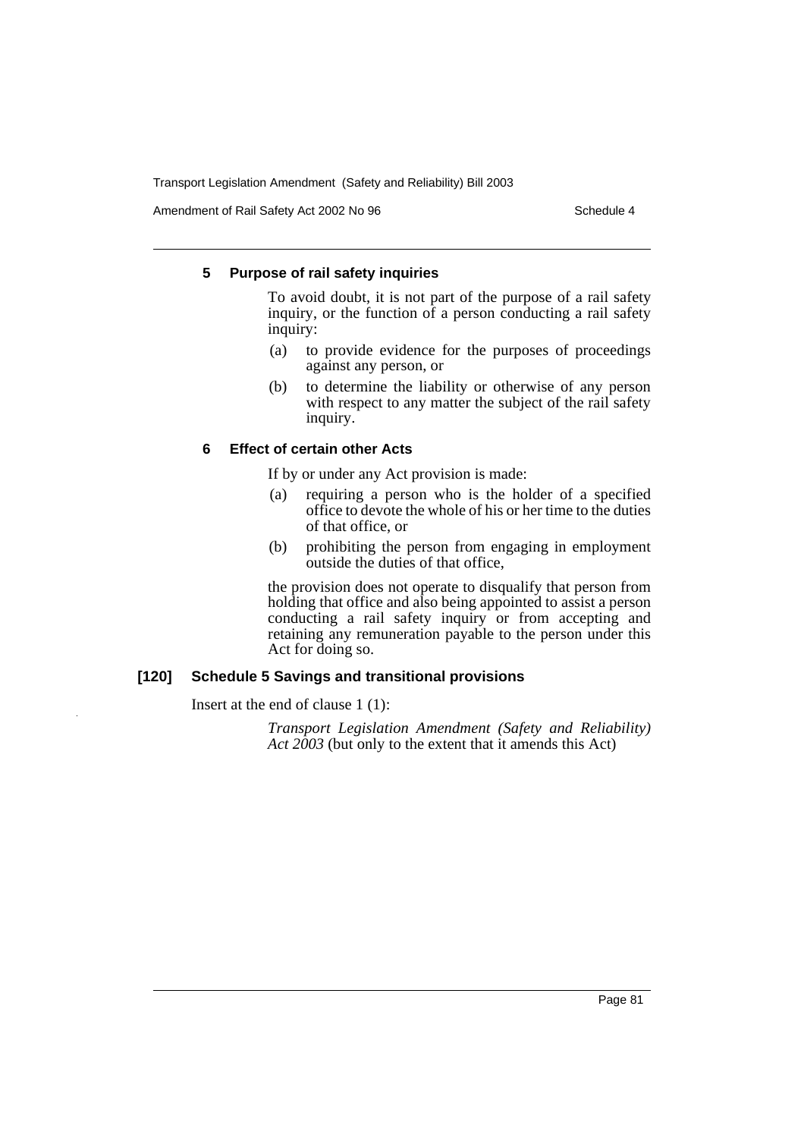Amendment of Rail Safety Act 2002 No 96 Schedule 4

#### **5 Purpose of rail safety inquiries**

To avoid doubt, it is not part of the purpose of a rail safety inquiry, or the function of a person conducting a rail safety inquiry:

- (a) to provide evidence for the purposes of proceedings against any person, or
- (b) to determine the liability or otherwise of any person with respect to any matter the subject of the rail safety inquiry.

#### **6 Effect of certain other Acts**

If by or under any Act provision is made:

- (a) requiring a person who is the holder of a specified office to devote the whole of his or her time to the duties of that office, or
- (b) prohibiting the person from engaging in employment outside the duties of that office,

the provision does not operate to disqualify that person from holding that office and also being appointed to assist a person conducting a rail safety inquiry or from accepting and retaining any remuneration payable to the person under this Act for doing so.

#### **[120] Schedule 5 Savings and transitional provisions**

Insert at the end of clause 1 (1):

*Transport Legislation Amendment (Safety and Reliability) Act 2003* (but only to the extent that it amends this Act)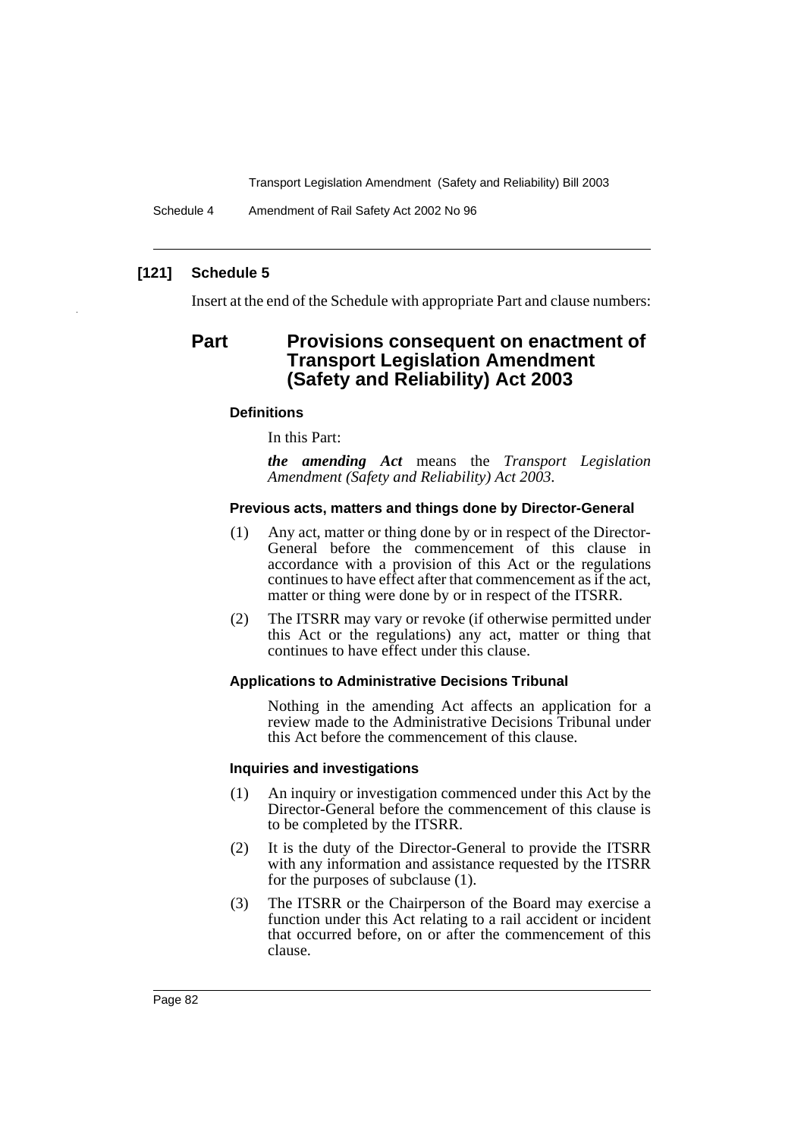Schedule 4 Amendment of Rail Safety Act 2002 No 96

## **[121] Schedule 5**

Insert at the end of the Schedule with appropriate Part and clause numbers:

## **Part Provisions consequent on enactment of Transport Legislation Amendment (Safety and Reliability) Act 2003**

#### **Definitions**

In this Part:

*the amending Act* means the *Transport Legislation Amendment (Safety and Reliability) Act 2003.*

#### **Previous acts, matters and things done by Director-General**

- (1) Any act, matter or thing done by or in respect of the Director-General before the commencement of this clause in accordance with a provision of this Act or the regulations continues to have effect after that commencement as if the act, matter or thing were done by or in respect of the ITSRR.
- (2) The ITSRR may vary or revoke (if otherwise permitted under this Act or the regulations) any act, matter or thing that continues to have effect under this clause.

#### **Applications to Administrative Decisions Tribunal**

Nothing in the amending Act affects an application for a review made to the Administrative Decisions Tribunal under this Act before the commencement of this clause.

#### **Inquiries and investigations**

- (1) An inquiry or investigation commenced under this Act by the Director-General before the commencement of this clause is to be completed by the ITSRR.
- (2) It is the duty of the Director-General to provide the ITSRR with any information and assistance requested by the ITSRR for the purposes of subclause (1).
- (3) The ITSRR or the Chairperson of the Board may exercise a function under this Act relating to a rail accident or incident that occurred before, on or after the commencement of this clause.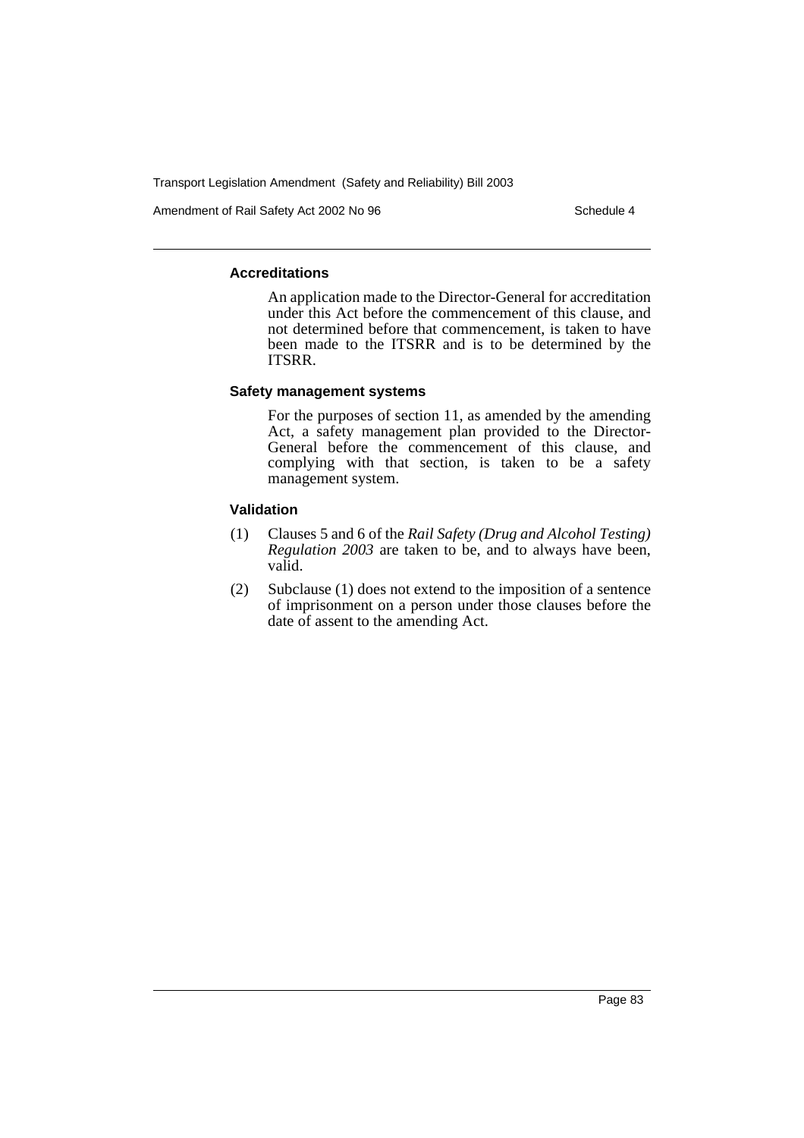Amendment of Rail Safety Act 2002 No 96 Schedule 4

#### **Accreditations**

An application made to the Director-General for accreditation under this Act before the commencement of this clause, and not determined before that commencement, is taken to have been made to the ITSRR and is to be determined by the ITSRR.

#### **Safety management systems**

For the purposes of section 11, as amended by the amending Act, a safety management plan provided to the Director-General before the commencement of this clause, and complying with that section, is taken to be a safety management system.

#### **Validation**

- (1) Clauses 5 and 6 of the *Rail Safety (Drug and Alcohol Testing) Regulation 2003* are taken to be, and to always have been, valid.
- (2) Subclause (1) does not extend to the imposition of a sentence of imprisonment on a person under those clauses before the date of assent to the amending Act.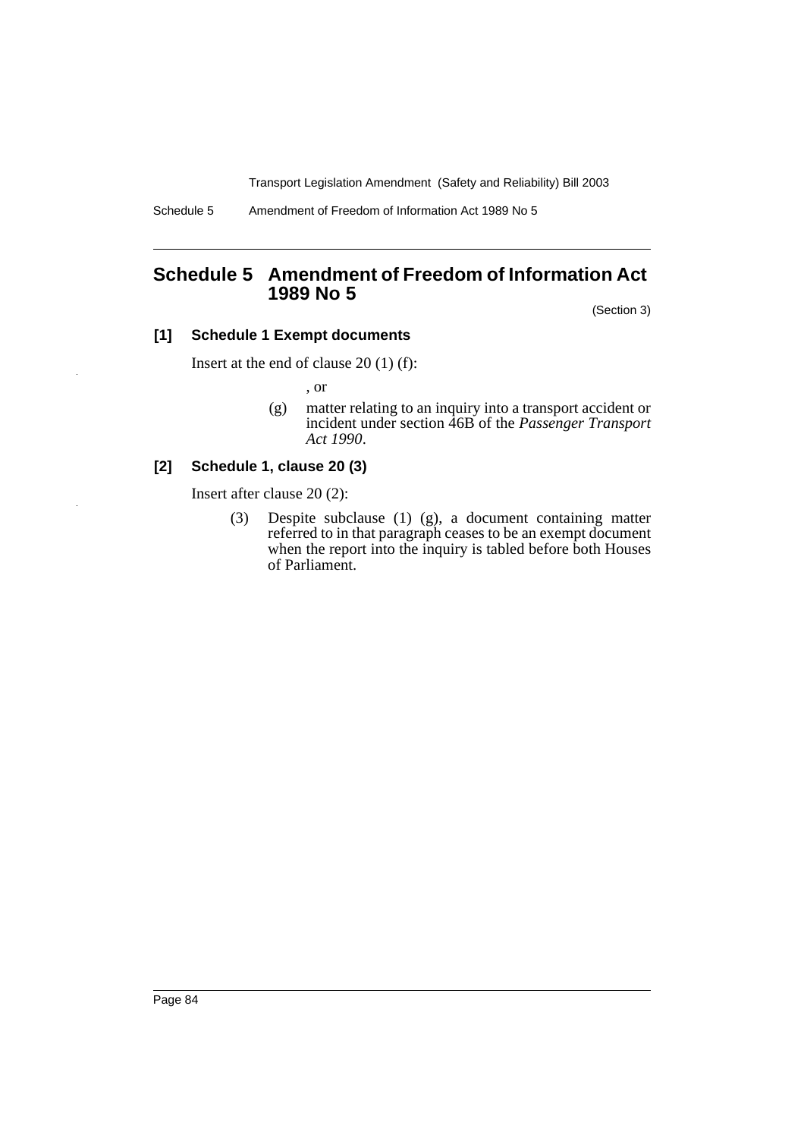Schedule 5 Amendment of Freedom of Information Act 1989 No 5

## **Schedule 5 Amendment of Freedom of Information Act 1989 No 5**

(Section 3)

## **[1] Schedule 1 Exempt documents**

Insert at the end of clause 20 (1) (f):

, or

(g) matter relating to an inquiry into a transport accident or incident under section 46B of the *Passenger Transport Act 1990*.

## **[2] Schedule 1, clause 20 (3)**

Insert after clause 20 (2):

(3) Despite subclause (1) (g), a document containing matter referred to in that paragraph ceases to be an exempt document when the report into the inquiry is tabled before both Houses of Parliament.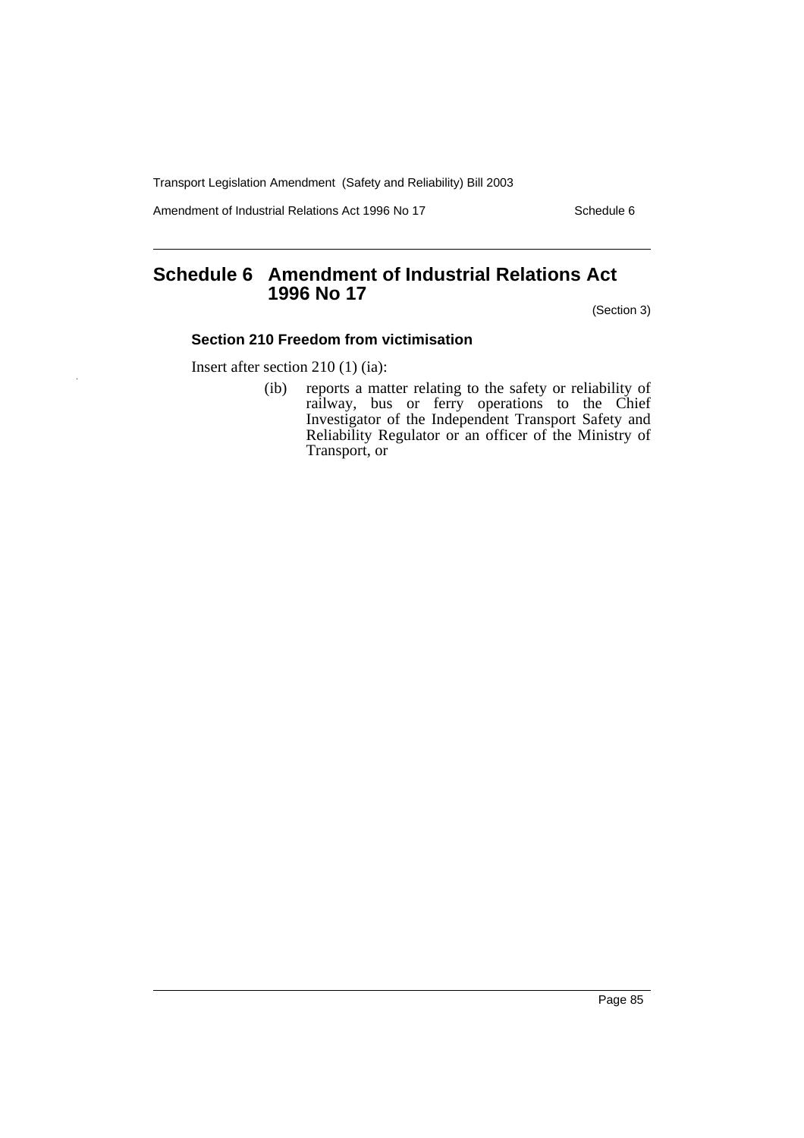Amendment of Industrial Relations Act 1996 No 17 Schedule 6

# **Schedule 6 Amendment of Industrial Relations Act 1996 No 17**

(Section 3)

## **Section 210 Freedom from victimisation**

Insert after section 210 (1) (ia):

(ib) reports a matter relating to the safety or reliability of railway, bus or ferry operations to the Chief Investigator of the Independent Transport Safety and Reliability Regulator or an officer of the Ministry of Transport, or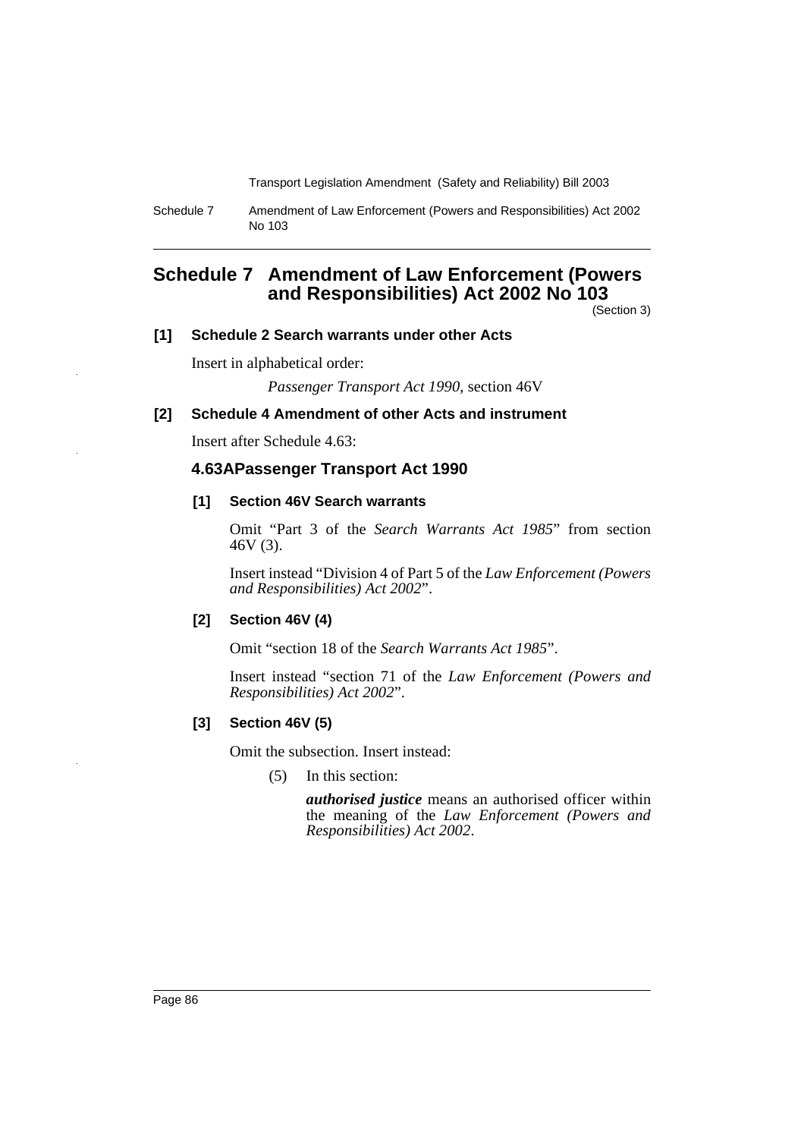Schedule 7 Amendment of Law Enforcement (Powers and Responsibilities) Act 2002 No 103

## **Schedule 7 Amendment of Law Enforcement (Powers and Responsibilities) Act 2002 No 103**

(Section 3)

### **[1] Schedule 2 Search warrants under other Acts**

Insert in alphabetical order:

*Passenger Transport Act 1990*, section 46V

#### **[2] Schedule 4 Amendment of other Acts and instrument**

Insert after Schedule 4.63:

## **4.63APassenger Transport Act 1990**

#### **[1] Section 46V Search warrants**

Omit "Part 3 of the *Search Warrants Act 1985*" from section 46V (3).

Insert instead "Division 4 of Part 5 of the *Law Enforcement (Powers and Responsibilities) Act 2002*".

#### **[2] Section 46V (4)**

Omit "section 18 of the *Search Warrants Act 1985*".

Insert instead "section 71 of the *Law Enforcement (Powers and Responsibilities) Act 2002*".

#### **[3] Section 46V (5)**

Omit the subsection. Insert instead:

(5) In this section:

*authorised justice* means an authorised officer within the meaning of the *Law Enforcement (Powers and Responsibilities) Act 2002*.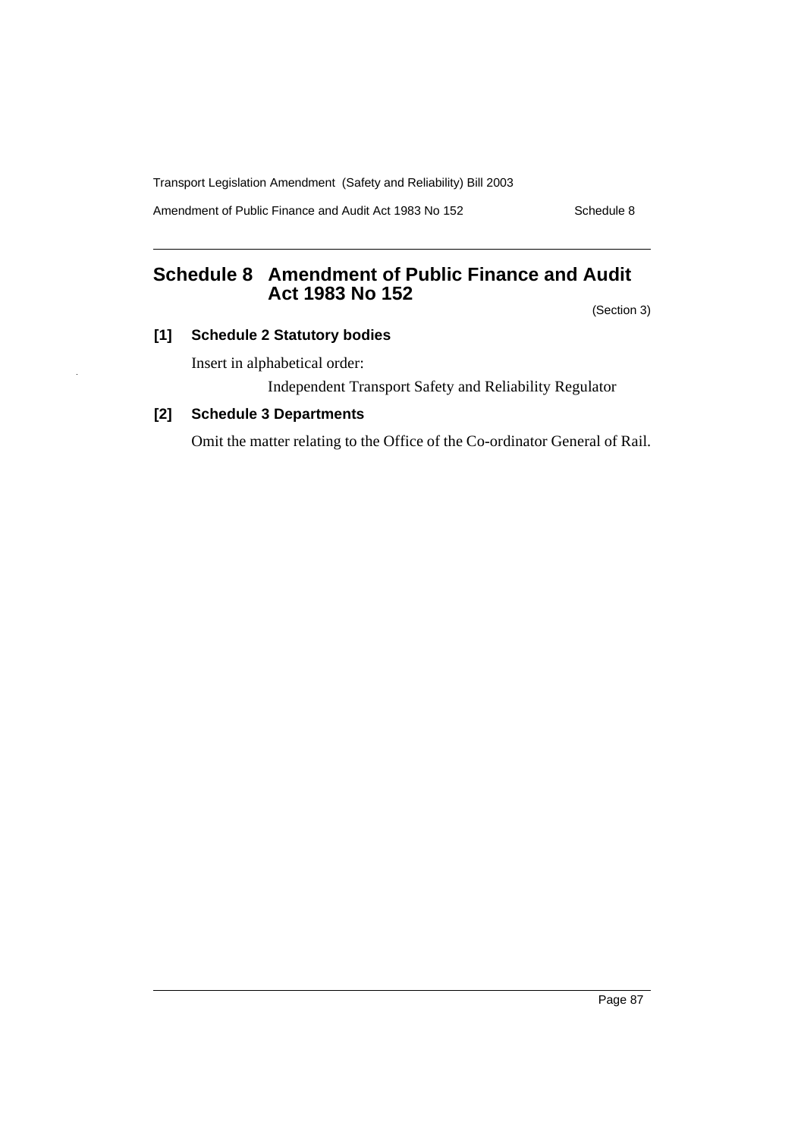Amendment of Public Finance and Audit Act 1983 No 152 Schedule 8

# **Schedule 8 Amendment of Public Finance and Audit Act 1983 No 152**

(Section 3)

## **[1] Schedule 2 Statutory bodies**

Insert in alphabetical order:

Independent Transport Safety and Reliability Regulator

## **[2] Schedule 3 Departments**

Omit the matter relating to the Office of the Co-ordinator General of Rail.